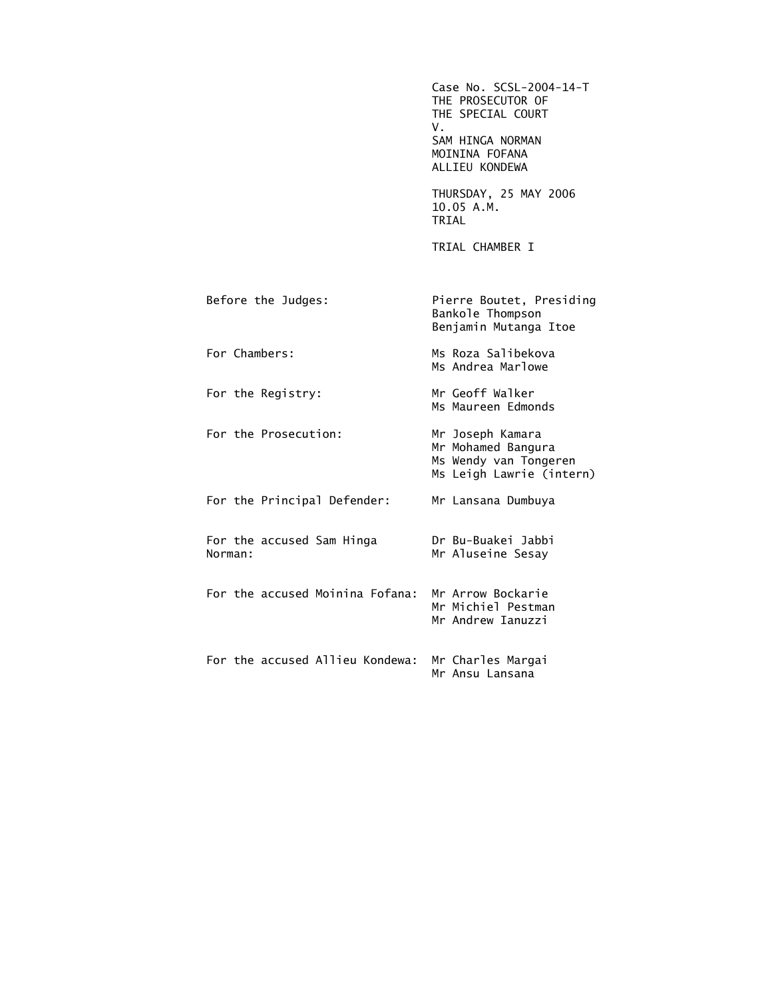|                                      | Case No. SCSL-2004-14-T<br>THE PROSECUTOR OF<br>THE SPECIAL COURT<br>V.<br>SAM HINGA NORMAN<br>MOININA FOFANA<br>ALLIEU KONDEWA |
|--------------------------------------|---------------------------------------------------------------------------------------------------------------------------------|
|                                      | THURSDAY, 25 MAY 2006<br>10.05 A.M.<br>TRIAL                                                                                    |
|                                      | TRIAL CHAMBER I                                                                                                                 |
| Before the Judges:                   | Pierre Boutet, Presiding<br>Bankole Thompson<br>Benjamin Mutanga Itoe                                                           |
| For Chambers:                        | Ms Roza Salibekova<br>Ms Andrea Marlowe                                                                                         |
| For the Registry:                    | Mr Geoff Walker<br>Ms Maureen Edmonds                                                                                           |
| For the Prosecution:                 | Mr Joseph Kamara<br>Mr Mohamed Bangura<br>Ms Wendy van Tongeren<br>Ms Leigh Lawrie (intern)                                     |
| For the Principal Defender:          | Mr Lansana Dumbuya                                                                                                              |
| For the accused Sam Hinga<br>Norman: | Dr Bu-Buakei Jabbi<br>Mr Aluseine Sesay                                                                                         |
| For the accused Moinina Fofana:      | Mr Arrow Bockarie<br>Mr Michiel Pestman<br>Mr Andrew Ianuzzi                                                                    |
| For the accused Allieu Kondewa:      | Mr Charles Margai<br>Mr Ansu Lansana                                                                                            |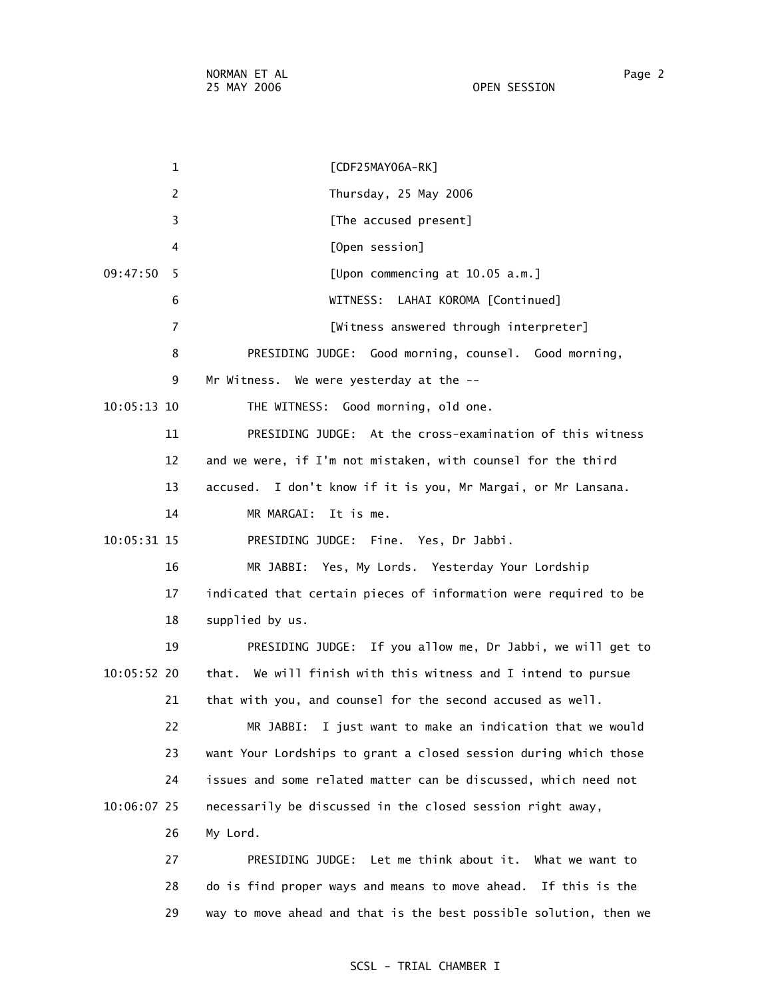NORMAN ET AL Page 2 25 MAY 2006 OPEN SESSION

 1 [CDF25MAY06A-RK] 2 Thursday, 25 May 2006 3 **Example 2 [The accused present]**  4 [Open session] 09:47:50 5 [Upon commencing at 10.05 a.m.] 6 WITNESS: LAHAI KOROMA [Continued] 7 [Witness answered through interpreter] 8 PRESIDING JUDGE: Good morning, counsel. Good morning, 9 Mr Witness. We were yesterday at the -- 10:05:13 10 THE WITNESS: Good morning, old one. 11 PRESIDING JUDGE: At the cross-examination of this witness 12 and we were, if I'm not mistaken, with counsel for the third 13 accused. I don't know if it is you, Mr Margai, or Mr Lansana. 14 MR MARGAI: It is me. 10:05:31 15 PRESIDING JUDGE: Fine. Yes, Dr Jabbi. 16 MR JABBI: Yes, My Lords. Yesterday Your Lordship 17 indicated that certain pieces of information were required to be 18 supplied by us. 19 PRESIDING JUDGE: If you allow me, Dr Jabbi, we will get to 10:05:52 20 that. We will finish with this witness and I intend to pursue 21 that with you, and counsel for the second accused as well. 22 MR JABBI: I just want to make an indication that we would 23 want Your Lordships to grant a closed session during which those 24 issues and some related matter can be discussed, which need not 10:06:07 25 necessarily be discussed in the closed session right away, 26 My Lord. 27 PRESIDING JUDGE: Let me think about it. What we want to 28 do is find proper ways and means to move ahead. If this is the 29 way to move ahead and that is the best possible solution, then we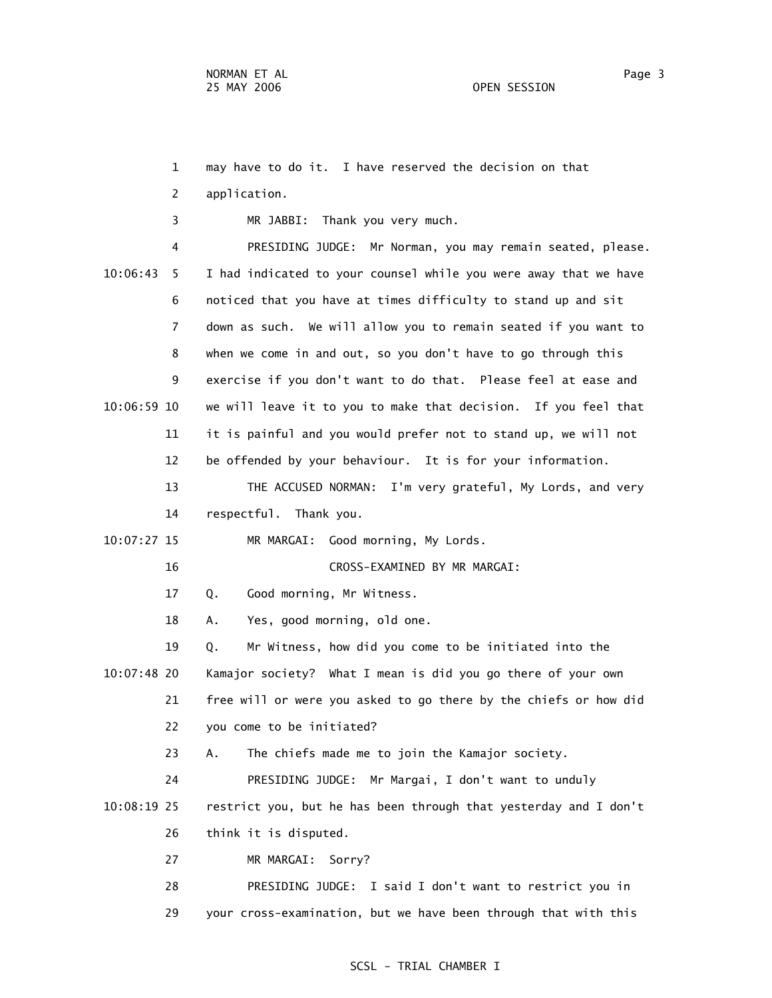1 may have to do it. I have reserved the decision on that 2 application. 3 MR JABBI: Thank you very much. 4 PRESIDING JUDGE: Mr Norman, you may remain seated, please. 10:06:43 5 I had indicated to your counsel while you were away that we have 6 noticed that you have at times difficulty to stand up and sit 7 down as such. We will allow you to remain seated if you want to 8 when we come in and out, so you don't have to go through this 9 exercise if you don't want to do that. Please feel at ease and 10:06:59 10 we will leave it to you to make that decision. If you feel that 11 it is painful and you would prefer not to stand up, we will not 12 be offended by your behaviour. It is for your information. 13 THE ACCUSED NORMAN: I'm very grateful, My Lords, and very 14 respectful. Thank you. 10:07:27 15 MR MARGAI: Good morning, My Lords. 16 CROSS-EXAMINED BY MR MARGAI: 17 Q. Good morning, Mr Witness. 18 A. Yes, good morning, old one. 19 Q. Mr Witness, how did you come to be initiated into the 10:07:48 20 Kamajor society? What I mean is did you go there of your own 21 free will or were you asked to go there by the chiefs or how did 22 you come to be initiated? 23 A. The chiefs made me to join the Kamajor society. 24 PRESIDING JUDGE: Mr Margai, I don't want to unduly 10:08:19 25 restrict you, but he has been through that yesterday and I don't 26 think it is disputed. 27 MR MARGAI: Sorry? 28 PRESIDING JUDGE: I said I don't want to restrict you in 29 your cross-examination, but we have been through that with this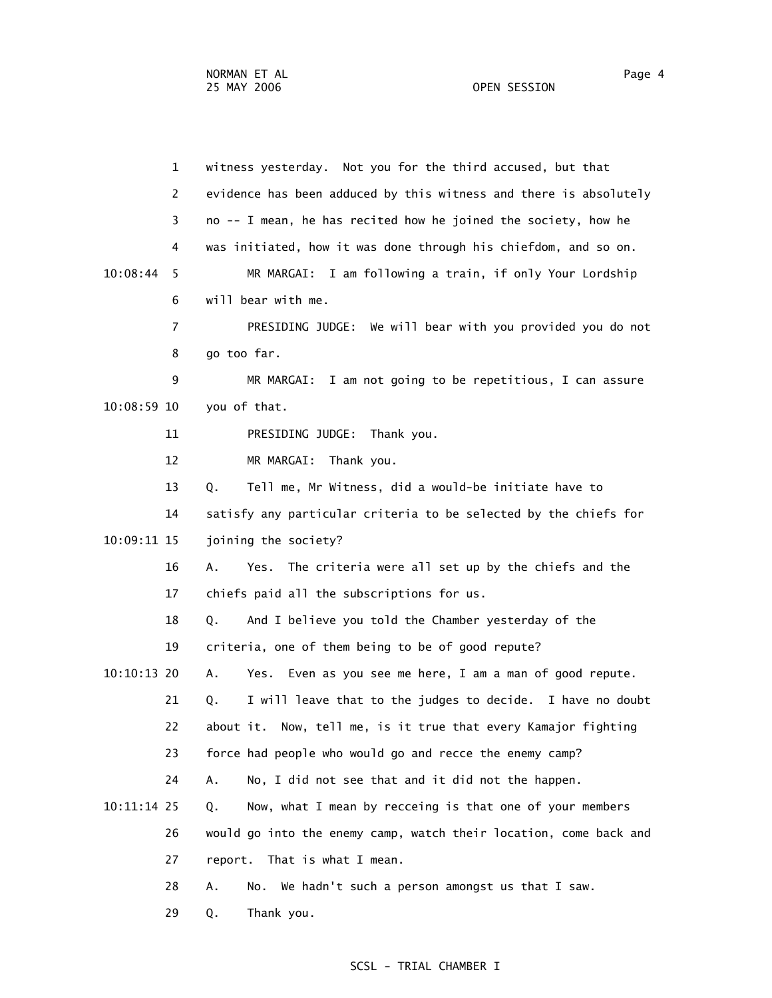|             | $\mathbf{1}$   | witness yesterday. Not you for the third accused, but that        |
|-------------|----------------|-------------------------------------------------------------------|
|             | 2              | evidence has been adduced by this witness and there is absolutely |
|             | 3              | no -- I mean, he has recited how he joined the society, how he    |
|             | 4              | was initiated, how it was done through his chiefdom, and so on.   |
| 10:08:44    | 5              | MR MARGAI: I am following a train, if only Your Lordship          |
|             | 6              | will bear with me.                                                |
|             | $\overline{7}$ | PRESIDING JUDGE: We will bear with you provided you do not        |
|             | 8              | go too far.                                                       |
|             | 9              | MR MARGAI: I am not going to be repetitious, I can assure         |
| 10:08:59 10 |                | you of that.                                                      |
|             | 11             | PRESIDING JUDGE: Thank you.                                       |
|             | 12             | MR MARGAI: Thank you.                                             |
|             | 13             | Tell me, Mr Witness, did a would-be initiate have to<br>Q.        |
|             | 14             | satisfy any particular criteria to be selected by the chiefs for  |
| 10:09:11 15 |                | joining the society?                                              |
|             | 16             | The criteria were all set up by the chiefs and the<br>Α.<br>Yes.  |
|             | 17             | chiefs paid all the subscriptions for us.                         |
|             | 18             | And I believe you told the Chamber yesterday of the<br>Q.         |
|             | 19             | criteria, one of them being to be of good repute?                 |
| 10:10:13 20 |                | Yes. Even as you see me here, I am a man of good repute.<br>Α.    |
|             | 21             | I will leave that to the judges to decide. I have no doubt<br>Q.  |
|             | 22             | about it. Now, tell me, is it true that every Kamajor fighting    |
|             | 23             | force had people who would go and recce the enemy camp?           |
|             | 24             | No, I did not see that and it did not the happen.<br>Α.           |
| 10:11:14 25 |                | Now, what I mean by recceing is that one of your members<br>Q.    |
|             | 26             | would go into the enemy camp, watch their location, come back and |
|             | 27             | report. That is what I mean.                                      |
|             | 28             | We hadn't such a person amongst us that I saw.<br>Α.<br>No.       |
|             | 29             | Thank you.<br>Q.                                                  |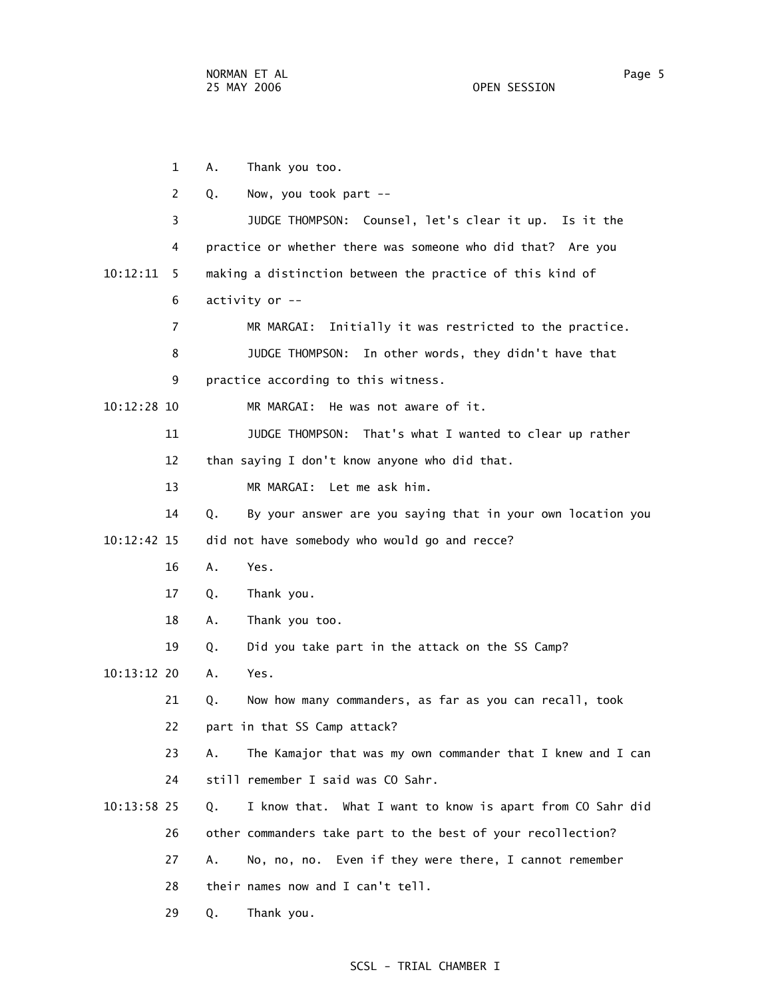1 A. Thank you too. 2 Q. Now, you took part -- 3 JUDGE THOMPSON: Counsel, let's clear it up. Is it the 4 practice or whether there was someone who did that? Are you 10:12:11 5 making a distinction between the practice of this kind of 6 activity or -- 7 MR MARGAI: Initially it was restricted to the practice. 8 JUDGE THOMPSON: In other words, they didn't have that 9 practice according to this witness. 10:12:28 10 MR MARGAI: He was not aware of it. 11 JUDGE THOMPSON: That's what I wanted to clear up rather 12 than saying I don't know anyone who did that. 13 MR MARGAI: Let me ask him. 14 Q. By your answer are you saying that in your own location you 10:12:42 15 did not have somebody who would go and recce? 16 A. Yes. 17 Q. Thank you. 18 A. Thank you too. 19 Q. Did you take part in the attack on the SS Camp? 10:13:12 20 A. Yes. 21 Q. Now how many commanders, as far as you can recall, took 22 part in that SS Camp attack? 23 A. The Kamajor that was my own commander that I knew and I can 24 still remember I said was CO Sahr. 10:13:58 25 Q. I know that. What I want to know is apart from CO Sahr did 26 other commanders take part to the best of your recollection? 27 A. No, no, no. Even if they were there, I cannot remember 28 their names now and I can't tell. 29 Q. Thank you.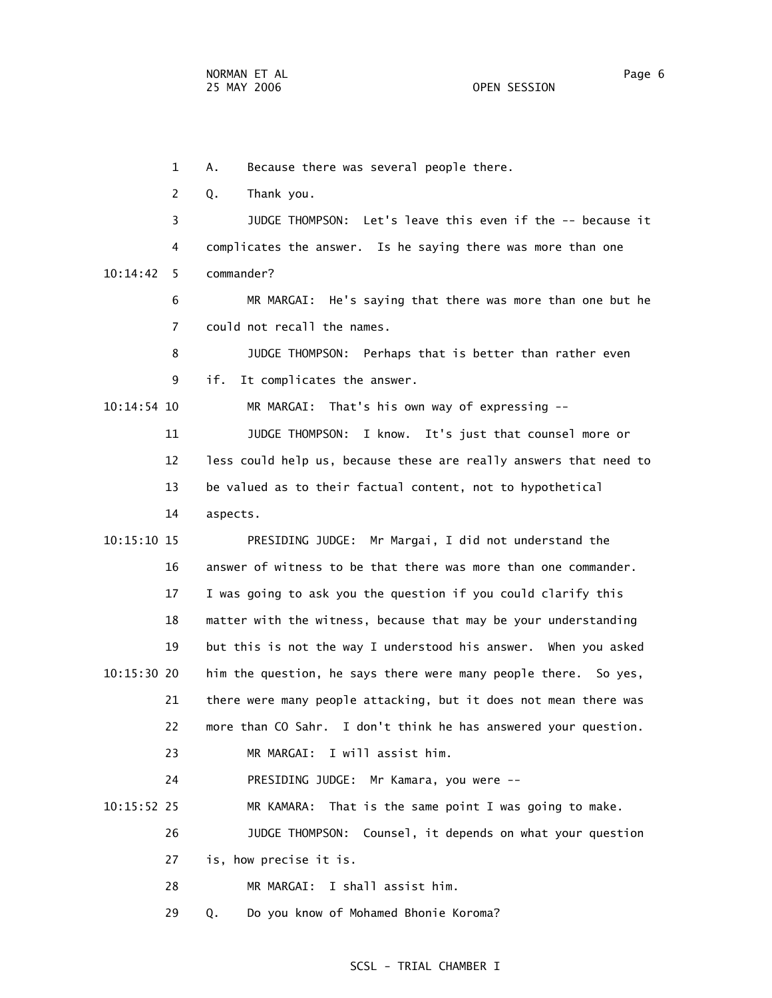1 A. Because there was several people there. 2 Q. Thank you. 3 JUDGE THOMPSON: Let's leave this even if the -- because it 4 complicates the answer. Is he saying there was more than one 10:14:42 5 commander? 6 MR MARGAI: He's saying that there was more than one but he 7 could not recall the names. 8 JUDGE THOMPSON: Perhaps that is better than rather even 9 if. It complicates the answer. 10:14:54 10 MR MARGAI: That's his own way of expressing -- 11 JUDGE THOMPSON: I know. It's just that counsel more or 12 less could help us, because these are really answers that need to 13 be valued as to their factual content, not to hypothetical 14 aspects. 10:15:10 15 PRESIDING JUDGE: Mr Margai, I did not understand the 16 answer of witness to be that there was more than one commander. 17 I was going to ask you the question if you could clarify this 18 matter with the witness, because that may be your understanding 19 but this is not the way I understood his answer. When you asked 10:15:30 20 him the question, he says there were many people there. So yes, 21 there were many people attacking, but it does not mean there was 22 more than CO Sahr. I don't think he has answered your question. 23 MR MARGAI: I will assist him. 24 PRESIDING JUDGE: Mr Kamara, you were -- 10:15:52 25 MR KAMARA: That is the same point I was going to make. 26 JUDGE THOMPSON: Counsel, it depends on what your question 27 is, how precise it is. 28 MR MARGAI: I shall assist him. 29 Q. Do you know of Mohamed Bhonie Koroma?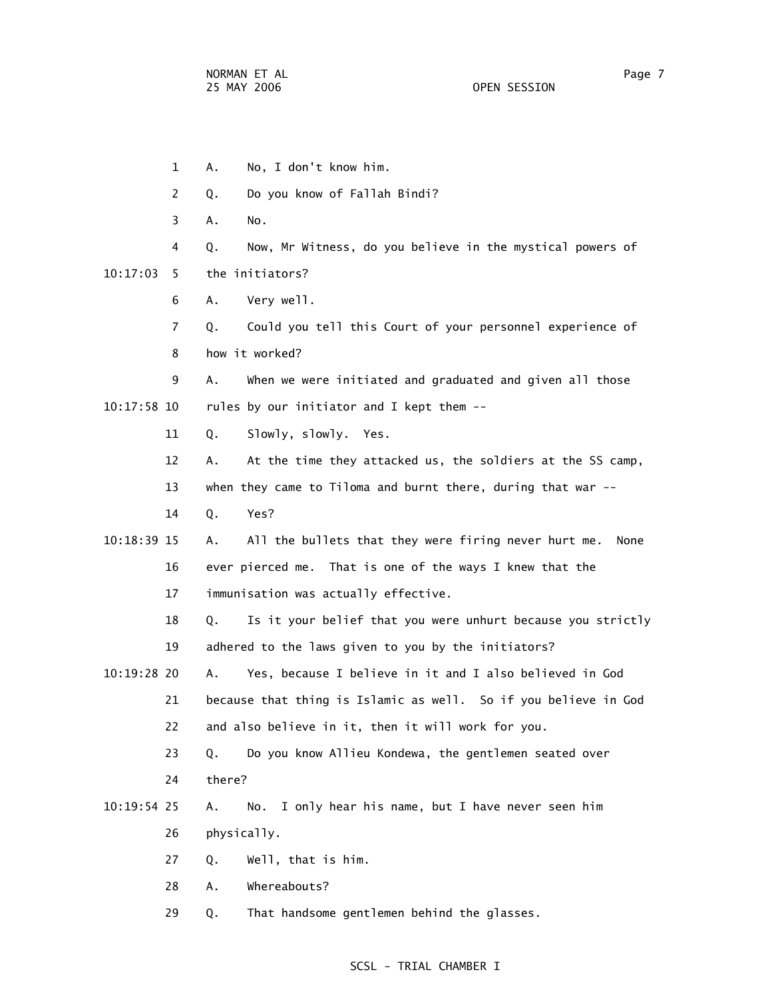1 A. No, I don't know him. 2 Q. Do you know of Fallah Bindi? 3 A. No. 4 Q. Now, Mr Witness, do you believe in the mystical powers of 10:17:03 5 the initiators? 6 A. Very well. 7 Q. Could you tell this Court of your personnel experience of 8 how it worked? 9 A. When we were initiated and graduated and given all those 10:17:58 10 rules by our initiator and I kept them -- 11 Q. Slowly, slowly. Yes. 12 A. At the time they attacked us, the soldiers at the SS camp, 13 when they came to Tiloma and burnt there, during that war -- 14 Q. Yes? 10:18:39 15 A. All the bullets that they were firing never hurt me. None 16 ever pierced me. That is one of the ways I knew that the 17 immunisation was actually effective. 18 Q. Is it your belief that you were unhurt because you strictly 19 adhered to the laws given to you by the initiators? 10:19:28 20 A. Yes, because I believe in it and I also believed in God 21 because that thing is Islamic as well. So if you believe in God 22 and also believe in it, then it will work for you. 23 Q. Do you know Allieu Kondewa, the gentlemen seated over 24 there? 10:19:54 25 A. No. I only hear his name, but I have never seen him 26 physically. 27 Q. Well, that is him. 28 A. Whereabouts? 29 Q. That handsome gentlemen behind the glasses.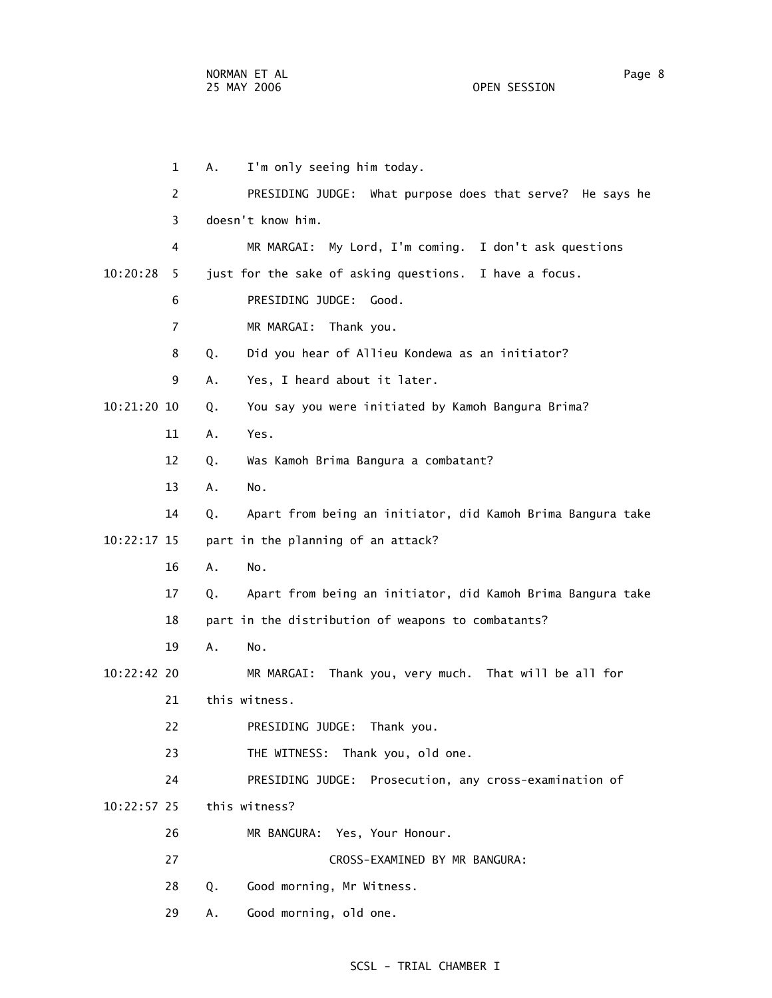1 A. I'm only seeing him today. 2 PRESIDING JUDGE: What purpose does that serve? He says he 3 doesn't know him. 4 MR MARGAI: My Lord, I'm coming. I don't ask questions 10:20:28 5 just for the sake of asking questions. I have a focus. 6 PRESIDING JUDGE: Good. 7 MR MARGAI: Thank you. 8 Q. Did you hear of Allieu Kondewa as an initiator? 9 A. Yes, I heard about it later. 10:21:20 10 Q. You say you were initiated by Kamoh Bangura Brima? 11 A. Yes. 12 Q. Was Kamoh Brima Bangura a combatant? 13 A. No. 14 Q. Apart from being an initiator, did Kamoh Brima Bangura take 10:22:17 15 part in the planning of an attack? 16 A. No. 17 Q. Apart from being an initiator, did Kamoh Brima Bangura take 18 part in the distribution of weapons to combatants? 19 A. No. 10:22:42 20 MR MARGAI: Thank you, very much. That will be all for 21 this witness. 22 PRESIDING JUDGE: Thank you. 23 THE WITNESS: Thank you, old one. 24 PRESIDING JUDGE: Prosecution, any cross-examination of 10:22:57 25 this witness? 26 MR BANGURA: Yes, Your Honour. 27 CROSS-EXAMINED BY MR BANGURA: 28 Q. Good morning, Mr Witness. 29 A. Good morning, old one.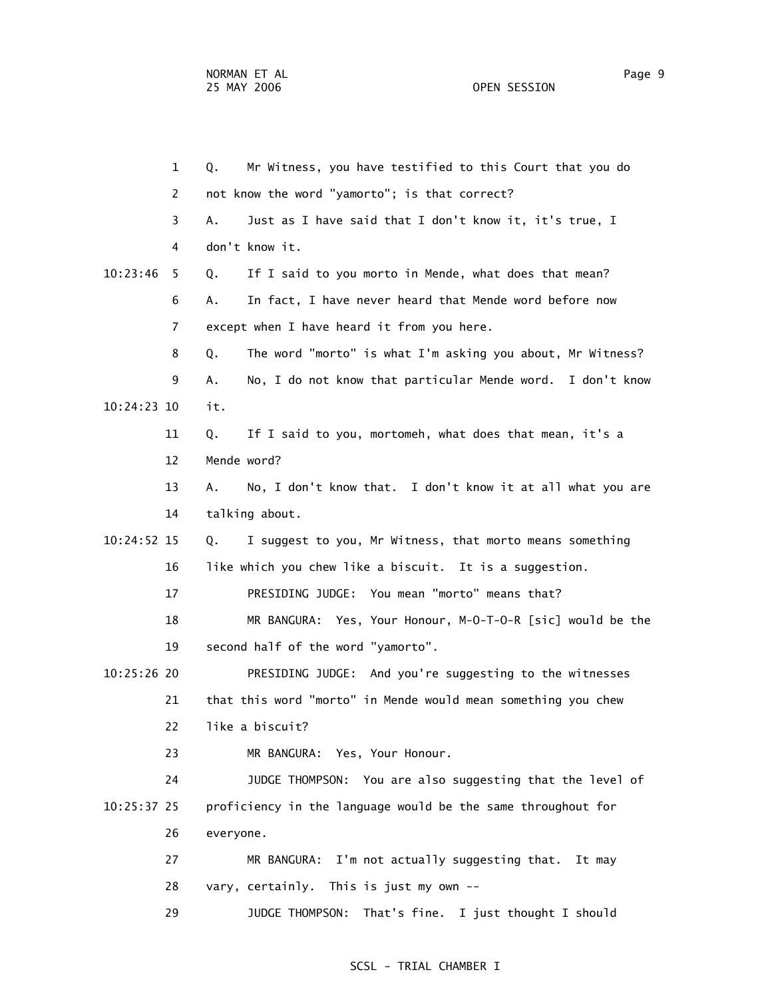1 Q. Mr Witness, you have testified to this Court that you do 2 not know the word "yamorto"; is that correct? 3 A. Just as I have said that I don't know it, it's true, I 4 don't know it. 10:23:46 5 Q. If I said to you morto in Mende, what does that mean? 6 A. In fact, I have never heard that Mende word before now 7 except when I have heard it from you here. 8 Q. The word "morto" is what I'm asking you about, Mr Witness? 9 A. No, I do not know that particular Mende word. I don't know 10:24:23 10 it. 11 Q. If I said to you, mortomeh, what does that mean, it's a 12 Mende word? 13 A. No, I don't know that. I don't know it at all what you are 14 talking about. 10:24:52 15 Q. I suggest to you, Mr Witness, that morto means something 16 like which you chew like a biscuit. It is a suggestion. 17 PRESIDING JUDGE: You mean "morto" means that? 18 MR BANGURA: Yes, Your Honour, M-O-T-O-R [sic] would be the 19 second half of the word "yamorto". 10:25:26 20 PRESIDING JUDGE: And you're suggesting to the witnesses 21 that this word "morto" in Mende would mean something you chew 22 like a biscuit? 23 MR BANGURA: Yes, Your Honour. 24 JUDGE THOMPSON: You are also suggesting that the level of 10:25:37 25 proficiency in the language would be the same throughout for 26 everyone. 27 MR BANGURA: I'm not actually suggesting that. It may 28 vary, certainly. This is just my own -- 29 JUDGE THOMPSON: That's fine. I just thought I should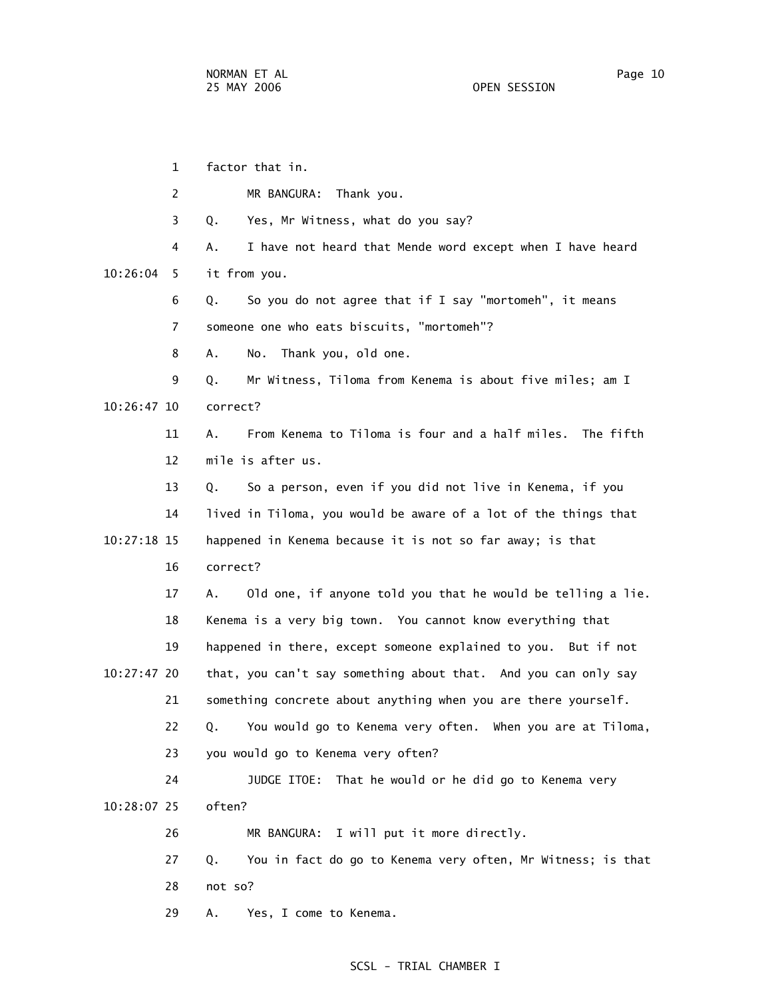1 factor that in. 2 MR BANGURA: Thank you. 3 Q. Yes, Mr Witness, what do you say? 4 A. I have not heard that Mende word except when I have heard 10:26:04 5 it from you. 6 Q. So you do not agree that if I say "mortomeh", it means 7 someone one who eats biscuits, "mortomeh"? 8 A. No. Thank you, old one. 9 Q. Mr Witness, Tiloma from Kenema is about five miles; am I 10:26:47 10 correct? 11 A. From Kenema to Tiloma is four and a half miles. The fifth 12 mile is after us. 13 Q. So a person, even if you did not live in Kenema, if you 14 lived in Tiloma, you would be aware of a lot of the things that 10:27:18 15 happened in Kenema because it is not so far away; is that 16 correct? 17 A. Old one, if anyone told you that he would be telling a lie. 18 Kenema is a very big town. You cannot know everything that 19 happened in there, except someone explained to you. But if not 10:27:47 20 that, you can't say something about that. And you can only say 21 something concrete about anything when you are there yourself. 22 Q. You would go to Kenema very often. When you are at Tiloma, 23 you would go to Kenema very often? 24 JUDGE ITOE: That he would or he did go to Kenema very 10:28:07 25 often? 26 MR BANGURA: I will put it more directly. 27 Q. You in fact do go to Kenema very often, Mr Witness; is that 28 not so? 29 A. Yes, I come to Kenema.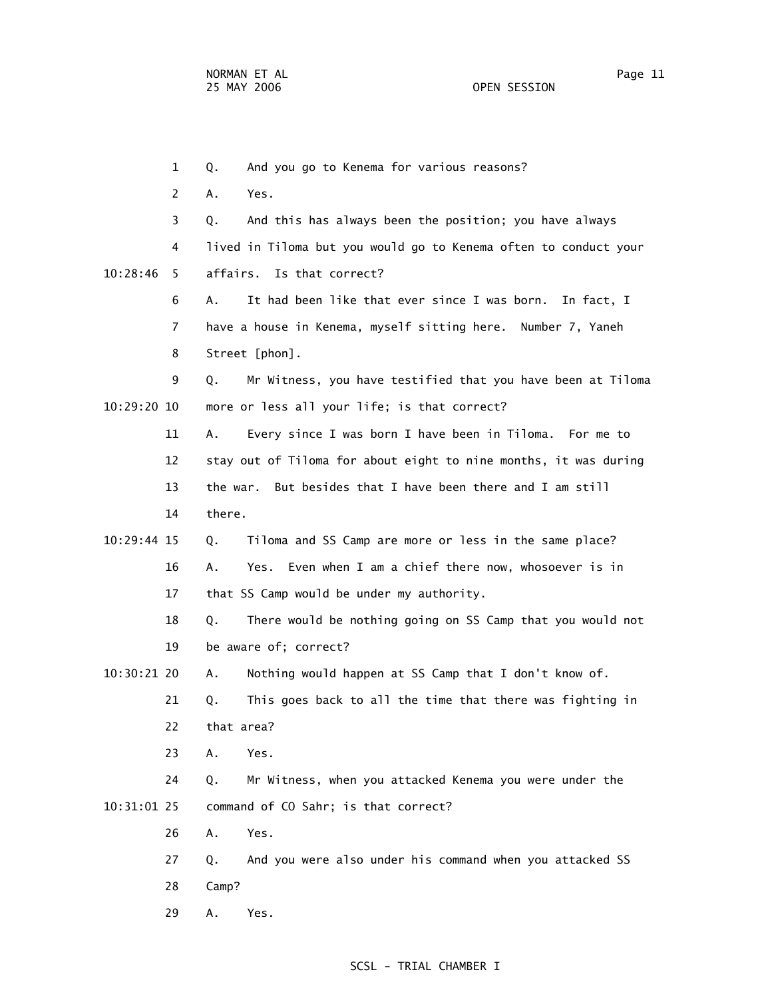1 Q. And you go to Kenema for various reasons? 2 A. Yes. 3 Q. And this has always been the position; you have always 4 lived in Tiloma but you would go to Kenema often to conduct your 10:28:46 5 affairs. Is that correct? 6 A. It had been like that ever since I was born. In fact, I 7 have a house in Kenema, myself sitting here. Number 7, Yaneh 8 Street [phon]. 9 Q. Mr Witness, you have testified that you have been at Tiloma 10:29:20 10 more or less all your life; is that correct? 11 A. Every since I was born I have been in Tiloma. For me to 12 stay out of Tiloma for about eight to nine months, it was during 13 the war. But besides that I have been there and I am still 14 there. 10:29:44 15 Q. Tiloma and SS Camp are more or less in the same place? 16 A. Yes. Even when I am a chief there now, whosoever is in 17 that SS Camp would be under my authority. 18 Q. There would be nothing going on SS Camp that you would not 19 be aware of; correct? 10:30:21 20 A. Nothing would happen at SS Camp that I don't know of. 21 Q. This goes back to all the time that there was fighting in 22 that area? 23 A. Yes. 24 Q. Mr Witness, when you attacked Kenema you were under the 10:31:01 25 command of CO Sahr; is that correct? 26 A. Yes. 27 Q. And you were also under his command when you attacked SS 28 Camp? 29 A. Yes.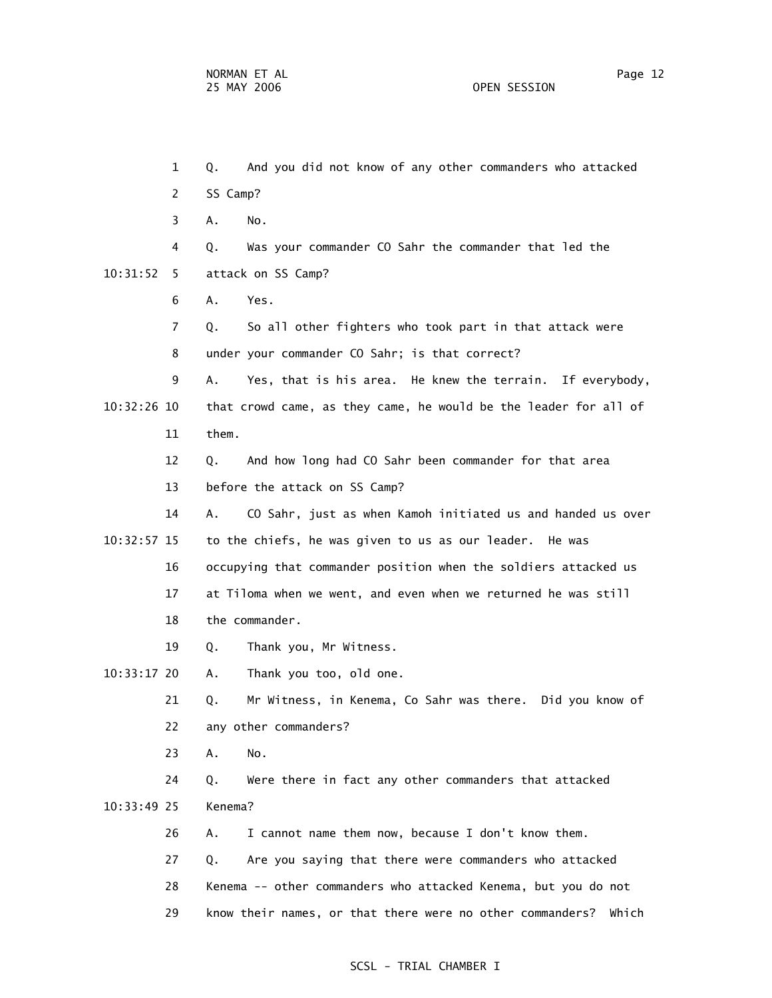1 Q. And you did not know of any other commanders who attacked 2 SS Camp? 3 A. No. 4 Q. Was your commander CO Sahr the commander that led the 10:31:52 5 attack on SS Camp? 6 A. Yes. 7 Q. So all other fighters who took part in that attack were 8 under your commander CO Sahr; is that correct? 9 A. Yes, that is his area. He knew the terrain. If everybody, 10:32:26 10 that crowd came, as they came, he would be the leader for all of 11 them. 12 Q. And how long had CO Sahr been commander for that area 13 before the attack on SS Camp? 14 A. CO Sahr, just as when Kamoh initiated us and handed us over 10:32:57 15 to the chiefs, he was given to us as our leader. He was 16 occupying that commander position when the soldiers attacked us 17 at Tiloma when we went, and even when we returned he was still 18 the commander. 19 Q. Thank you, Mr Witness. 10:33:17 20 A. Thank you too, old one. 21 Q. Mr Witness, in Kenema, Co Sahr was there. Did you know of 22 any other commanders? 23 A. No. 24 Q. Were there in fact any other commanders that attacked 10:33:49 25 Kenema? 26 A. I cannot name them now, because I don't know them. 27 Q. Are you saying that there were commanders who attacked 28 Kenema -- other commanders who attacked Kenema, but you do not 29 know their names, or that there were no other commanders? Which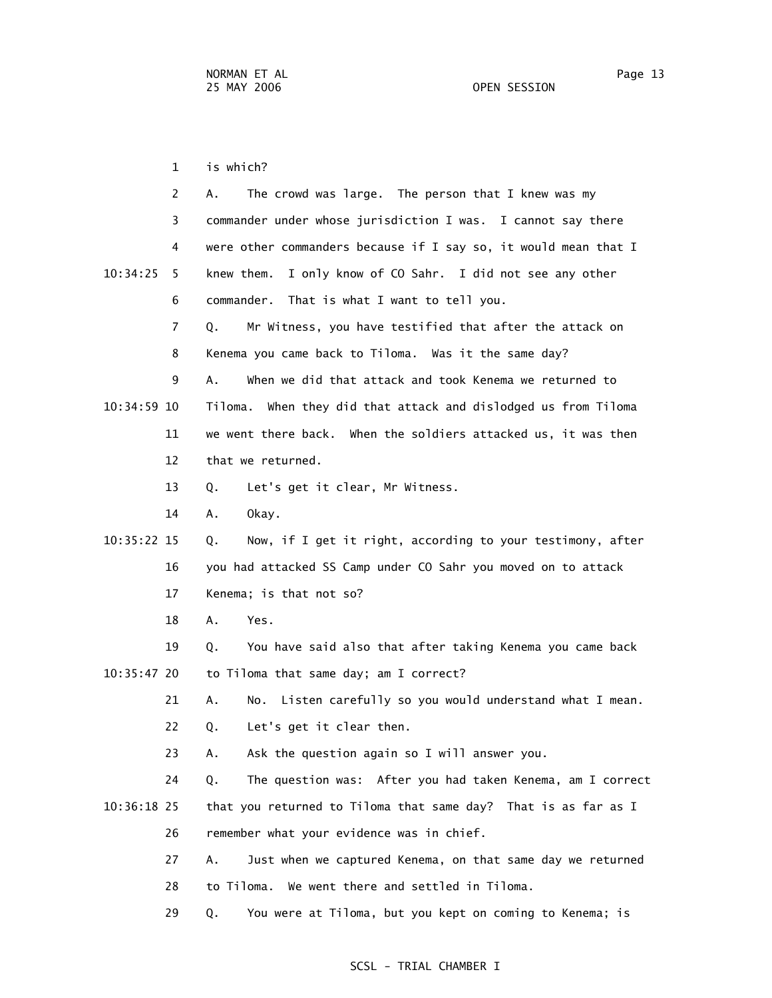1 is which? 2 A. The crowd was large. The person that I knew was my 3 commander under whose jurisdiction I was. I cannot say there 4 were other commanders because if I say so, it would mean that I 10:34:25 5 knew them. I only know of CO Sahr. I did not see any other 6 commander. That is what I want to tell you. 7 Q. Mr Witness, you have testified that after the attack on 8 Kenema you came back to Tiloma. Was it the same day? 9 A. When we did that attack and took Kenema we returned to 10:34:59 10 Tiloma. When they did that attack and dislodged us from Tiloma 11 we went there back. When the soldiers attacked us, it was then 12 that we returned. 13 Q. Let's get it clear, Mr Witness. 14 A. Okay. 10:35:22 15 Q. Now, if I get it right, according to your testimony, after 16 you had attacked SS Camp under CO Sahr you moved on to attack 17 Kenema; is that not so? 18 A. Yes. 19 Q. You have said also that after taking Kenema you came back 10:35:47 20 to Tiloma that same day; am I correct? 21 A. No. Listen carefully so you would understand what I mean. 22 Q. Let's get it clear then. 23 A. Ask the question again so I will answer you. 24 Q. The question was: After you had taken Kenema, am I correct 10:36:18 25 that you returned to Tiloma that same day? That is as far as I 26 remember what your evidence was in chief. 27 A. Just when we captured Kenema, on that same day we returned 28 to Tiloma. We went there and settled in Tiloma.

29 Q. You were at Tiloma, but you kept on coming to Kenema; is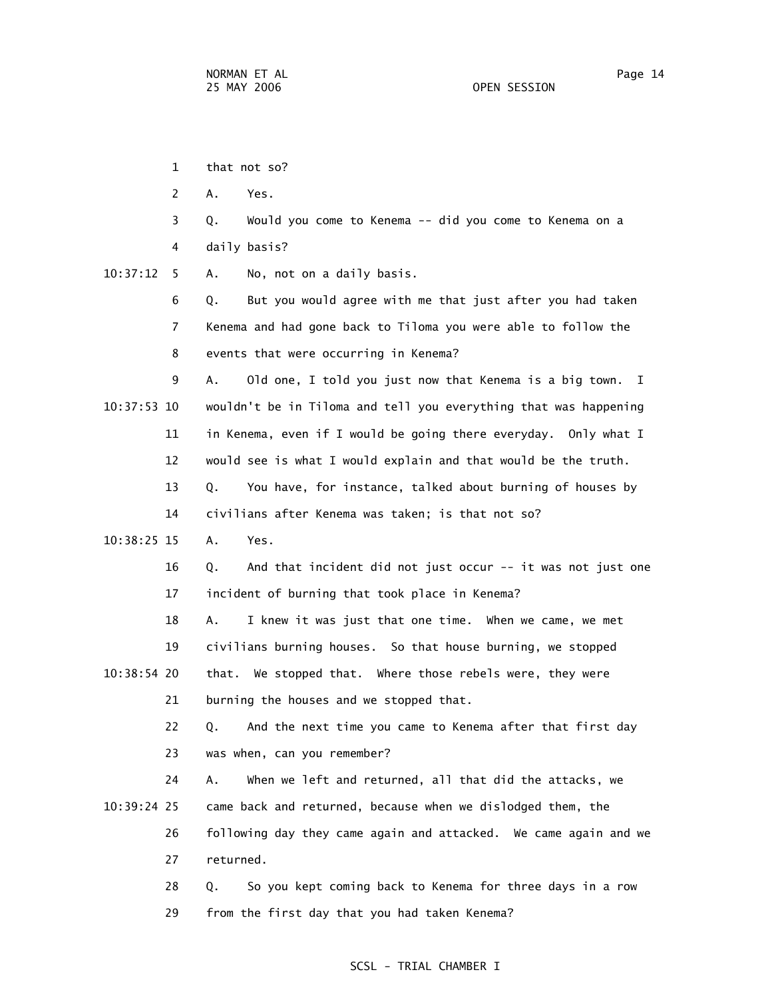- 1 that not so?
	- 2 A. Yes.
	- 3 Q. Would you come to Kenema -- did you come to Kenema on a 4 daily basis?
- 10:37:12 5 A. No, not on a daily basis.

 6 Q. But you would agree with me that just after you had taken 7 Kenema and had gone back to Tiloma you were able to follow the 8 events that were occurring in Kenema?

 9 A. Old one, I told you just now that Kenema is a big town. I 10:37:53 10 wouldn't be in Tiloma and tell you everything that was happening 11 in Kenema, even if I would be going there everyday. Only what I 12 would see is what I would explain and that would be the truth.

> 13 Q. You have, for instance, talked about burning of houses by 14 civilians after Kenema was taken; is that not so?

10:38:25 15 A. Yes.

 16 Q. And that incident did not just occur -- it was not just one 17 incident of burning that took place in Kenema?

18 A. I knew it was just that one time. When we came, we met

19 civilians burning houses. So that house burning, we stopped

 10:38:54 20 that. We stopped that. Where those rebels were, they were 21 burning the houses and we stopped that.

> 22 Q. And the next time you came to Kenema after that first day 23 was when, can you remember?

 24 A. When we left and returned, all that did the attacks, we 10:39:24 25 came back and returned, because when we dislodged them, the 26 following day they came again and attacked. We came again and we 27 returned.

> 28 Q. So you kept coming back to Kenema for three days in a row 29 from the first day that you had taken Kenema?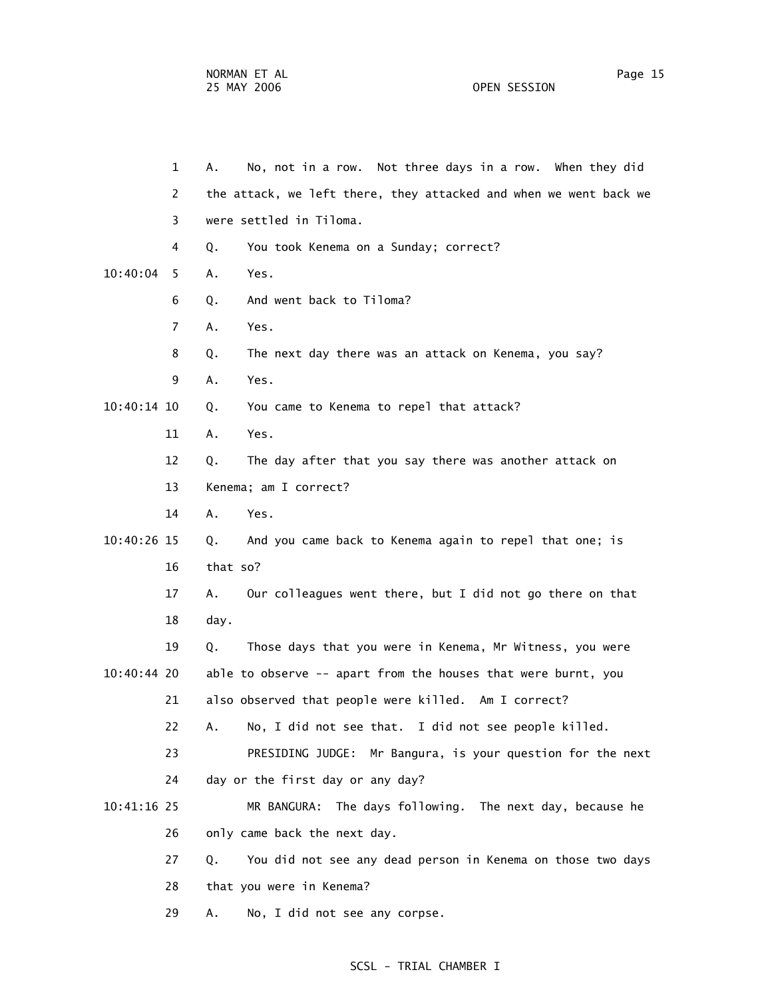1 A. No, not in a row. Not three days in a row. When they did 2 the attack, we left there, they attacked and when we went back we 3 were settled in Tiloma. 4 Q. You took Kenema on a Sunday; correct? 10:40:04 5 A. Yes. 6 Q. And went back to Tiloma? 7 A. Yes. 8 Q. The next day there was an attack on Kenema, you say? 9 A. Yes. 10:40:14 10 Q. You came to Kenema to repel that attack? 11 A. Yes. 12 Q. The day after that you say there was another attack on 13 Kenema; am I correct? 14 A. Yes. 10:40:26 15 Q. And you came back to Kenema again to repel that one; is 16 that so? 17 A. Our colleagues went there, but I did not go there on that 18 day. 19 Q. Those days that you were in Kenema, Mr Witness, you were 10:40:44 20 able to observe -- apart from the houses that were burnt, you 21 also observed that people were killed. Am I correct? 22 A. No, I did not see that. I did not see people killed. 23 PRESIDING JUDGE: Mr Bangura, is your question for the next 24 day or the first day or any day? 10:41:16 25 MR BANGURA: The days following. The next day, because he 26 only came back the next day. 27 Q. You did not see any dead person in Kenema on those two days 28 that you were in Kenema? 29 A. No, I did not see any corpse.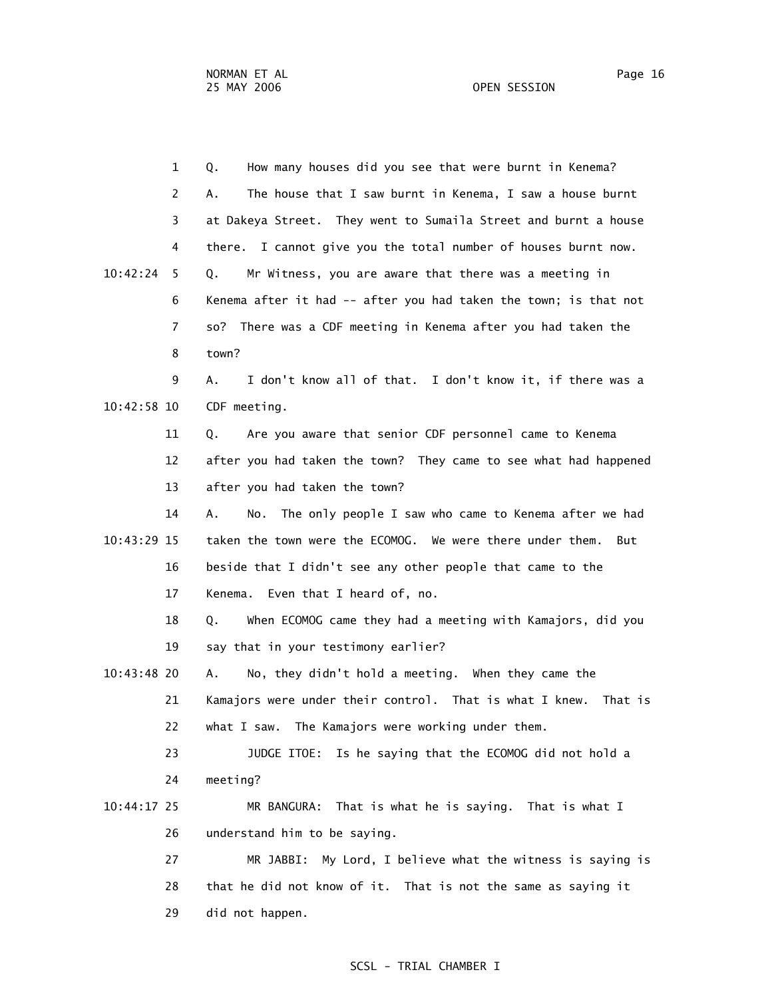1 Q. How many houses did you see that were burnt in Kenema? 2 A. The house that I saw burnt in Kenema, I saw a house burnt 3 at Dakeya Street. They went to Sumaila Street and burnt a house 4 there. I cannot give you the total number of houses burnt now. 10:42:24 5 Q. Mr Witness, you are aware that there was a meeting in 6 Kenema after it had -- after you had taken the town; is that not 7 so? There was a CDF meeting in Kenema after you had taken the 8 town? 9 A. I don't know all of that. I don't know it, if there was a 10:42:58 10 CDF meeting. 11 Q. Are you aware that senior CDF personnel came to Kenema 12 after you had taken the town? They came to see what had happened 13 after you had taken the town? 14 A. No. The only people I saw who came to Kenema after we had 10:43:29 15 taken the town were the ECOMOG. We were there under them. But 16 beside that I didn't see any other people that came to the 17 Kenema. Even that I heard of, no. 18 Q. When ECOMOG came they had a meeting with Kamajors, did you 19 say that in your testimony earlier? 10:43:48 20 A. No, they didn't hold a meeting. When they came the 21 Kamajors were under their control. That is what I knew. That is 22 what I saw. The Kamajors were working under them. 23 JUDGE ITOE: Is he saying that the ECOMOG did not hold a 24 meeting? 10:44:17 25 MR BANGURA: That is what he is saying. That is what I 26 understand him to be saying. 27 MR JABBI: My Lord, I believe what the witness is saying is 28 that he did not know of it. That is not the same as saying it 29 did not happen.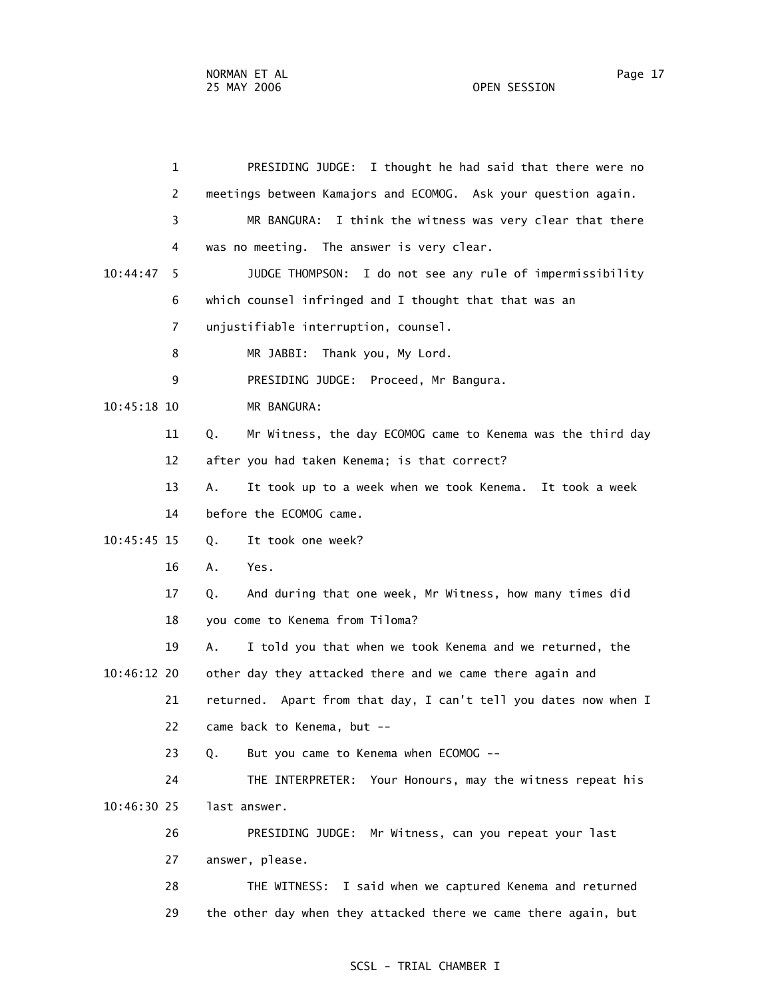1 PRESIDING JUDGE: I thought he had said that there were no 2 meetings between Kamajors and ECOMOG. Ask your question again. 3 MR BANGURA: I think the witness was very clear that there 4 was no meeting. The answer is very clear. 10:44:47 5 JUDGE THOMPSON: I do not see any rule of impermissibility 6 which counsel infringed and I thought that that was an 7 unjustifiable interruption, counsel. 8 MR JABBI: Thank you, My Lord. 9 PRESIDING JUDGE: Proceed, Mr Bangura. 10:45:18 10 MR BANGURA: 11 Q. Mr Witness, the day ECOMOG came to Kenema was the third day 12 after you had taken Kenema; is that correct? 13 A. It took up to a week when we took Kenema. It took a week 14 before the ECOMOG came. 10:45:45 15 Q. It took one week? 16 A. Yes. 17 Q. And during that one week, Mr Witness, how many times did 18 you come to Kenema from Tiloma? 19 A. I told you that when we took Kenema and we returned, the 10:46:12 20 other day they attacked there and we came there again and 21 returned. Apart from that day, I can't tell you dates now when I 22 came back to Kenema, but -- 23 Q. But you came to Kenema when ECOMOG -- 24 THE INTERPRETER: Your Honours, may the witness repeat his 10:46:30 25 last answer. 26 PRESIDING JUDGE: Mr Witness, can you repeat your last 27 answer, please. 28 THE WITNESS: I said when we captured Kenema and returned 29 the other day when they attacked there we came there again, but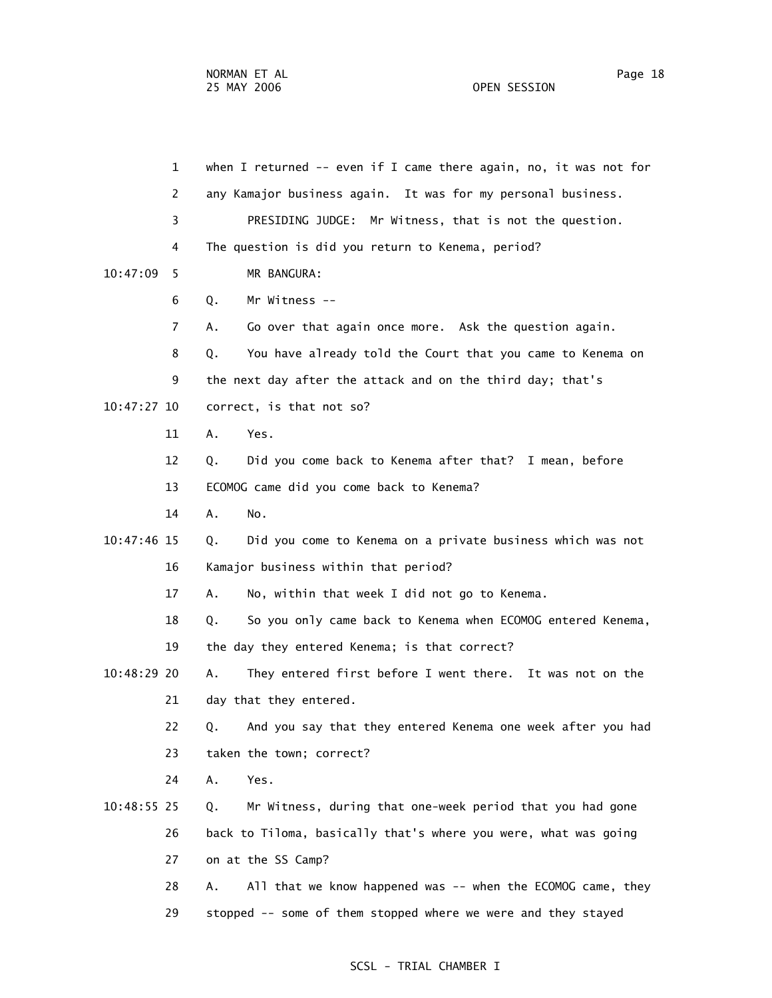| $\mathbf{1}$  | when I returned $--$ even if I came there again, no, it was not for |
|---------------|---------------------------------------------------------------------|
| 2             | any Kamajor business again. It was for my personal business.        |
| 3             | PRESIDING JUDGE: Mr Witness, that is not the question.              |
| 4             | The question is did you return to Kenema, period?                   |
| 10:47:09<br>5 | MR BANGURA:                                                         |
| 6             | Mr Witness --<br>Q.                                                 |
| 7             | Go over that again once more. Ask the question again.<br>А.         |
| 8             | You have already told the Court that you came to Kenema on<br>Q.    |
| 9             | the next day after the attack and on the third day; that's          |
| 10:47:27 10   | correct, is that not so?                                            |
| 11            | Yes.<br>Α.                                                          |
| 12            | Did you come back to Kenema after that? I mean, before<br>Q.        |
| 13            | ECOMOG came did you come back to Kenema?                            |
| 14            | A.<br>No.                                                           |
| 10:47:46 15   | Did you come to Kenema on a private business which was not<br>Q.    |
| 16            | Kamajor business within that period?                                |
| 17            | No, within that week I did not go to Kenema.<br>Α.                  |
| 18            | So you only came back to Kenema when ECOMOG entered Kenema,<br>Q.   |
| 19            | the day they entered Kenema; is that correct?                       |
| 10:48:29 20   | They entered first before I went there. It was not on the<br>А.     |
| 21            | day that they entered.                                              |
| 22            | And you say that they entered Kenema one week after you had<br>Q.   |
| 23            | taken the town; correct?                                            |
| 24            | Α.<br>Yes.                                                          |
| 10:48:55 25   | Mr Witness, during that one-week period that you had gone<br>Q.     |
| 26            | back to Tiloma, basically that's where you were, what was going     |
| 27            | on at the SS Camp?                                                  |
| 28            | All that we know happened was -- when the ECOMOG came, they<br>Α.   |
| 29            | stopped -- some of them stopped where we were and they stayed       |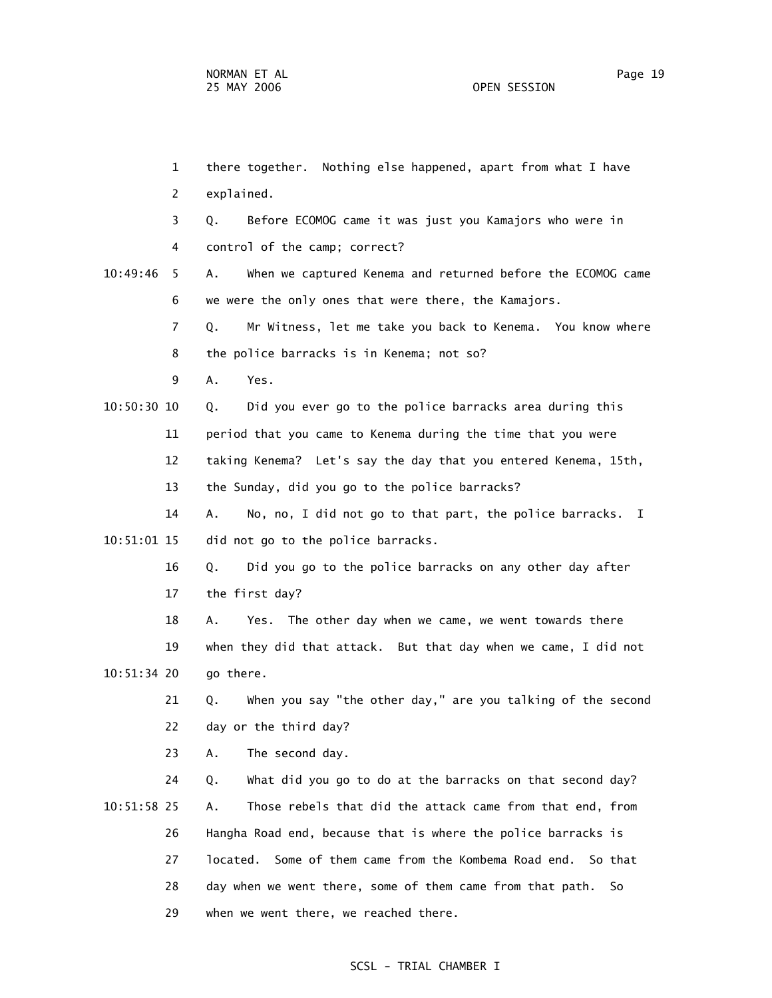1 there together. Nothing else happened, apart from what I have 2 explained. 3 Q. Before ECOMOG came it was just you Kamajors who were in 4 control of the camp; correct? 10:49:46 5 A. When we captured Kenema and returned before the ECOMOG came 6 we were the only ones that were there, the Kamajors. 7 Q. Mr Witness, let me take you back to Kenema. You know where 8 the police barracks is in Kenema; not so? 9 A. Yes. 10:50:30 10 Q. Did you ever go to the police barracks area during this 11 period that you came to Kenema during the time that you were 12 taking Kenema? Let's say the day that you entered Kenema, 15th, 13 the Sunday, did you go to the police barracks? 14 A. No, no, I did not go to that part, the police barracks. I 10:51:01 15 did not go to the police barracks. 16 Q. Did you go to the police barracks on any other day after 17 the first day? 18 A. Yes. The other day when we came, we went towards there 19 when they did that attack. But that day when we came, I did not 10:51:34 20 go there. 21 Q. When you say "the other day," are you talking of the second 22 day or the third day? 23 A. The second day. 24 Q. What did you go to do at the barracks on that second day? 10:51:58 25 A. Those rebels that did the attack came from that end, from 26 Hangha Road end, because that is where the police barracks is 27 located. Some of them came from the Kombema Road end. So that 28 day when we went there, some of them came from that path. So 29 when we went there, we reached there.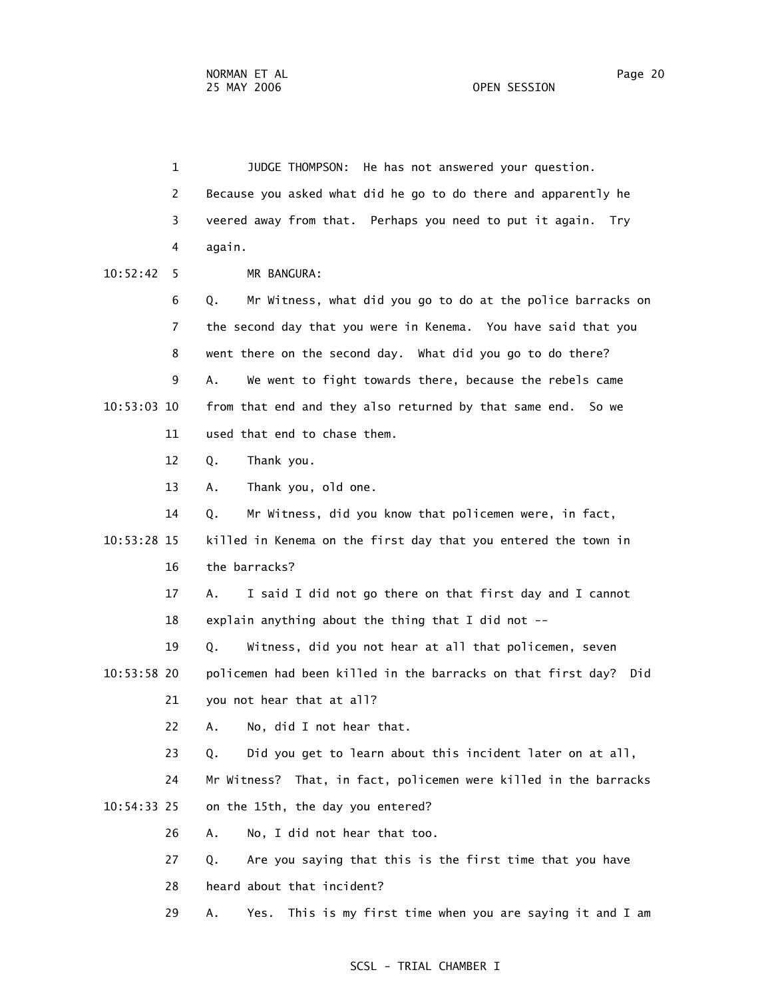1 JUDGE THOMPSON: He has not answered your question. 2 Because you asked what did he go to do there and apparently he 3 veered away from that. Perhaps you need to put it again. Try 4 again. 10:52:42 5 MR BANGURA: 6 Q. Mr Witness, what did you go to do at the police barracks on 7 the second day that you were in Kenema. You have said that you 8 went there on the second day. What did you go to do there? 9 A. We went to fight towards there, because the rebels came 10:53:03 10 from that end and they also returned by that same end. So we 11 used that end to chase them. 12 Q. Thank you. 13 A. Thank you, old one. 14 Q. Mr Witness, did you know that policemen were, in fact, 10:53:28 15 killed in Kenema on the first day that you entered the town in 16 the barracks? 17 A. I said I did not go there on that first day and I cannot 18 explain anything about the thing that I did not -- 19 Q. Witness, did you not hear at all that policemen, seven 10:53:58 20 policemen had been killed in the barracks on that first day? Did 21 you not hear that at all? 22 A. No, did I not hear that. 23 Q. Did you get to learn about this incident later on at all, 24 Mr Witness? That, in fact, policemen were killed in the barracks 10:54:33 25 on the 15th, the day you entered? 26 A. No, I did not hear that too. 27 Q. Are you saying that this is the first time that you have 28 heard about that incident?

29 A. Yes. This is my first time when you are saying it and I am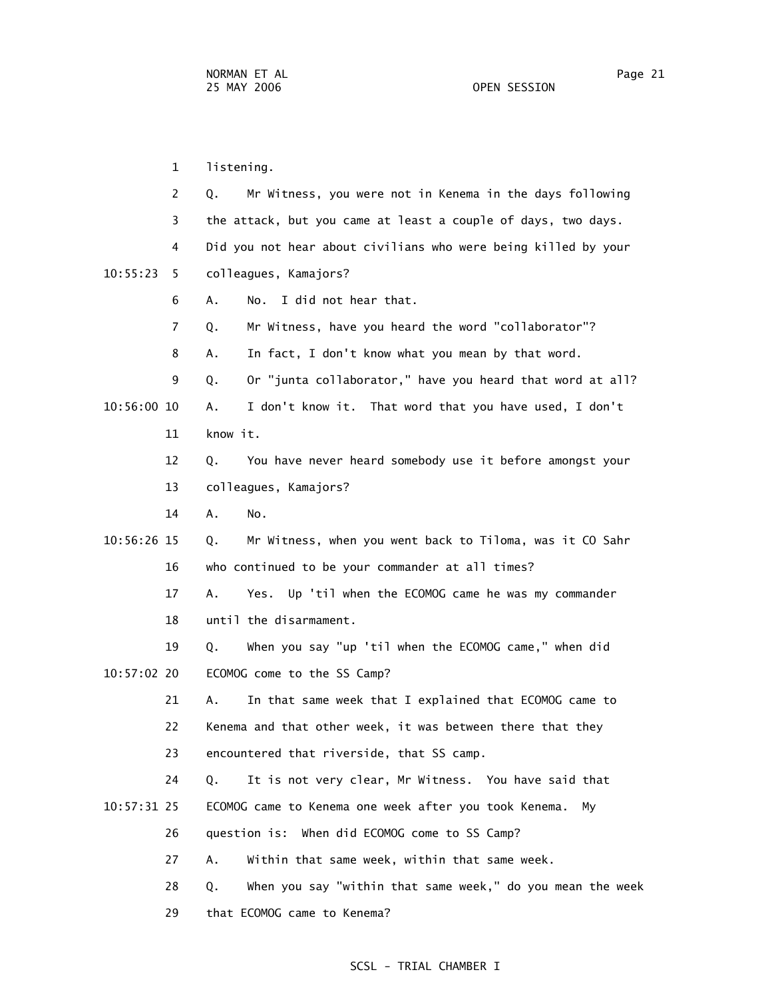1 listening. 2 Q. Mr Witness, you were not in Kenema in the days following 3 the attack, but you came at least a couple of days, two days. 4 Did you not hear about civilians who were being killed by your 10:55:23 5 colleagues, Kamajors? 6 A. No. I did not hear that. 7 Q. Mr Witness, have you heard the word "collaborator"? 8 A. In fact, I don't know what you mean by that word. 9 Q. Or "junta collaborator," have you heard that word at all? 10:56:00 10 A. I don't know it. That word that you have used, I don't 11 know it. 12 Q. You have never heard somebody use it before amongst your 13 colleagues, Kamajors? 14 A. No. 10:56:26 15 Q. Mr Witness, when you went back to Tiloma, was it CO Sahr 16 who continued to be your commander at all times? 17 A. Yes. Up 'til when the ECOMOG came he was my commander 18 until the disarmament. 19 Q. When you say "up 'til when the ECOMOG came," when did 10:57:02 20 ECOMOG come to the SS Camp? 21 A. In that same week that I explained that ECOMOG came to 22 Kenema and that other week, it was between there that they 23 encountered that riverside, that SS camp. 24 Q. It is not very clear, Mr Witness. You have said that 10:57:31 25 ECOMOG came to Kenema one week after you took Kenema. My 26 question is: When did ECOMOG come to SS Camp? 27 A. Within that same week, within that same week. 28 Q. When you say "within that same week," do you mean the week 29 that ECOMOG came to Kenema?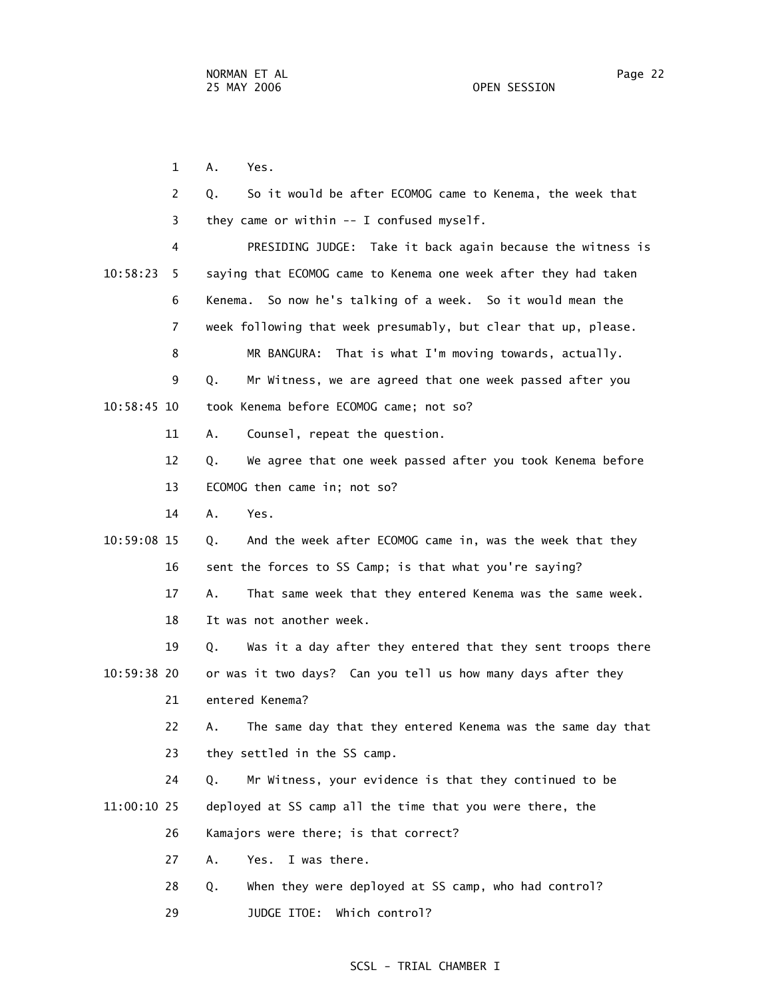1 A. Yes. 2 Q. So it would be after ECOMOG came to Kenema, the week that 3 they came or within -- I confused myself. 4 PRESIDING JUDGE: Take it back again because the witness is 10:58:23 5 saying that ECOMOG came to Kenema one week after they had taken 6 Kenema. So now he's talking of a week. So it would mean the 7 week following that week presumably, but clear that up, please. 8 MR BANGURA: That is what I'm moving towards, actually. 9 Q. Mr Witness, we are agreed that one week passed after you 10:58:45 10 took Kenema before ECOMOG came; not so? 11 A. Counsel, repeat the question. 12 Q. We agree that one week passed after you took Kenema before 13 ECOMOG then came in; not so? 14 A. Yes. 10:59:08 15 Q. And the week after ECOMOG came in, was the week that they 16 sent the forces to SS Camp; is that what you're saying? 17 A. That same week that they entered Kenema was the same week. 18 It was not another week. 19 Q. Was it a day after they entered that they sent troops there 10:59:38 20 or was it two days? Can you tell us how many days after they 21 entered Kenema? 22 A. The same day that they entered Kenema was the same day that 23 they settled in the SS camp. 24 Q. Mr Witness, your evidence is that they continued to be 11:00:10 25 deployed at SS camp all the time that you were there, the 26 Kamajors were there; is that correct? 27 A. Yes. I was there. 28 Q. When they were deployed at SS camp, who had control? 29 JUDGE ITOE: Which control?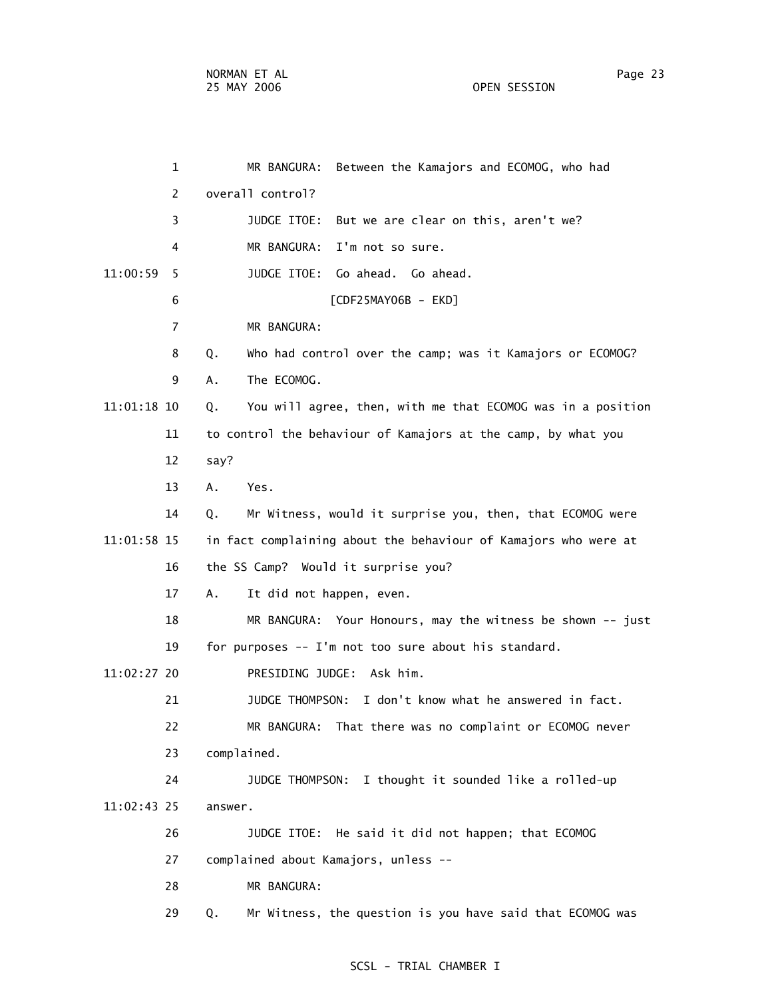1 MR BANGURA: Between the Kamajors and ECOMOG, who had 2 overall control? 3 JUDGE ITOE: But we are clear on this, aren't we? 4 MR BANGURA: I'm not so sure. 11:00:59 5 JUDGE ITOE: Go ahead. Go ahead. 6 [CDF25MAY06B - EKD] 7 MR BANGURA: 8 Q. Who had control over the camp; was it Kamajors or ECOMOG? 9 A. The ECOMOG. 11:01:18 10 Q. You will agree, then, with me that ECOMOG was in a position 11 to control the behaviour of Kamajors at the camp, by what you 12 say? 13 A. Yes. 14 Q. Mr Witness, would it surprise you, then, that ECOMOG were 11:01:58 15 in fact complaining about the behaviour of Kamajors who were at 16 the SS Camp? Would it surprise you? 17 A. It did not happen, even. 18 MR BANGURA: Your Honours, may the witness be shown -- just 19 for purposes -- I'm not too sure about his standard. 11:02:27 20 PRESIDING JUDGE: Ask him. 21 JUDGE THOMPSON: I don't know what he answered in fact. 22 MR BANGURA: That there was no complaint or ECOMOG never 23 complained. 24 JUDGE THOMPSON: I thought it sounded like a rolled-up 11:02:43 25 answer. 26 JUDGE ITOE: He said it did not happen; that ECOMOG 27 complained about Kamajors, unless -- 28 MR BANGURA: 29 Q. Mr Witness, the question is you have said that ECOMOG was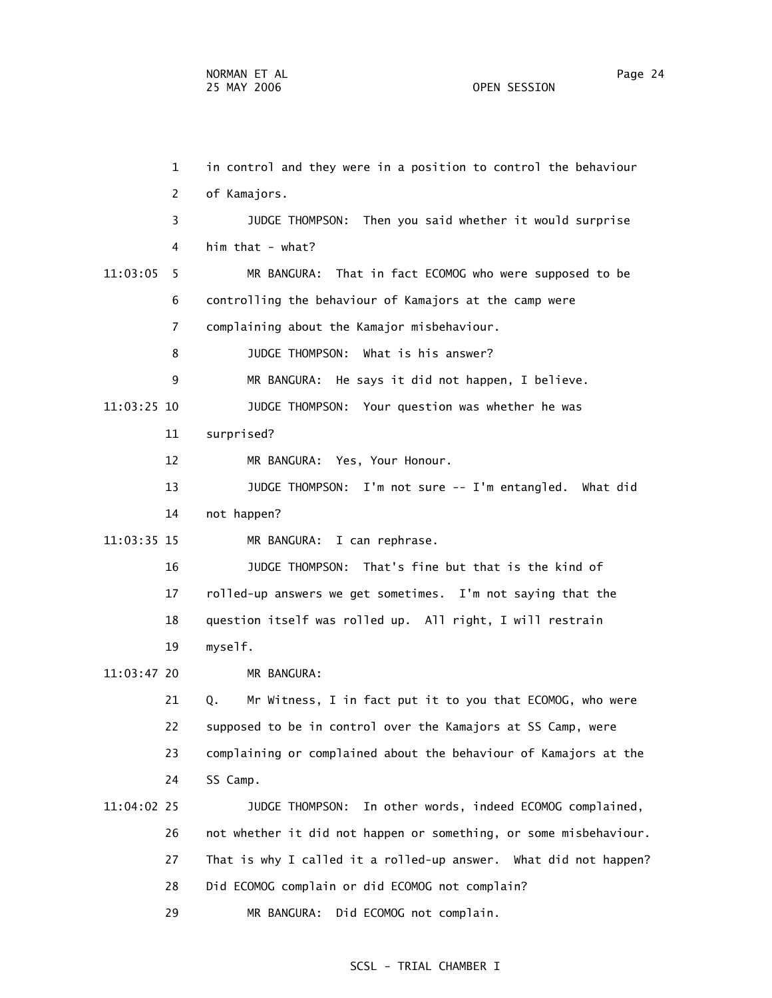1 in control and they were in a position to control the behaviour 2 of Kamajors. 3 JUDGE THOMPSON: Then you said whether it would surprise 4 him that - what? 11:03:05 5 MR BANGURA: That in fact ECOMOG who were supposed to be 6 controlling the behaviour of Kamajors at the camp were 7 complaining about the Kamajor misbehaviour. 8 JUDGE THOMPSON: What is his answer? 9 MR BANGURA: He says it did not happen, I believe. 11:03:25 10 JUDGE THOMPSON: Your question was whether he was 11 surprised? 12 MR BANGURA: Yes, Your Honour. 13 JUDGE THOMPSON: I'm not sure -- I'm entangled. What did 14 not happen? 11:03:35 15 MR BANGURA: I can rephrase. 16 JUDGE THOMPSON: That's fine but that is the kind of 17 rolled-up answers we get sometimes. I'm not saying that the 18 question itself was rolled up. All right, I will restrain 19 myself. 11:03:47 20 MR BANGURA: 21 Q. Mr Witness, I in fact put it to you that ECOMOG, who were 22 supposed to be in control over the Kamajors at SS Camp, were 23 complaining or complained about the behaviour of Kamajors at the 24 SS Camp. 11:04:02 25 JUDGE THOMPSON: In other words, indeed ECOMOG complained, 26 not whether it did not happen or something, or some misbehaviour. 27 That is why I called it a rolled-up answer. What did not happen? 28 Did ECOMOG complain or did ECOMOG not complain? 29 MR BANGURA: Did ECOMOG not complain.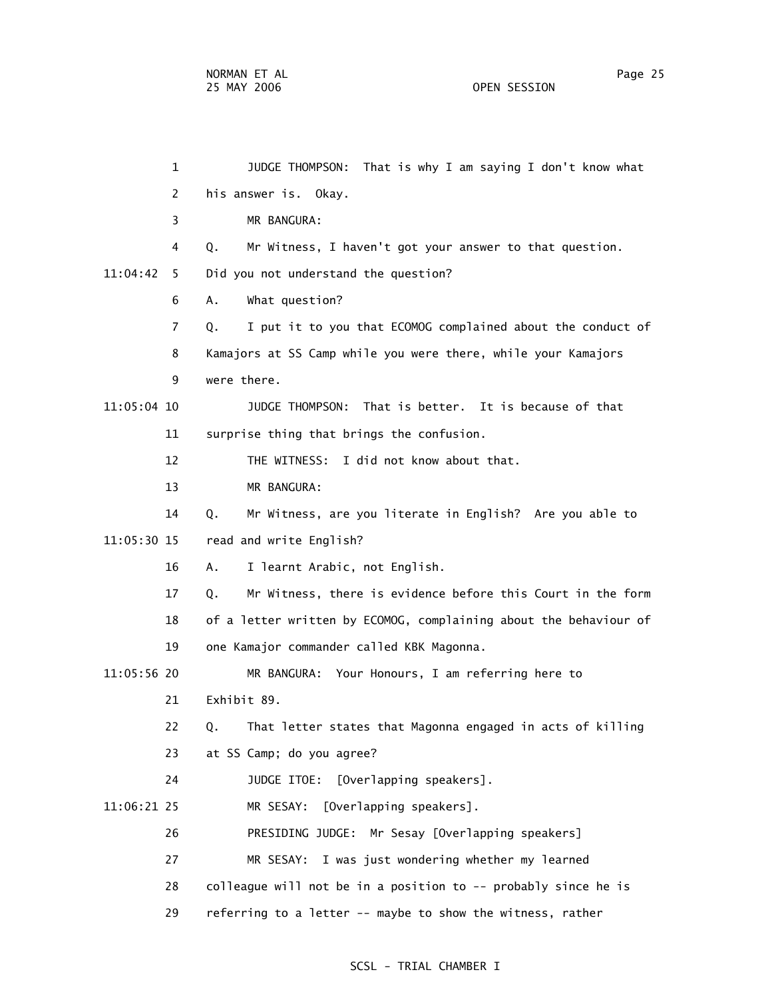1 JUDGE THOMPSON: That is why I am saying I don't know what 2 his answer is. Okay. 3 MR BANGURA: 4 Q. Mr Witness, I haven't got your answer to that question. 11:04:42 5 Did you not understand the question? 6 A. What question? 7 Q. I put it to you that ECOMOG complained about the conduct of 8 Kamajors at SS Camp while you were there, while your Kamajors 9 were there. 11:05:04 10 JUDGE THOMPSON: That is better. It is because of that 11 surprise thing that brings the confusion. 12 THE WITNESS: I did not know about that. 13 MR BANGURA: 14 Q. Mr Witness, are you literate in English? Are you able to 11:05:30 15 read and write English? 16 A. I learnt Arabic, not English. 17 Q. Mr Witness, there is evidence before this Court in the form 18 of a letter written by ECOMOG, complaining about the behaviour of 19 one Kamajor commander called KBK Magonna. 11:05:56 20 MR BANGURA: Your Honours, I am referring here to 21 Exhibit 89. 22 Q. That letter states that Magonna engaged in acts of killing 23 at SS Camp; do you agree? 24 JUDGE ITOE: [Overlapping speakers]. 11:06:21 25 MR SESAY: [Overlapping speakers]. 26 PRESIDING JUDGE: Mr Sesay [Overlapping speakers] 27 MR SESAY: I was just wondering whether my learned 28 colleague will not be in a position to -- probably since he is 29 referring to a letter -- maybe to show the witness, rather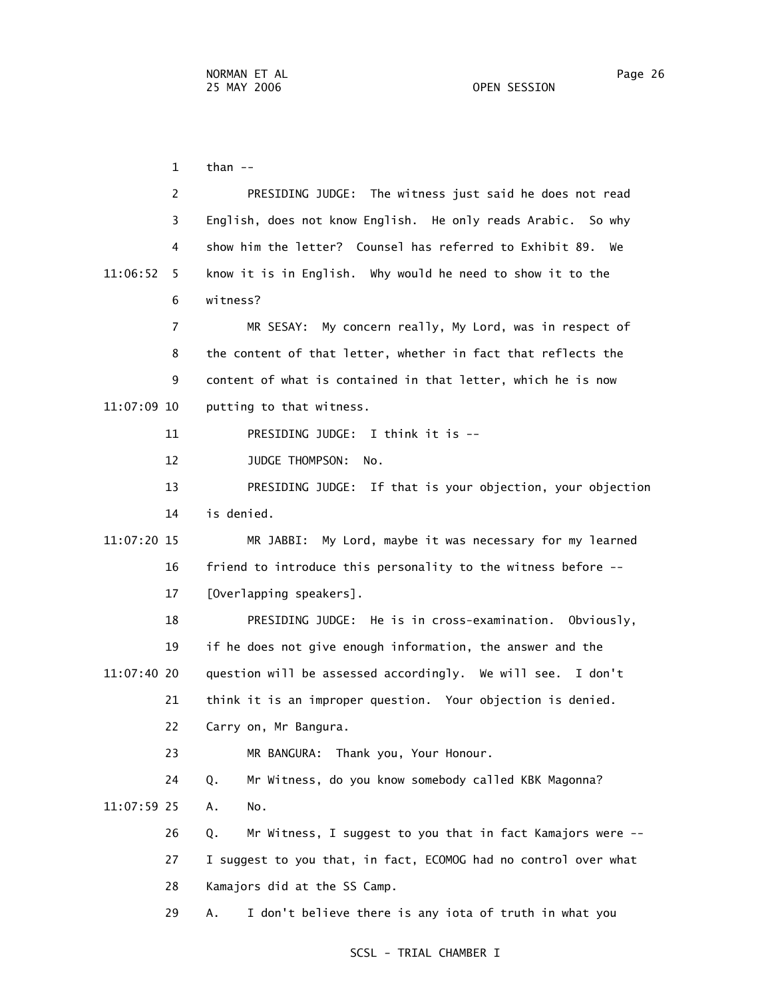$1$  than  $-$  2 PRESIDING JUDGE: The witness just said he does not read 3 English, does not know English. He only reads Arabic. So why 4 show him the letter? Counsel has referred to Exhibit 89. We 11:06:52 5 know it is in English. Why would he need to show it to the 6 witness? 7 MR SESAY: My concern really, My Lord, was in respect of 8 the content of that letter, whether in fact that reflects the 9 content of what is contained in that letter, which he is now 11:07:09 10 putting to that witness. 11 PRESIDING JUDGE: I think it is -- 12 JUDGE THOMPSON: No. 13 PRESIDING JUDGE: If that is your objection, your objection 14 is denied. 11:07:20 15 MR JABBI: My Lord, maybe it was necessary for my learned 16 friend to introduce this personality to the witness before -- 17 [Overlapping speakers]. 18 PRESIDING JUDGE: He is in cross-examination. Obviously, 19 if he does not give enough information, the answer and the 11:07:40 20 question will be assessed accordingly. We will see. I don't 21 think it is an improper question. Your objection is denied. 22 Carry on, Mr Bangura. 23 MR BANGURA: Thank you, Your Honour. 24 Q. Mr Witness, do you know somebody called KBK Magonna? 11:07:59 25 A. No. 26 Q. Mr Witness, I suggest to you that in fact Kamajors were -- 27 I suggest to you that, in fact, ECOMOG had no control over what 28 Kamajors did at the SS Camp. 29 A. I don't believe there is any iota of truth in what you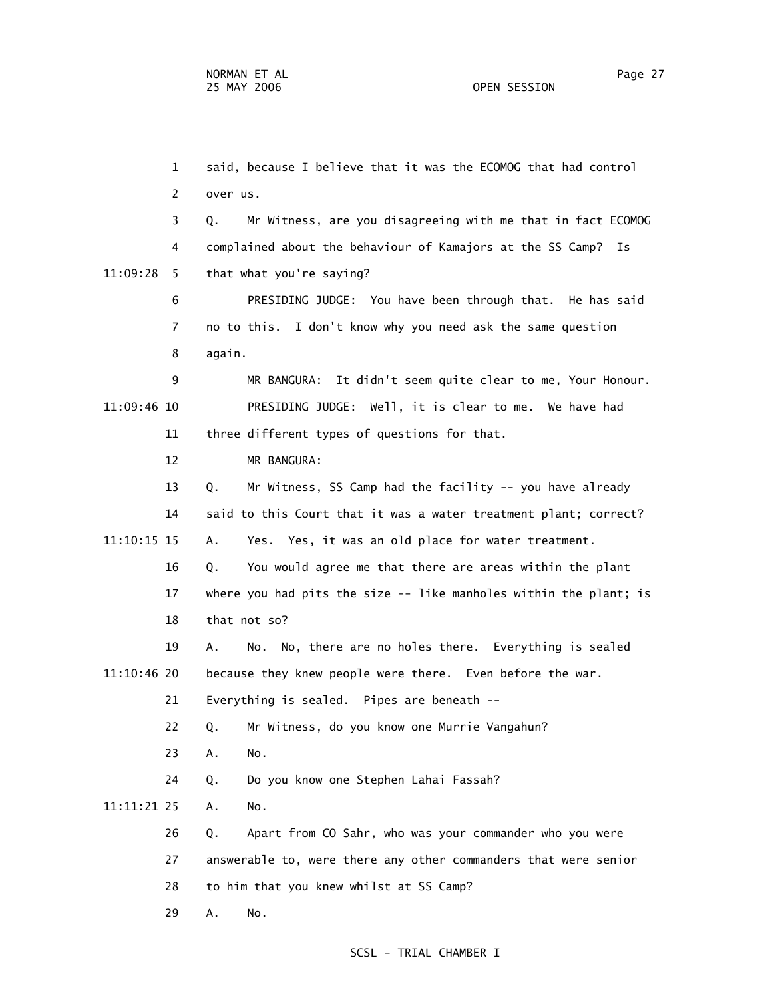1 said, because I believe that it was the ECOMOG that had control 2 over us. 3 Q. Mr Witness, are you disagreeing with me that in fact ECOMOG 4 complained about the behaviour of Kamajors at the SS Camp? Is 11:09:28 5 that what you're saying? 6 PRESIDING JUDGE: You have been through that. He has said 7 no to this. I don't know why you need ask the same question 8 again. 9 MR BANGURA: It didn't seem quite clear to me, Your Honour. 11:09:46 10 PRESIDING JUDGE: Well, it is clear to me. We have had 11 three different types of questions for that. 12 MR BANGURA: 13 Q. Mr Witness, SS Camp had the facility -- you have already 14 said to this Court that it was a water treatment plant; correct? 11:10:15 15 A. Yes. Yes, it was an old place for water treatment. 16 Q. You would agree me that there are areas within the plant 17 where you had pits the size -- like manholes within the plant; is 18 that not so? 19 A. No. No, there are no holes there. Everything is sealed 11:10:46 20 because they knew people were there. Even before the war. 21 Everything is sealed. Pipes are beneath -- 22 Q. Mr Witness, do you know one Murrie Vangahun? 23 A. No. 24 Q. Do you know one Stephen Lahai Fassah? 11:11:21 25 A. No. 26 Q. Apart from CO Sahr, who was your commander who you were 27 answerable to, were there any other commanders that were senior 28 to him that you knew whilst at SS Camp? 29 A. No.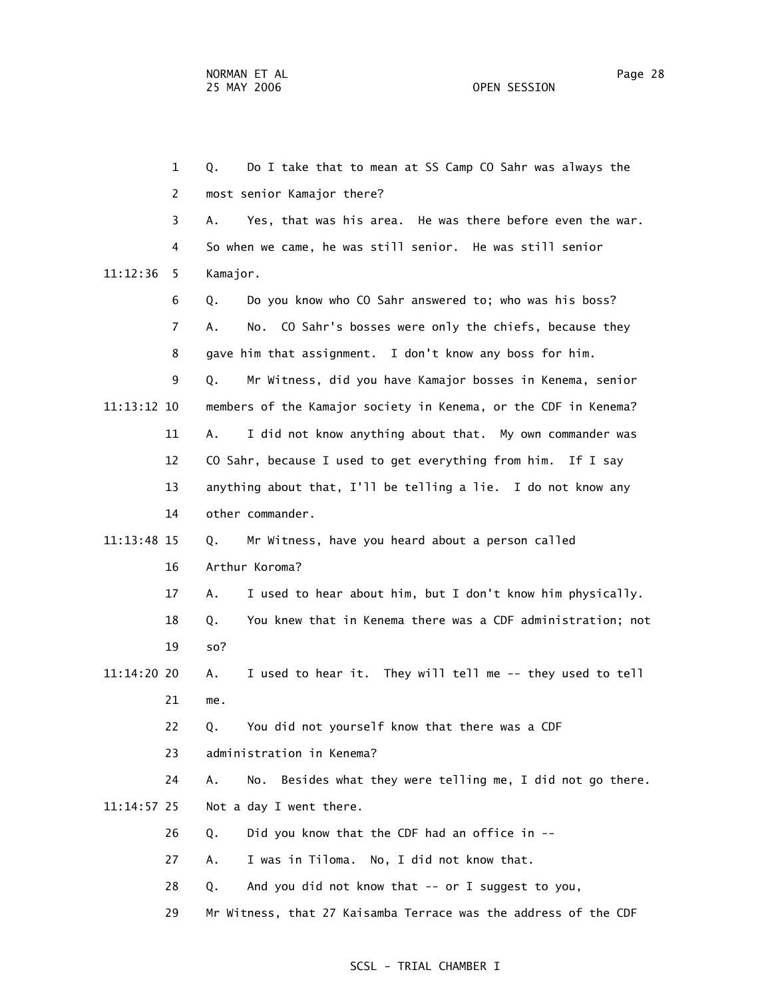1 Q. Do I take that to mean at SS Camp CO Sahr was always the 2 most senior Kamajor there? 3 A. Yes, that was his area. He was there before even the war. 4 So when we came, he was still senior. He was still senior 11:12:36 5 Kamajor. 6 Q. Do you know who CO Sahr answered to; who was his boss? 7 A. No. CO Sahr's bosses were only the chiefs, because they 8 gave him that assignment. I don't know any boss for him. 9 Q. Mr Witness, did you have Kamajor bosses in Kenema, senior 11:13:12 10 members of the Kamajor society in Kenema, or the CDF in Kenema? 11 A. I did not know anything about that. My own commander was 12 CO Sahr, because I used to get everything from him. If I say 13 anything about that, I'll be telling a lie. I do not know any 14 other commander. 11:13:48 15 Q. Mr Witness, have you heard about a person called 16 Arthur Koroma? 17 A. I used to hear about him, but I don't know him physically. 18 Q. You knew that in Kenema there was a CDF administration; not 19 so? 11:14:20 20 A. I used to hear it. They will tell me -- they used to tell 21 me. 22 Q. You did not yourself know that there was a CDF 23 administration in Kenema? 24 A. No. Besides what they were telling me, I did not go there. 11:14:57 25 Not a day I went there. 26 Q. Did you know that the CDF had an office in -- 27 A. I was in Tiloma. No, I did not know that. 28 Q. And you did not know that -- or I suggest to you, 29 Mr Witness, that 27 Kaisamba Terrace was the address of the CDF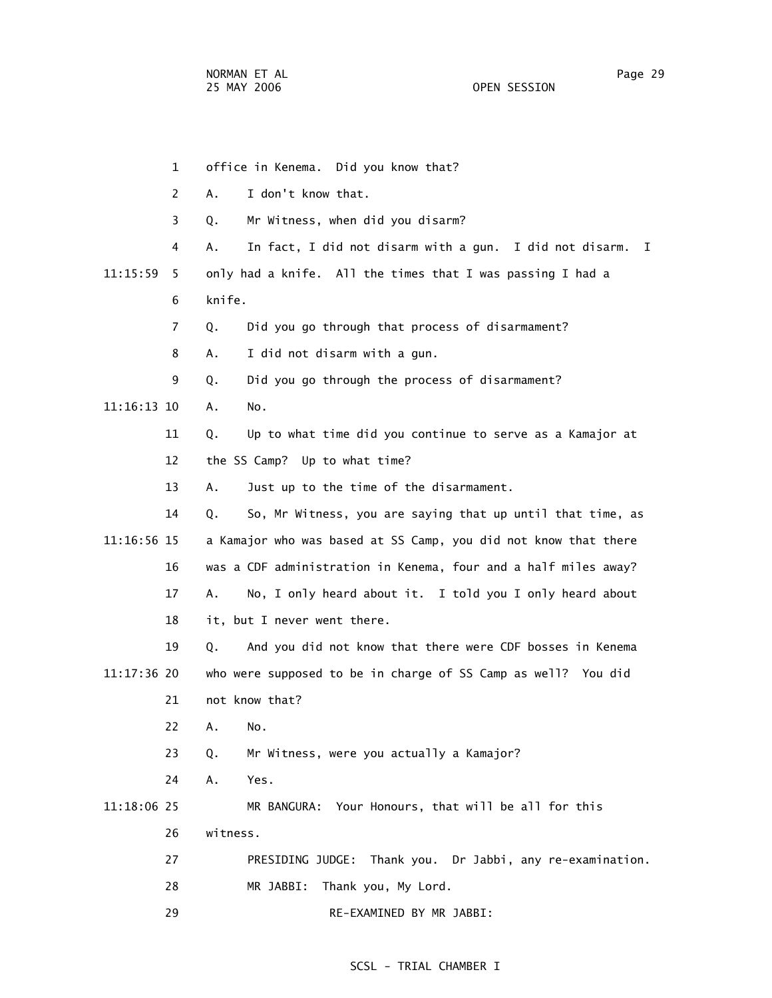1 office in Kenema. Did you know that? 2 A. I don't know that. 3 Q. Mr Witness, when did you disarm? 4 A. In fact, I did not disarm with a gun. I did not disarm. I 11:15:59 5 only had a knife. All the times that I was passing I had a 6 knife. 7 Q. Did you go through that process of disarmament? 8 A. I did not disarm with a gun. 9 Q. Did you go through the process of disarmament? 11:16:13 10 A. No. 11 Q. Up to what time did you continue to serve as a Kamajor at 12 the SS Camp? Up to what time? 13 A. Just up to the time of the disarmament. 14 Q. So, Mr Witness, you are saying that up until that time, as 11:16:56 15 a Kamajor who was based at SS Camp, you did not know that there 16 was a CDF administration in Kenema, four and a half miles away? 17 A. No, I only heard about it. I told you I only heard about 18 it, but I never went there. 19 Q. And you did not know that there were CDF bosses in Kenema 11:17:36 20 who were supposed to be in charge of SS Camp as well? You did 21 not know that? 22 A. No. 23 Q. Mr Witness, were you actually a Kamajor? 24 A. Yes. 11:18:06 25 MR BANGURA: Your Honours, that will be all for this 26 witness. 27 PRESIDING JUDGE: Thank you. Dr Jabbi, any re-examination. 28 MR JABBI: Thank you, My Lord. 29 RE-EXAMINED BY MR JABBI: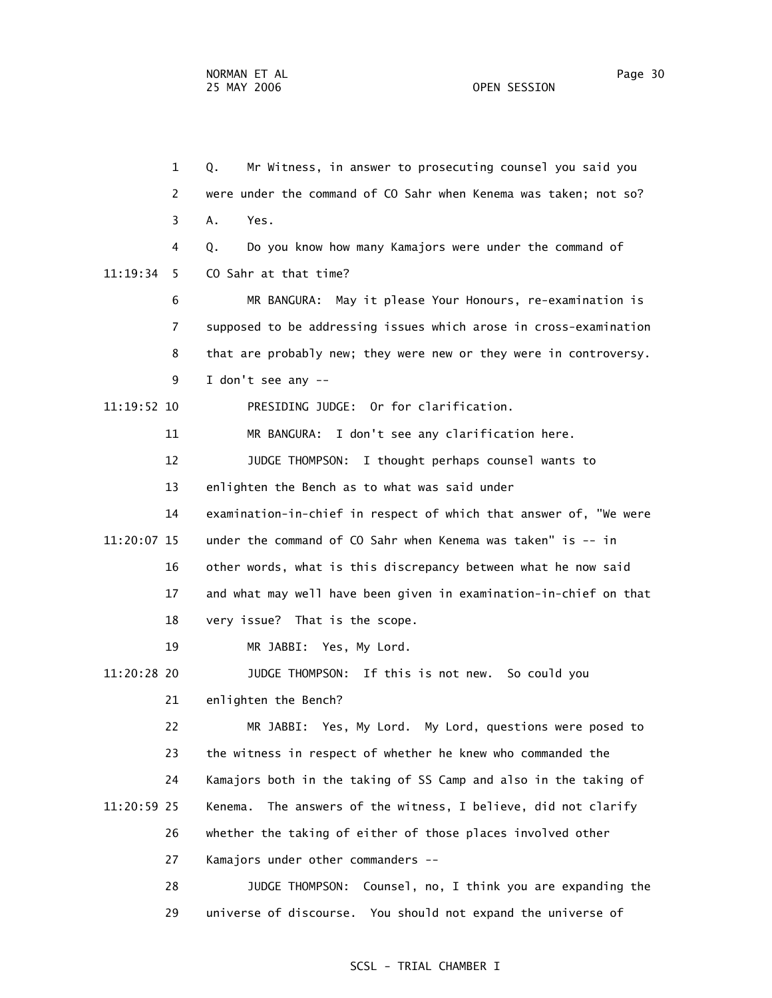1 Q. Mr Witness, in answer to prosecuting counsel you said you 2 were under the command of CO Sahr when Kenema was taken; not so? 3 A. Yes. 4 Q. Do you know how many Kamajors were under the command of 11:19:34 5 CO Sahr at that time? 6 MR BANGURA: May it please Your Honours, re-examination is 7 supposed to be addressing issues which arose in cross-examination 8 that are probably new; they were new or they were in controversy. 9 I don't see any -- 11:19:52 10 PRESIDING JUDGE: Or for clarification. 11 MR BANGURA: I don't see any clarification here. 12 JUDGE THOMPSON: I thought perhaps counsel wants to 13 enlighten the Bench as to what was said under 14 examination-in-chief in respect of which that answer of, "We were 11:20:07 15 under the command of CO Sahr when Kenema was taken" is -- in 16 other words, what is this discrepancy between what he now said 17 and what may well have been given in examination-in-chief on that 18 very issue? That is the scope. 19 MR JABBI: Yes, My Lord. 11:20:28 20 JUDGE THOMPSON: If this is not new. So could you 21 enlighten the Bench? 22 MR JABBI: Yes, My Lord. My Lord, questions were posed to 23 the witness in respect of whether he knew who commanded the 24 Kamajors both in the taking of SS Camp and also in the taking of 11:20:59 25 Kenema. The answers of the witness, I believe, did not clarify 26 whether the taking of either of those places involved other 27 Kamajors under other commanders -- 28 JUDGE THOMPSON: Counsel, no, I think you are expanding the

#### SCSL - TRIAL CHAMBER I

29 universe of discourse. You should not expand the universe of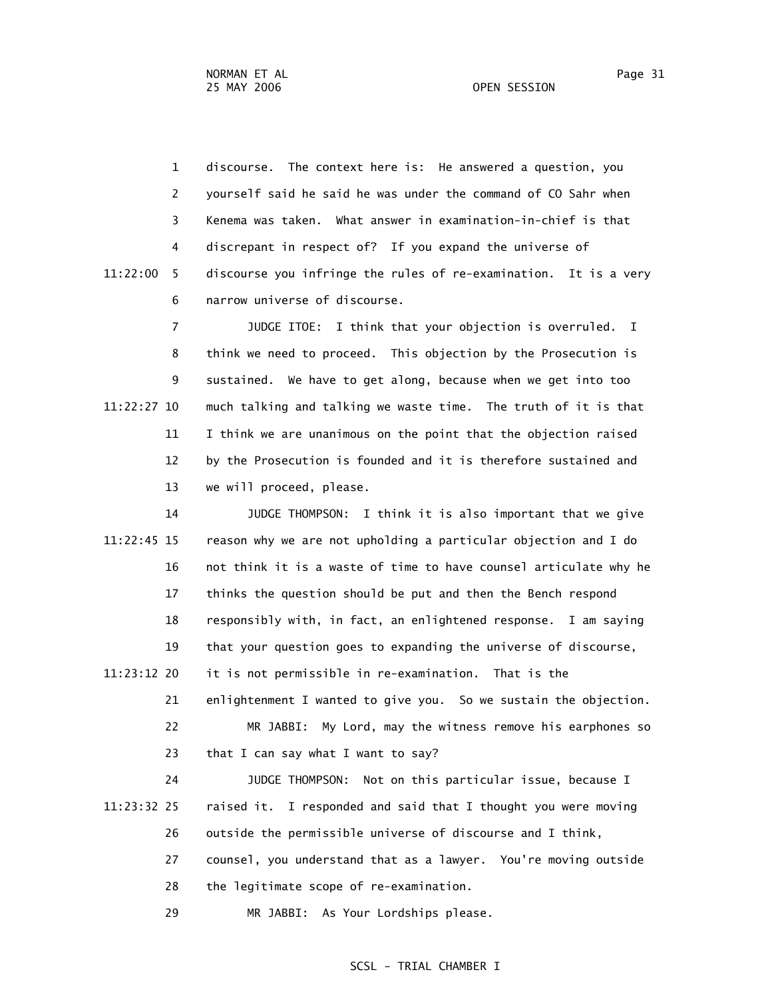1 discourse. The context here is: He answered a question, you 2 yourself said he said he was under the command of CO Sahr when 3 Kenema was taken. What answer in examination-in-chief is that 4 discrepant in respect of? If you expand the universe of 11:22:00 5 discourse you infringe the rules of re-examination. It is a very 6 narrow universe of discourse.

 7 JUDGE ITOE: I think that your objection is overruled. I 8 think we need to proceed. This objection by the Prosecution is 9 sustained. We have to get along, because when we get into too 11:22:27 10 much talking and talking we waste time. The truth of it is that 11 I think we are unanimous on the point that the objection raised 12 by the Prosecution is founded and it is therefore sustained and 13 we will proceed, please.

 14 JUDGE THOMPSON: I think it is also important that we give 11:22:45 15 reason why we are not upholding a particular objection and I do 16 not think it is a waste of time to have counsel articulate why he 17 thinks the question should be put and then the Bench respond 18 responsibly with, in fact, an enlightened response. I am saying 19 that your question goes to expanding the universe of discourse, 11:23:12 20 it is not permissible in re-examination. That is the 21 enlightenment I wanted to give you. So we sustain the objection. 22 MR JABBI: My Lord, may the witness remove his earphones so 23 that I can say what I want to say? 24 JUDGE THOMPSON: Not on this particular issue, because I 11:23:32 25 raised it. I responded and said that I thought you were moving 26 outside the permissible universe of discourse and I think, 27 counsel, you understand that as a lawyer. You're moving outside 28 the legitimate scope of re-examination.

29 MR JABBI: As Your Lordships please.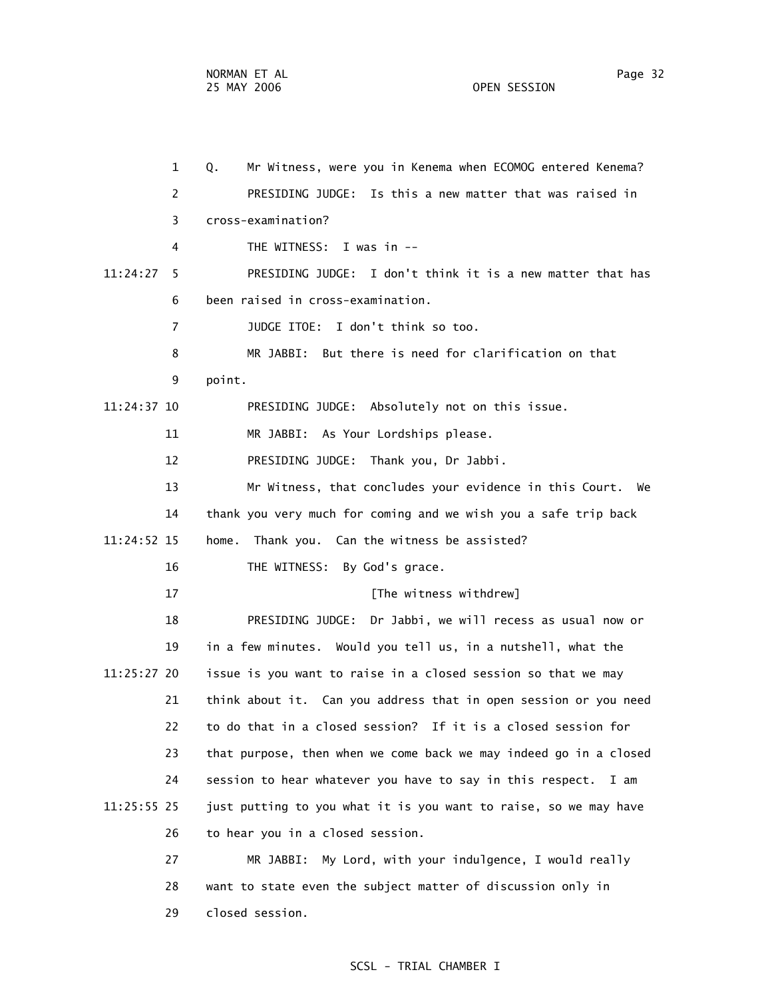1 Q. Mr Witness, were you in Kenema when ECOMOG entered Kenema? 2 PRESIDING JUDGE: Is this a new matter that was raised in 3 cross-examination? 4 THE WITNESS: I was in -- 11:24:27 5 PRESIDING JUDGE: I don't think it is a new matter that has 6 been raised in cross-examination. 7 JUDGE ITOE: I don't think so too. 8 MR JABBI: But there is need for clarification on that 9 point. 11:24:37 10 PRESIDING JUDGE: Absolutely not on this issue. 11 MR JABBI: As Your Lordships please. 12 PRESIDING JUDGE: Thank you, Dr Jabbi. 13 Mr Witness, that concludes your evidence in this Court. We 14 thank you very much for coming and we wish you a safe trip back 11:24:52 15 home. Thank you. Can the witness be assisted? 16 THE WITNESS: By God's grace. 17 **IThe witness withdrew**] 18 PRESIDING JUDGE: Dr Jabbi, we will recess as usual now or 19 in a few minutes. Would you tell us, in a nutshell, what the 11:25:27 20 issue is you want to raise in a closed session so that we may 21 think about it. Can you address that in open session or you need 22 to do that in a closed session? If it is a closed session for 23 that purpose, then when we come back we may indeed go in a closed 24 session to hear whatever you have to say in this respect. I am 11:25:55 25 just putting to you what it is you want to raise, so we may have 26 to hear you in a closed session. 27 MR JABBI: My Lord, with your indulgence, I would really 28 want to state even the subject matter of discussion only in 29 closed session.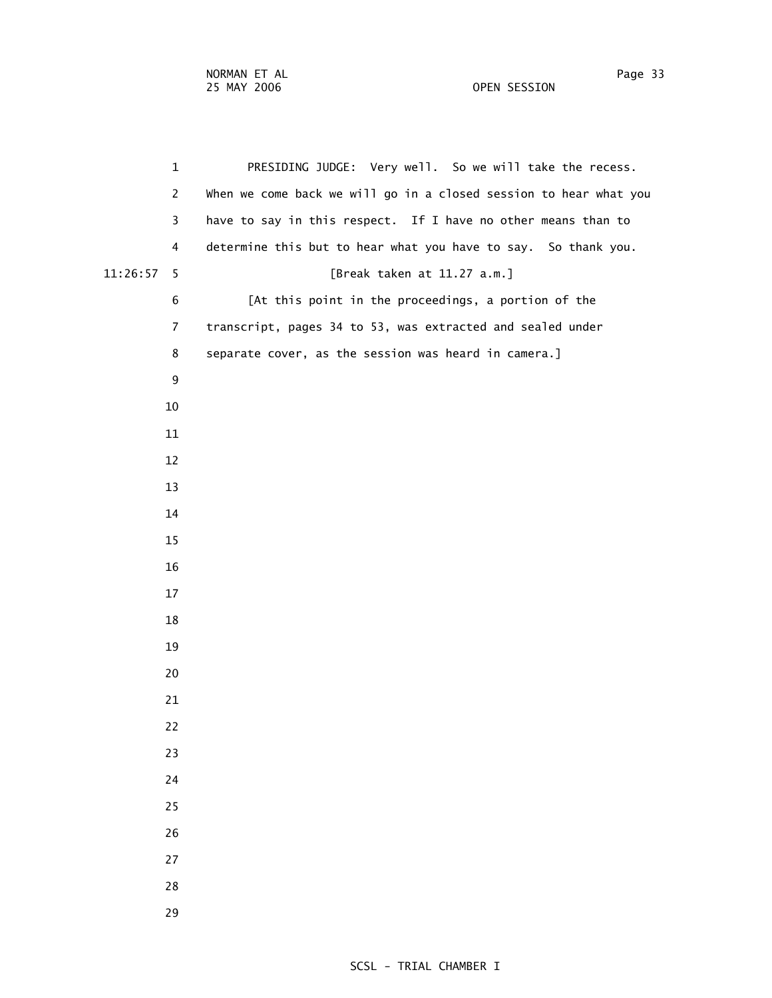1 PRESIDING JUDGE: Very well. So we will take the recess. 2 When we come back we will go in a closed session to hear what you 3 have to say in this respect. If I have no other means than to 4 determine this but to hear what you have to say. So thank you. 11:26:57 5 [Break taken at 11.27 a.m.] 6 [At this point in the proceedings, a portion of the 7 transcript, pages 34 to 53, was extracted and sealed under 8 separate cover, as the session was heard in camera.]

- -
	-
	-
	-
	-
	-
	-
	-
	-
	-
	-
	-
	-
	-
	-
	-
	-
	-
	-
	-
	-
	-
	-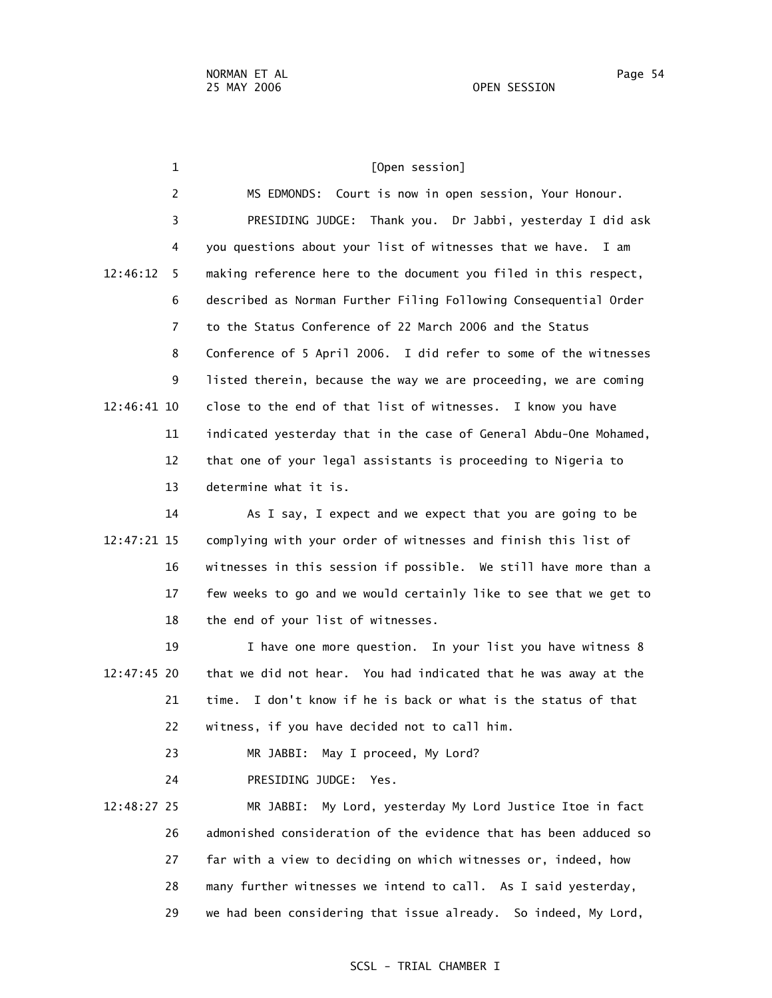1 **Construction** TOpen session] 2 MS EDMONDS: Court is now in open session, Your Honour. 3 PRESIDING JUDGE: Thank you. Dr Jabbi, yesterday I did ask 4 you questions about your list of witnesses that we have. I am 12:46:12 5 making reference here to the document you filed in this respect, 6 described as Norman Further Filing Following Consequential Order 7 to the Status Conference of 22 March 2006 and the Status 8 Conference of 5 April 2006. I did refer to some of the witnesses 9 listed therein, because the way we are proceeding, we are coming 12:46:41 10 close to the end of that list of witnesses. I know you have 11 indicated yesterday that in the case of General Abdu-One Mohamed, 12 that one of your legal assistants is proceeding to Nigeria to 13 determine what it is. 14 As I say, I expect and we expect that you are going to be 12:47:21 15 complying with your order of witnesses and finish this list of 16 witnesses in this session if possible. We still have more than a 17 few weeks to go and we would certainly like to see that we get to 18 the end of your list of witnesses. 19 I have one more question. In your list you have witness 8 12:47:45 20 that we did not hear. You had indicated that he was away at the 21 time. I don't know if he is back or what is the status of that 22 witness, if you have decided not to call him. 23 MR JABBI: May I proceed, My Lord? 24 PRESIDING JUDGE: Yes. 12:48:27 25 MR JABBI: My Lord, yesterday My Lord Justice Itoe in fact 26 admonished consideration of the evidence that has been adduced so 27 far with a view to deciding on which witnesses or, indeed, how

- 28 many further witnesses we intend to call. As I said yesterday,
- 29 we had been considering that issue already. So indeed, My Lord,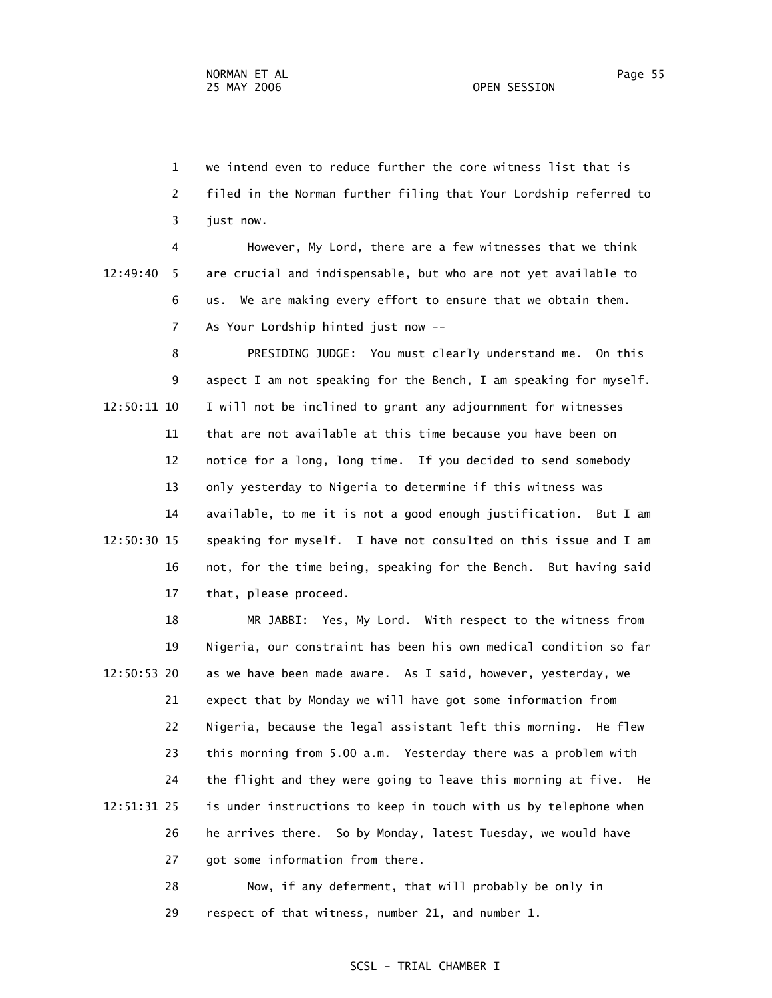1 we intend even to reduce further the core witness list that is 2 filed in the Norman further filing that Your Lordship referred to 3 just now.

 4 However, My Lord, there are a few witnesses that we think 12:49:40 5 are crucial and indispensable, but who are not yet available to 6 us. We are making every effort to ensure that we obtain them. 7 As Your Lordship hinted just now --

 8 PRESIDING JUDGE: You must clearly understand me. On this 9 aspect I am not speaking for the Bench, I am speaking for myself. 12:50:11 10 I will not be inclined to grant any adjournment for witnesses 11 that are not available at this time because you have been on 12 notice for a long, long time. If you decided to send somebody 13 only yesterday to Nigeria to determine if this witness was 14 available, to me it is not a good enough justification. But I am 12:50:30 15 speaking for myself. I have not consulted on this issue and I am 16 not, for the time being, speaking for the Bench. But having said 17 that, please proceed.

 18 MR JABBI: Yes, My Lord. With respect to the witness from 19 Nigeria, our constraint has been his own medical condition so far 12:50:53 20 as we have been made aware. As I said, however, yesterday, we 21 expect that by Monday we will have got some information from 22 Nigeria, because the legal assistant left this morning. He flew 23 this morning from 5.00 a.m. Yesterday there was a problem with 24 the flight and they were going to leave this morning at five. He 12:51:31 25 is under instructions to keep in touch with us by telephone when 26 he arrives there. So by Monday, latest Tuesday, we would have 27 got some information from there.

> 28 Now, if any deferment, that will probably be only in 29 respect of that witness, number 21, and number 1.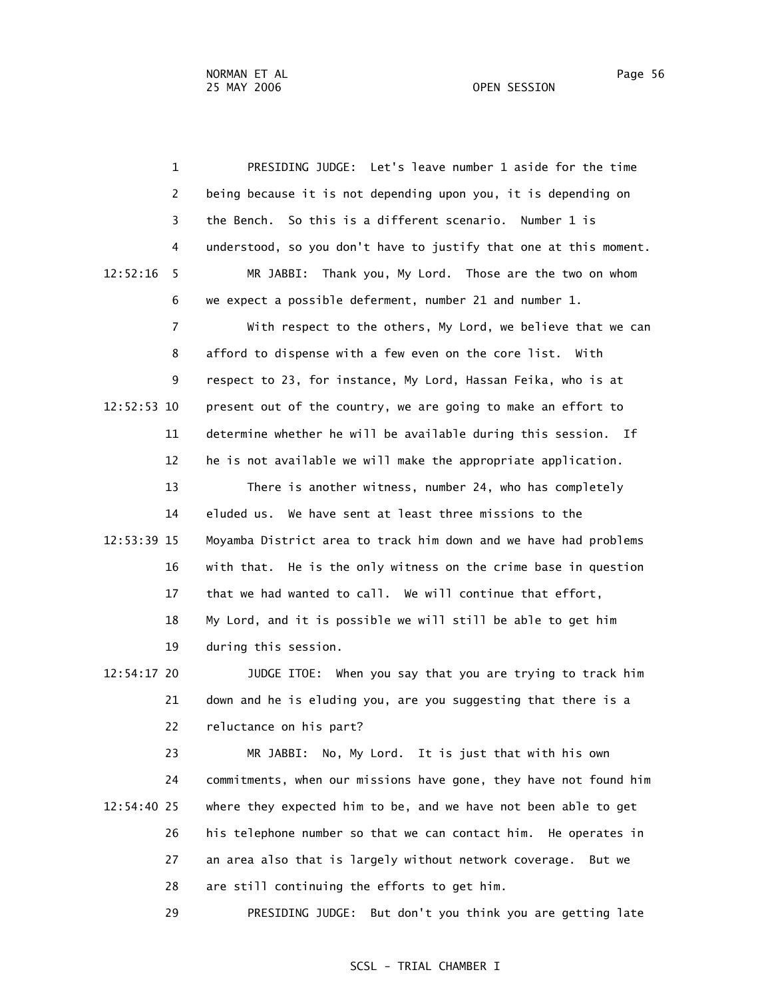1 PRESIDING JUDGE: Let's leave number 1 aside for the time 2 being because it is not depending upon you, it is depending on 3 the Bench. So this is a different scenario. Number 1 is 4 understood, so you don't have to justify that one at this moment. 12:52:16 5 MR JABBI: Thank you, My Lord. Those are the two on whom 6 we expect a possible deferment, number 21 and number 1. 7 With respect to the others, My Lord, we believe that we can 8 afford to dispense with a few even on the core list. With 9 respect to 23, for instance, My Lord, Hassan Feika, who is at 12:52:53 10 present out of the country, we are going to make an effort to 11 determine whether he will be available during this session. If 12 he is not available we will make the appropriate application. 13 There is another witness, number 24, who has completely 14 eluded us. We have sent at least three missions to the 12:53:39 15 Moyamba District area to track him down and we have had problems 16 with that. He is the only witness on the crime base in question 17 that we had wanted to call. We will continue that effort, 18 My Lord, and it is possible we will still be able to get him 19 during this session. 12:54:17 20 JUDGE ITOE: When you say that you are trying to track him 21 down and he is eluding you, are you suggesting that there is a 22 reluctance on his part? 23 MR JABBI: No, My Lord. It is just that with his own 24 commitments, when our missions have gone, they have not found him

 12:54:40 25 where they expected him to be, and we have not been able to get 26 his telephone number so that we can contact him. He operates in 27 an area also that is largely without network coverage. But we 28 are still continuing the efforts to get him.

29 PRESIDING JUDGE: But don't you think you are getting late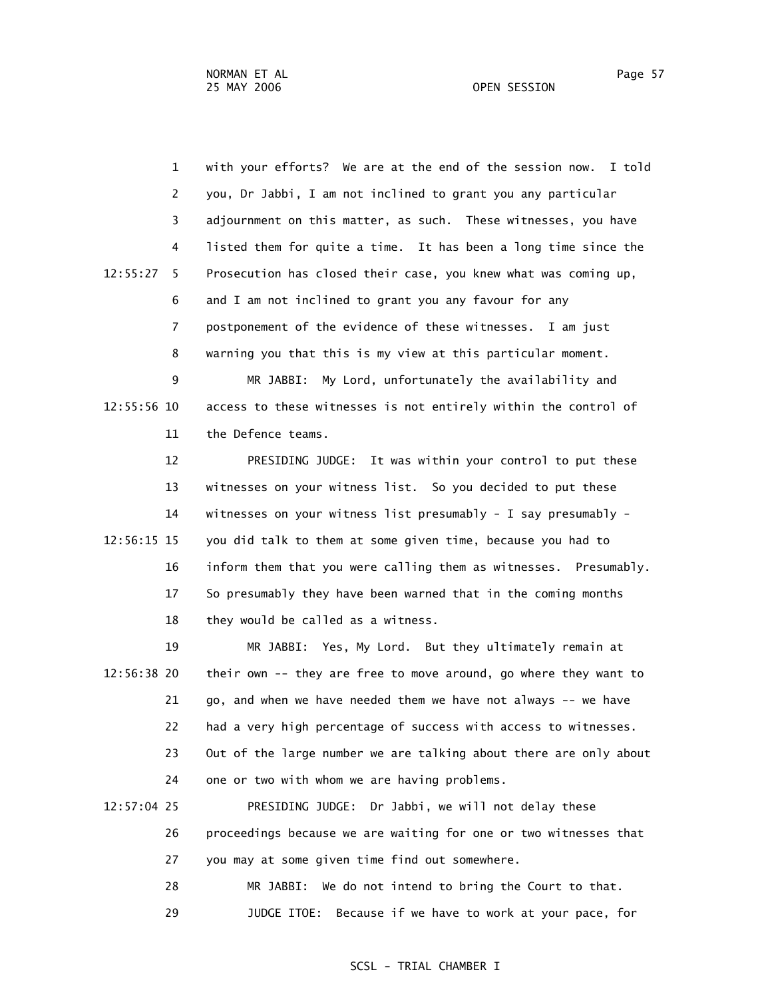1 with your efforts? We are at the end of the session now. I told 2 you, Dr Jabbi, I am not inclined to grant you any particular 3 adjournment on this matter, as such. These witnesses, you have 4 listed them for quite a time. It has been a long time since the 12:55:27 5 Prosecution has closed their case, you knew what was coming up, 6 and I am not inclined to grant you any favour for any 7 postponement of the evidence of these witnesses. I am just 8 warning you that this is my view at this particular moment.

 9 MR JABBI: My Lord, unfortunately the availability and 12:55:56 10 access to these witnesses is not entirely within the control of 11 the Defence teams.

 12 PRESIDING JUDGE: It was within your control to put these 13 witnesses on your witness list. So you decided to put these 14 witnesses on your witness list presumably - I say presumably - 12:56:15 15 you did talk to them at some given time, because you had to 16 inform them that you were calling them as witnesses. Presumably. 17 So presumably they have been warned that in the coming months 18 they would be called as a witness.

- 19 MR JABBI: Yes, My Lord. But they ultimately remain at 12:56:38 20 their own -- they are free to move around, go where they want to 21 go, and when we have needed them we have not always -- we have 22 had a very high percentage of success with access to witnesses. 23 Out of the large number we are talking about there are only about 24 one or two with whom we are having problems.
- 12:57:04 25 PRESIDING JUDGE: Dr Jabbi, we will not delay these 26 proceedings because we are waiting for one or two witnesses that 27 you may at some given time find out somewhere.
	- 28 MR JABBI: We do not intend to bring the Court to that.
	- 29 JUDGE ITOE: Because if we have to work at your pace, for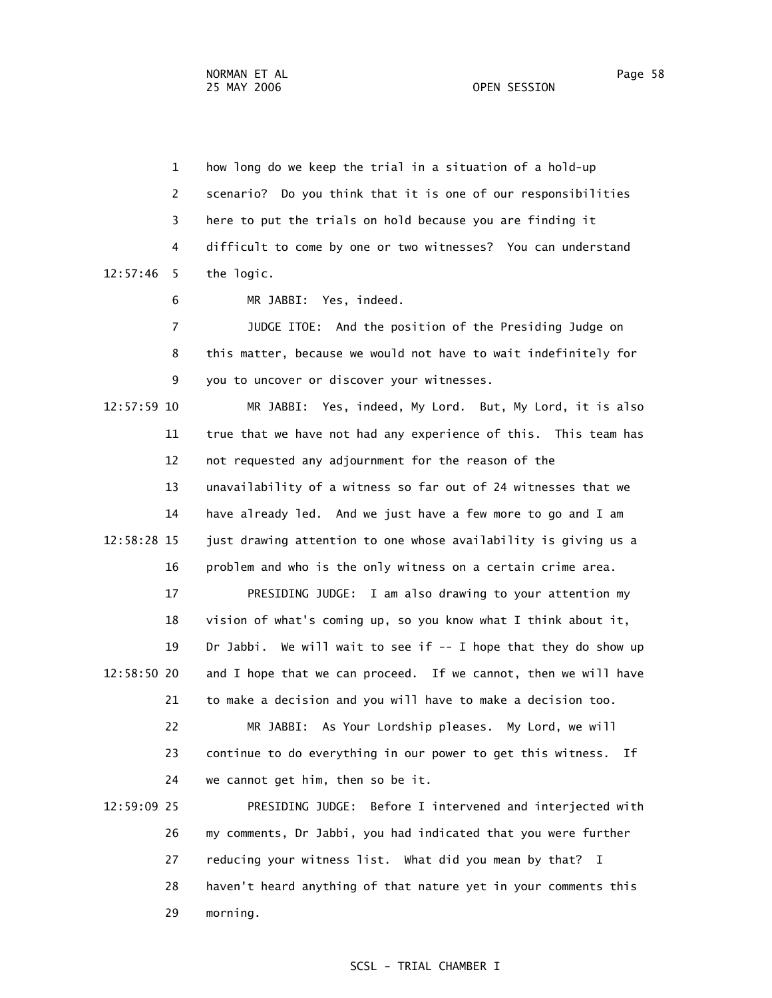1 how long do we keep the trial in a situation of a hold-up 2 scenario? Do you think that it is one of our responsibilities 3 here to put the trials on hold because you are finding it 4 difficult to come by one or two witnesses? You can understand 12:57:46 5 the logic.

6 MR JABBI: Yes, indeed.

 7 JUDGE ITOE: And the position of the Presiding Judge on 8 this matter, because we would not have to wait indefinitely for 9 you to uncover or discover your witnesses.

 12:57:59 10 MR JABBI: Yes, indeed, My Lord. But, My Lord, it is also 11 true that we have not had any experience of this. This team has 12 not requested any adjournment for the reason of the 13 unavailability of a witness so far out of 24 witnesses that we 14 have already led. And we just have a few more to go and I am 12:58:28 15 just drawing attention to one whose availability is giving us a 16 problem and who is the only witness on a certain crime area.

 17 PRESIDING JUDGE: I am also drawing to your attention my 18 vision of what's coming up, so you know what I think about it, 19 Dr Jabbi. We will wait to see if -- I hope that they do show up 12:58:50 20 and I hope that we can proceed. If we cannot, then we will have 21 to make a decision and you will have to make a decision too. 22 MR JABBI: As Your Lordship pleases. My Lord, we will

 23 continue to do everything in our power to get this witness. If 24 we cannot get him, then so be it.

 12:59:09 25 PRESIDING JUDGE: Before I intervened and interjected with 26 my comments, Dr Jabbi, you had indicated that you were further 27 reducing your witness list. What did you mean by that? I 28 haven't heard anything of that nature yet in your comments this 29 morning.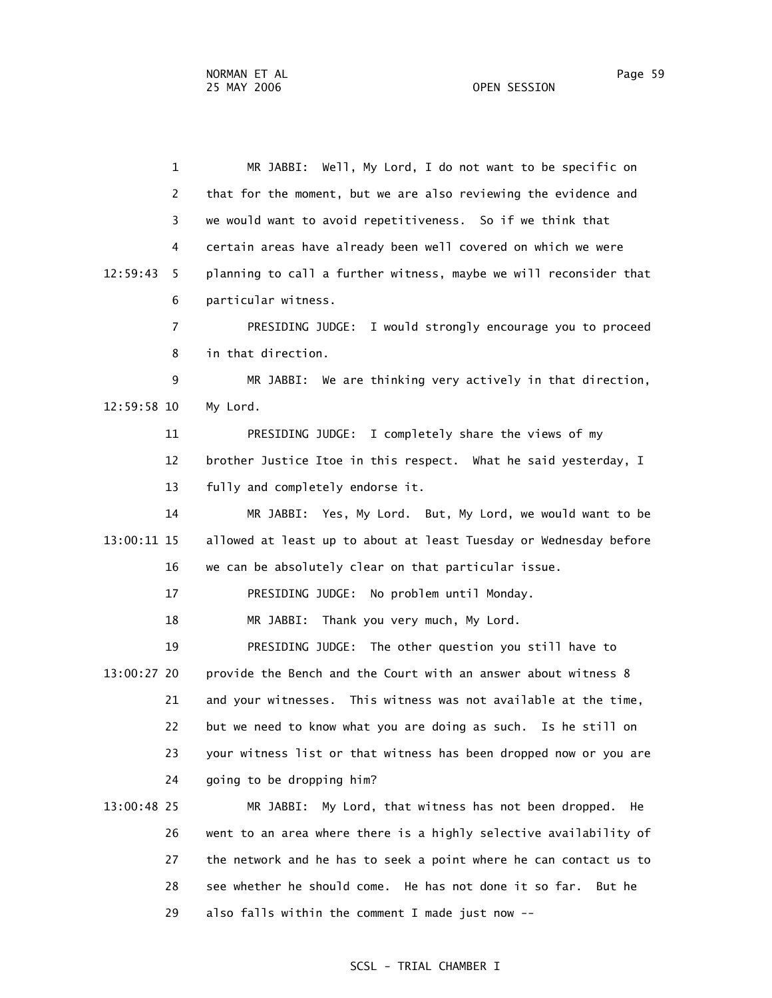1 MR JABBI: Well, My Lord, I do not want to be specific on 2 that for the moment, but we are also reviewing the evidence and 3 we would want to avoid repetitiveness. So if we think that 4 certain areas have already been well covered on which we were 12:59:43 5 planning to call a further witness, maybe we will reconsider that 6 particular witness. 7 PRESIDING JUDGE: I would strongly encourage you to proceed 8 in that direction. 9 MR JABBI: We are thinking very actively in that direction, 12:59:58 10 My Lord. 11 PRESIDING JUDGE: I completely share the views of my 12 brother Justice Itoe in this respect. What he said yesterday, I 13 fully and completely endorse it. 14 MR JABBI: Yes, My Lord. But, My Lord, we would want to be 13:00:11 15 allowed at least up to about at least Tuesday or Wednesday before 16 we can be absolutely clear on that particular issue. 17 PRESIDING JUDGE: No problem until Monday. 18 MR JABBI: Thank you very much, My Lord.

 13:00:27 20 provide the Bench and the Court with an answer about witness 8 21 and your witnesses. This witness was not available at the time, 22 but we need to know what you are doing as such. Is he still on 23 your witness list or that witness has been dropped now or you are 24 going to be dropping him?

19 PRESIDING JUDGE: The other question you still have to

 13:00:48 25 MR JABBI: My Lord, that witness has not been dropped. He 26 went to an area where there is a highly selective availability of 27 the network and he has to seek a point where he can contact us to 28 see whether he should come. He has not done it so far. But he 29 also falls within the comment I made just now --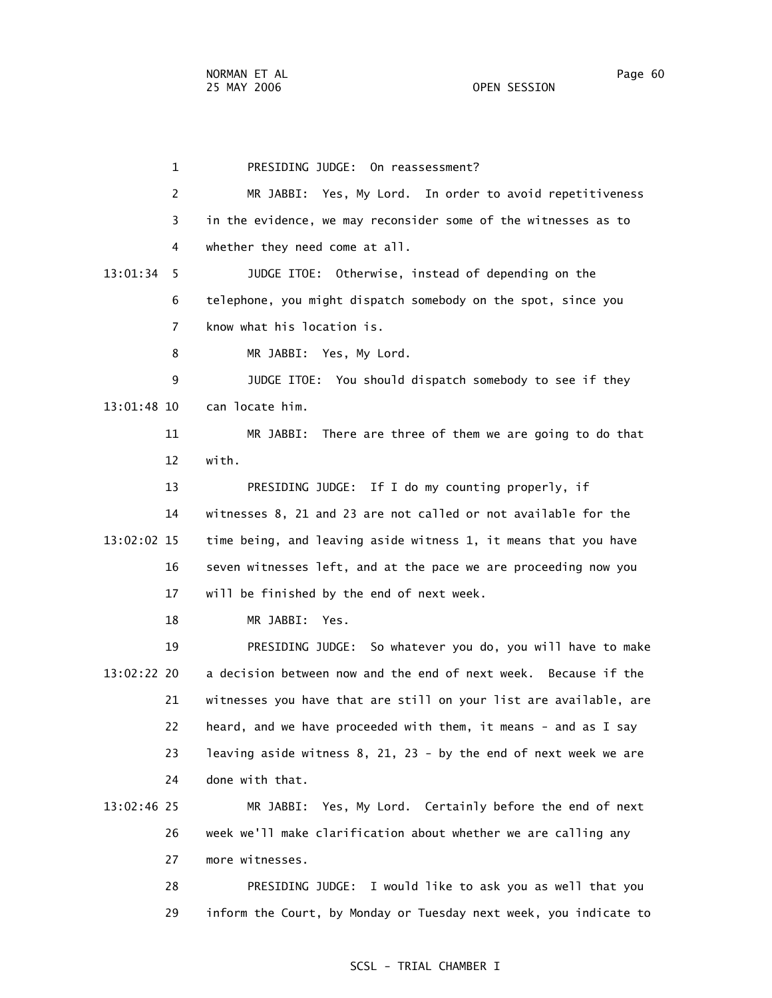1 PRESIDING JUDGE: On reassessment? 2 MR JABBI: Yes, My Lord. In order to avoid repetitiveness 3 in the evidence, we may reconsider some of the witnesses as to 4 whether they need come at all. 13:01:34 5 JUDGE ITOE: Otherwise, instead of depending on the 6 telephone, you might dispatch somebody on the spot, since you 7 know what his location is. 8 MR JABBI: Yes, My Lord. 9 JUDGE ITOE: You should dispatch somebody to see if they 13:01:48 10 can locate him. 11 MR JABBI: There are three of them we are going to do that 12 with. 13 PRESIDING JUDGE: If I do my counting properly, if 14 witnesses 8, 21 and 23 are not called or not available for the 13:02:02 15 time being, and leaving aside witness 1, it means that you have 16 seven witnesses left, and at the pace we are proceeding now you 17 will be finished by the end of next week. 18 MR JABBI: Yes. 19 PRESIDING JUDGE: So whatever you do, you will have to make 13:02:22 20 a decision between now and the end of next week. Because if the 21 witnesses you have that are still on your list are available, are 22 heard, and we have proceeded with them, it means - and as I say 23 leaving aside witness 8, 21, 23 - by the end of next week we are 24 done with that. 13:02:46 25 MR JABBI: Yes, My Lord. Certainly before the end of next 26 week we'll make clarification about whether we are calling any 27 more witnesses.

> 28 PRESIDING JUDGE: I would like to ask you as well that you 29 inform the Court, by Monday or Tuesday next week, you indicate to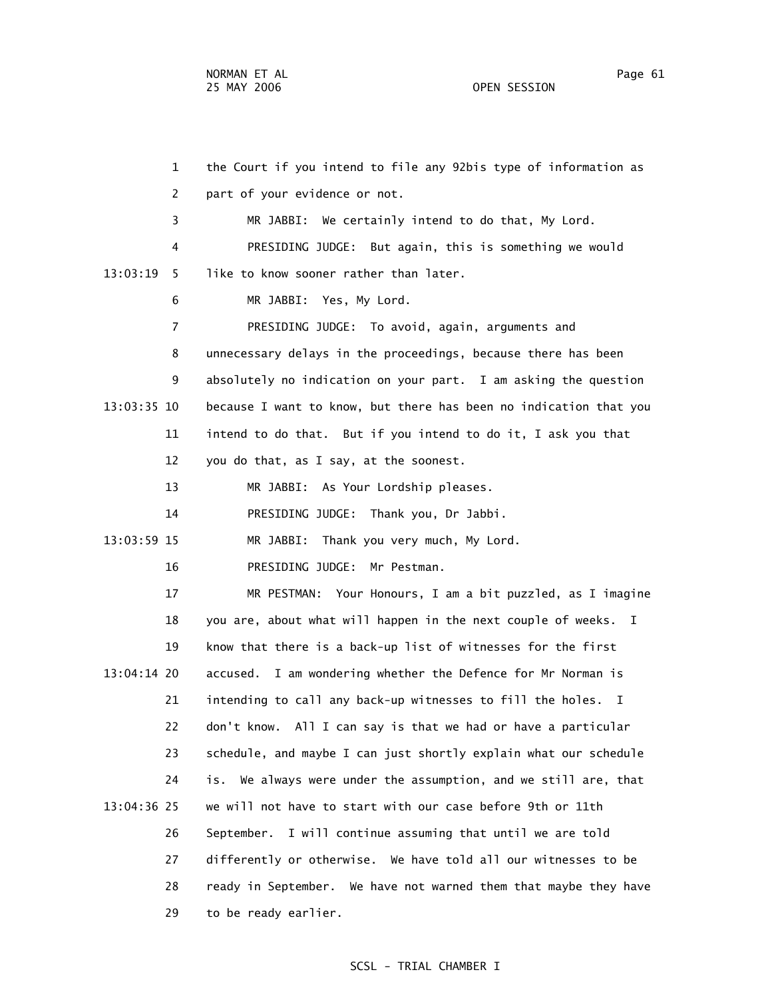1 the Court if you intend to file any 92bis type of information as 2 part of your evidence or not. 3 MR JABBI: We certainly intend to do that, My Lord. 4 PRESIDING JUDGE: But again, this is something we would 13:03:19 5 like to know sooner rather than later. 6 MR JABBI: Yes, My Lord. 7 PRESIDING JUDGE: To avoid, again, arguments and 8 unnecessary delays in the proceedings, because there has been 9 absolutely no indication on your part. I am asking the question 13:03:35 10 because I want to know, but there has been no indication that you 11 intend to do that. But if you intend to do it, I ask you that 12 you do that, as I say, at the soonest. 13 MR JABBI: As Your Lordship pleases. 14 PRESIDING JUDGE: Thank you, Dr Jabbi. 13:03:59 15 MR JABBI: Thank you very much, My Lord. 16 PRESIDING JUDGE: Mr Pestman. 17 MR PESTMAN: Your Honours, I am a bit puzzled, as I imagine 18 you are, about what will happen in the next couple of weeks. I 19 know that there is a back-up list of witnesses for the first 13:04:14 20 accused. I am wondering whether the Defence for Mr Norman is 21 intending to call any back-up witnesses to fill the holes. I 22 don't know. All I can say is that we had or have a particular 23 schedule, and maybe I can just shortly explain what our schedule 24 is. We always were under the assumption, and we still are, that 13:04:36 25 we will not have to start with our case before 9th or 11th 26 September. I will continue assuming that until we are told 27 differently or otherwise. We have told all our witnesses to be 28 ready in September. We have not warned them that maybe they have 29 to be ready earlier.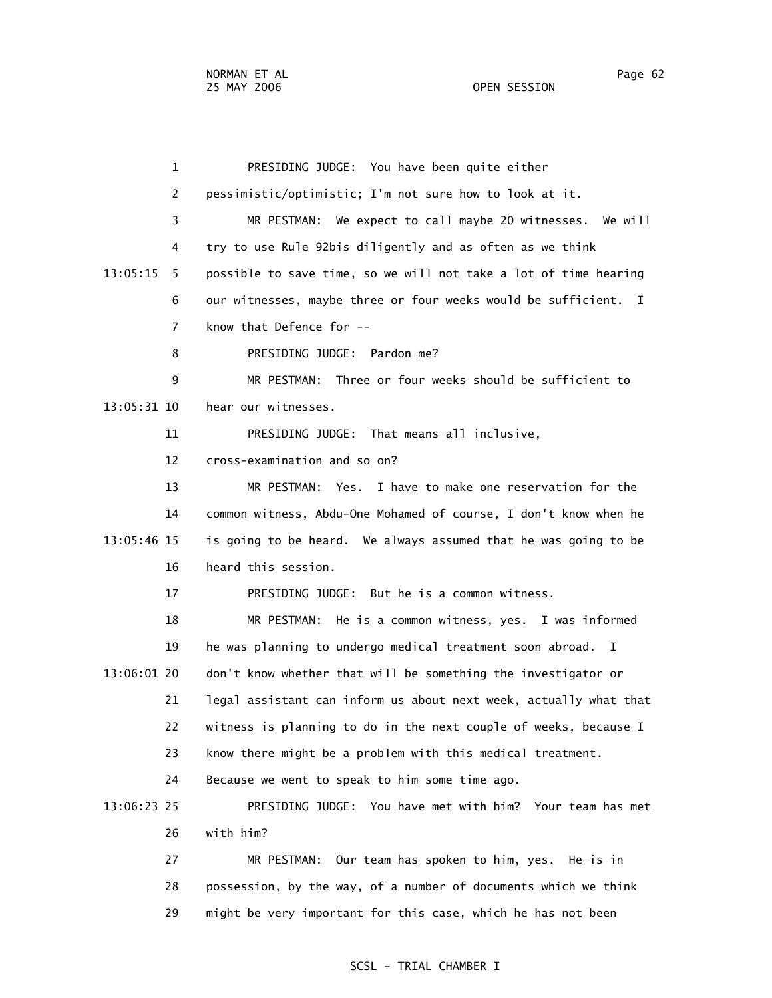1 PRESIDING JUDGE: You have been quite either 2 pessimistic/optimistic; I'm not sure how to look at it. 3 MR PESTMAN: We expect to call maybe 20 witnesses. We will 4 try to use Rule 92bis diligently and as often as we think 13:05:15 5 possible to save time, so we will not take a lot of time hearing 6 our witnesses, maybe three or four weeks would be sufficient. I 7 know that Defence for -- 8 PRESIDING JUDGE: Pardon me? 9 MR PESTMAN: Three or four weeks should be sufficient to 13:05:31 10 hear our witnesses. 11 PRESIDING JUDGE: That means all inclusive, 12 cross-examination and so on? 13 MR PESTMAN: Yes. I have to make one reservation for the 14 common witness, Abdu-One Mohamed of course, I don't know when he 13:05:46 15 is going to be heard. We always assumed that he was going to be 16 heard this session. 17 PRESIDING JUDGE: But he is a common witness. 18 MR PESTMAN: He is a common witness, yes. I was informed 19 he was planning to undergo medical treatment soon abroad. I 13:06:01 20 don't know whether that will be something the investigator or 21 legal assistant can inform us about next week, actually what that 22 witness is planning to do in the next couple of weeks, because I 23 know there might be a problem with this medical treatment. 24 Because we went to speak to him some time ago. 13:06:23 25 PRESIDING JUDGE: You have met with him? Your team has met 26 with him? 27 MR PESTMAN: Our team has spoken to him, yes. He is in 28 possession, by the way, of a number of documents which we think 29 might be very important for this case, which he has not been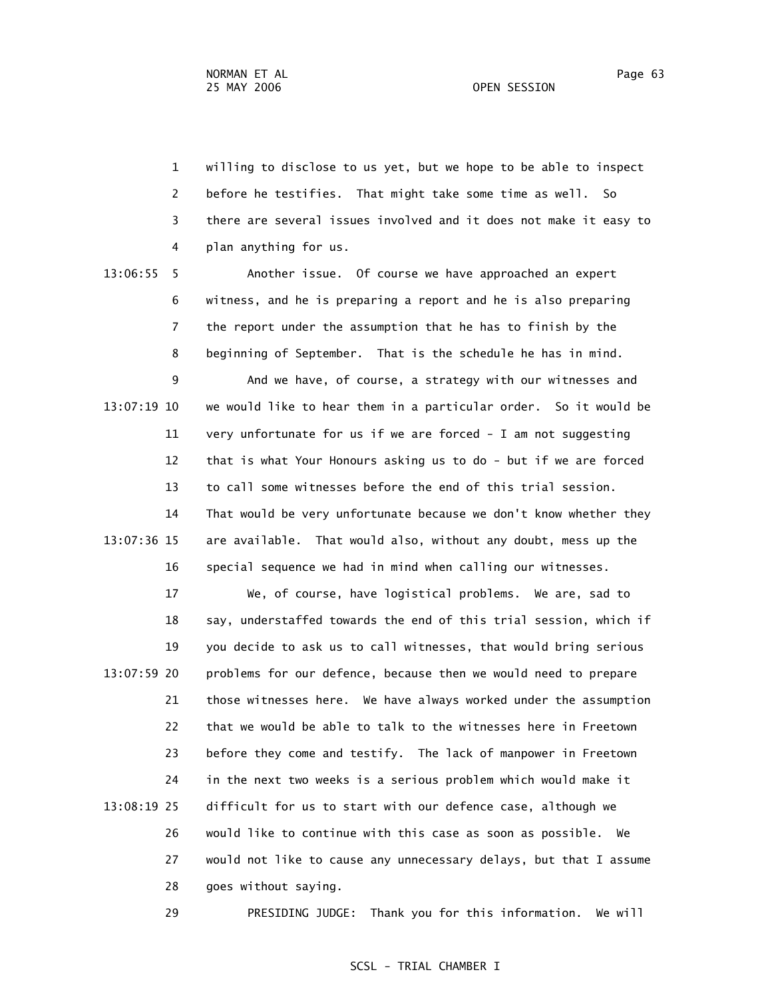1 willing to disclose to us yet, but we hope to be able to inspect 2 before he testifies. That might take some time as well. So 3 there are several issues involved and it does not make it easy to 4 plan anything for us.

 13:06:55 5 Another issue. Of course we have approached an expert 6 witness, and he is preparing a report and he is also preparing 7 the report under the assumption that he has to finish by the 8 beginning of September. That is the schedule he has in mind.

 9 And we have, of course, a strategy with our witnesses and 13:07:19 10 we would like to hear them in a particular order. So it would be 11 very unfortunate for us if we are forced - I am not suggesting 12 that is what Your Honours asking us to do - but if we are forced 13 to call some witnesses before the end of this trial session. 14 That would be very unfortunate because we don't know whether they 13:07:36 15 are available. That would also, without any doubt, mess up the 16 special sequence we had in mind when calling our witnesses.

 17 We, of course, have logistical problems. We are, sad to 18 say, understaffed towards the end of this trial session, which if 19 you decide to ask us to call witnesses, that would bring serious 13:07:59 20 problems for our defence, because then we would need to prepare 21 those witnesses here. We have always worked under the assumption 22 that we would be able to talk to the witnesses here in Freetown 23 before they come and testify. The lack of manpower in Freetown 24 in the next two weeks is a serious problem which would make it 13:08:19 25 difficult for us to start with our defence case, although we 26 would like to continue with this case as soon as possible. We 27 would not like to cause any unnecessary delays, but that I assume 28 goes without saying.

29 PRESIDING JUDGE: Thank you for this information. We will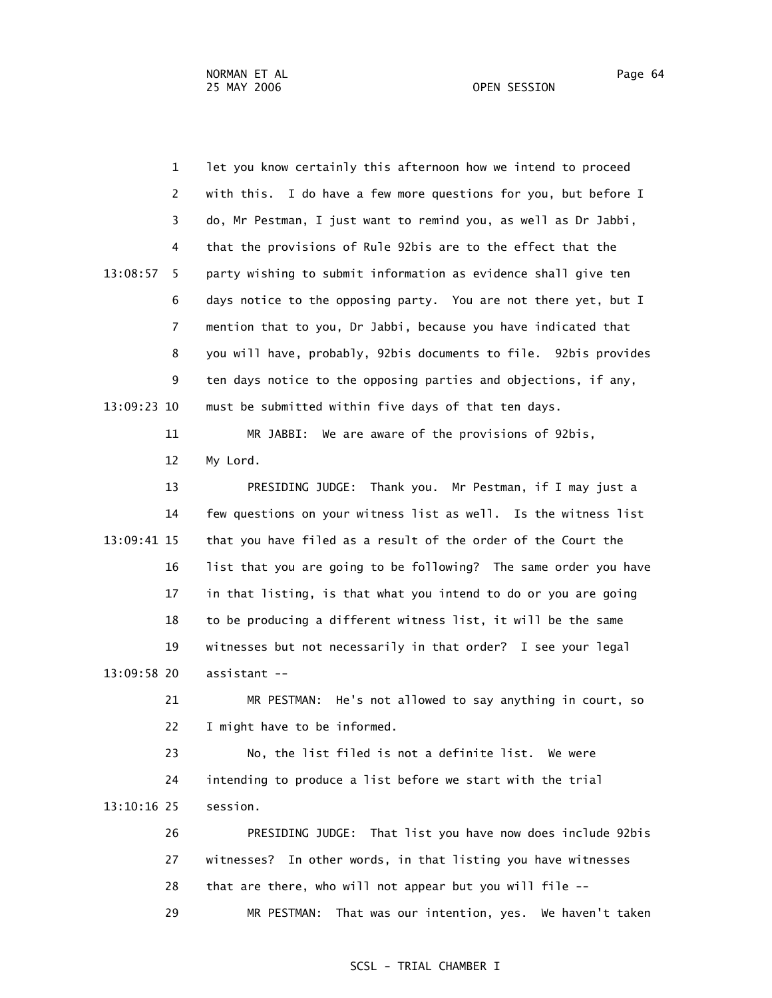1 let you know certainly this afternoon how we intend to proceed 2 with this. I do have a few more questions for you, but before I 3 do, Mr Pestman, I just want to remind you, as well as Dr Jabbi, 4 that the provisions of Rule 92bis are to the effect that the 13:08:57 5 party wishing to submit information as evidence shall give ten 6 days notice to the opposing party. You are not there yet, but I 7 mention that to you, Dr Jabbi, because you have indicated that 8 you will have, probably, 92bis documents to file. 92bis provides 9 ten days notice to the opposing parties and objections, if any, 13:09:23 10 must be submitted within five days of that ten days.

> 11 MR JABBI: We are aware of the provisions of 92bis, 12 My Lord.

 13 PRESIDING JUDGE: Thank you. Mr Pestman, if I may just a 14 few questions on your witness list as well. Is the witness list 13:09:41 15 that you have filed as a result of the order of the Court the 16 list that you are going to be following? The same order you have 17 in that listing, is that what you intend to do or you are going 18 to be producing a different witness list, it will be the same 19 witnesses but not necessarily in that order? I see your legal 13:09:58 20 assistant --

> 21 MR PESTMAN: He's not allowed to say anything in court, so 22 I might have to be informed.

 23 No, the list filed is not a definite list. We were 24 intending to produce a list before we start with the trial 13:10:16 25 session.

 26 PRESIDING JUDGE: That list you have now does include 92bis 27 witnesses? In other words, in that listing you have witnesses 28 that are there, who will not appear but you will file -- 29 MR PESTMAN: That was our intention, yes. We haven't taken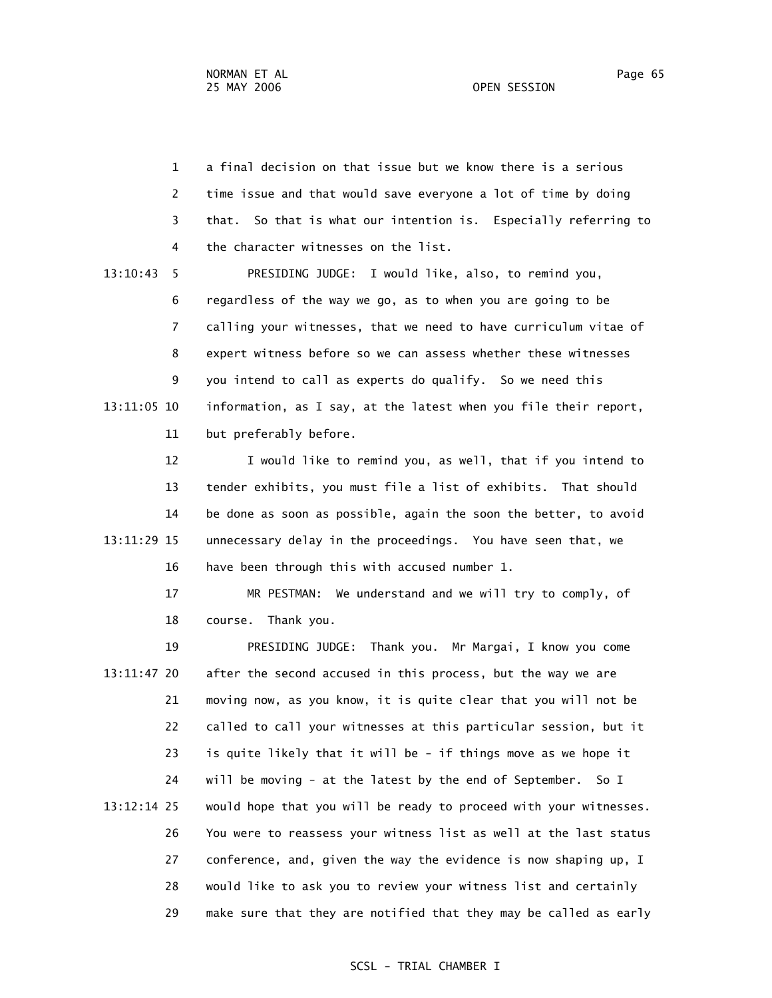1 a final decision on that issue but we know there is a serious 2 time issue and that would save everyone a lot of time by doing 3 that. So that is what our intention is. Especially referring to 4 the character witnesses on the list. 13:10:43 5 PRESIDING JUDGE: I would like, also, to remind you, 6 regardless of the way we go, as to when you are going to be 7 calling your witnesses, that we need to have curriculum vitae of 8 expert witness before so we can assess whether these witnesses

 9 you intend to call as experts do qualify. So we need this 13:11:05 10 information, as I say, at the latest when you file their report, 11 but preferably before.

 12 I would like to remind you, as well, that if you intend to 13 tender exhibits, you must file a list of exhibits. That should 14 be done as soon as possible, again the soon the better, to avoid 13:11:29 15 unnecessary delay in the proceedings. You have seen that, we 16 have been through this with accused number 1.

 17 MR PESTMAN: We understand and we will try to comply, of 18 course. Thank you.

 19 PRESIDING JUDGE: Thank you. Mr Margai, I know you come 13:11:47 20 after the second accused in this process, but the way we are 21 moving now, as you know, it is quite clear that you will not be 22 called to call your witnesses at this particular session, but it 23 is quite likely that it will be - if things move as we hope it 24 will be moving - at the latest by the end of September. So I 13:12:14 25 would hope that you will be ready to proceed with your witnesses. 26 You were to reassess your witness list as well at the last status 27 conference, and, given the way the evidence is now shaping up, I 28 would like to ask you to review your witness list and certainly 29 make sure that they are notified that they may be called as early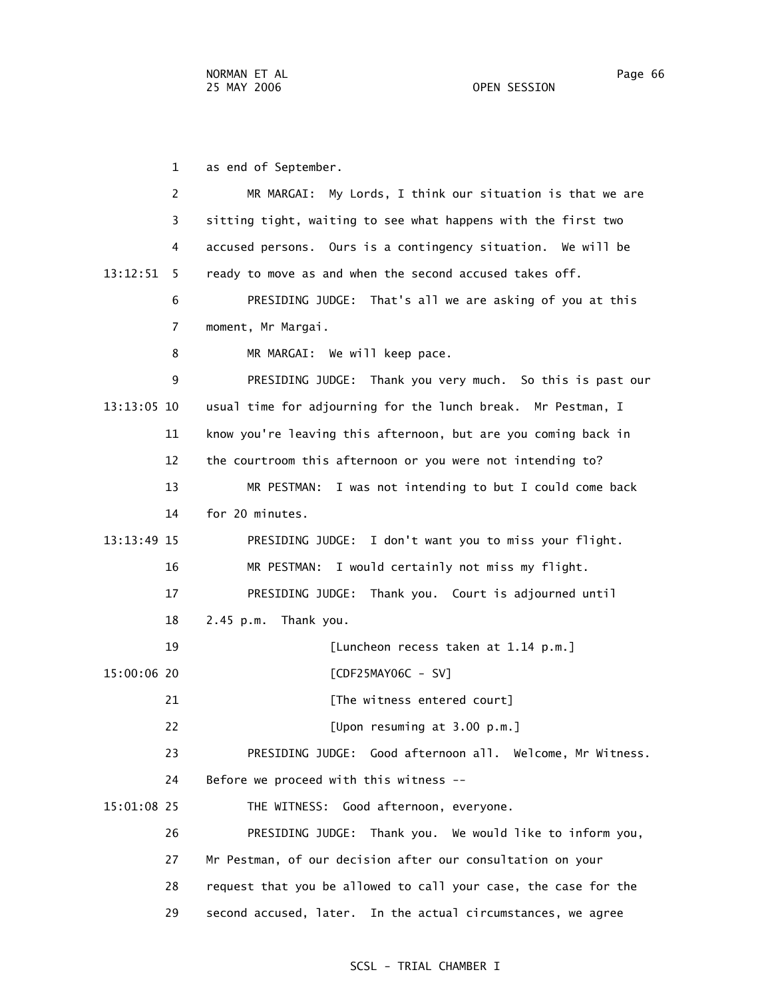1 as end of September.

| $\overline{2}$ | My Lords, I think our situation is that we are<br>MR MARGAI:    |
|----------------|-----------------------------------------------------------------|
| 3              | sitting tight, waiting to see what happens with the first two   |
| 4              | accused persons. Ours is a contingency situation. We will be    |
| 13:12:51<br>5  | ready to move as and when the second accused takes off.         |
| 6              | PRESIDING JUDGE: That's all we are asking of you at this        |
| 7              | moment, Mr Margai.                                              |
| 8              | MR MARGAI: We will keep pace.                                   |
| 9              | PRESIDING JUDGE: Thank you very much. So this is past our       |
| 13:13:05 10    | usual time for adjourning for the lunch break. Mr Pestman, I    |
| 11             | know you're leaving this afternoon, but are you coming back in  |
| 12             | the courtroom this afternoon or you were not intending to?      |
| 13             | MR PESTMAN: I was not intending to but I could come back        |
| 14             | for 20 minutes.                                                 |
| 13:13:49 15    | PRESIDING JUDGE: I don't want you to miss your flight.          |
| 16             | MR PESTMAN: I would certainly not miss my flight.               |
| 17             | PRESIDING JUDGE: Thank you. Court is adjourned until            |
| 18             | Thank you.<br>$2.45$ p.m.                                       |
| 19             | [Luncheon recess taken at 1.14 p.m.]                            |
| 15:00:06 20    | [CDF25MAY06C - SV]                                              |
| 21             | [The witness entered court]                                     |
| 22             | [Upon resuming at 3.00 p.m.]                                    |
| 23             | PRESIDING JUDGE: Good afternoon all. Welcome, Mr Witness.       |
| 24             | Before we proceed with this witness --                          |
| 15:01:08 25    | THE WITNESS: Good afternoon, everyone.                          |
| 26             | PRESIDING JUDGE: Thank you. We would like to inform you,        |
| 27             | Mr Pestman, of our decision after our consultation on your      |
| 28             | request that you be allowed to call your case, the case for the |
| 29             | second accused, later. In the actual circumstances, we agree    |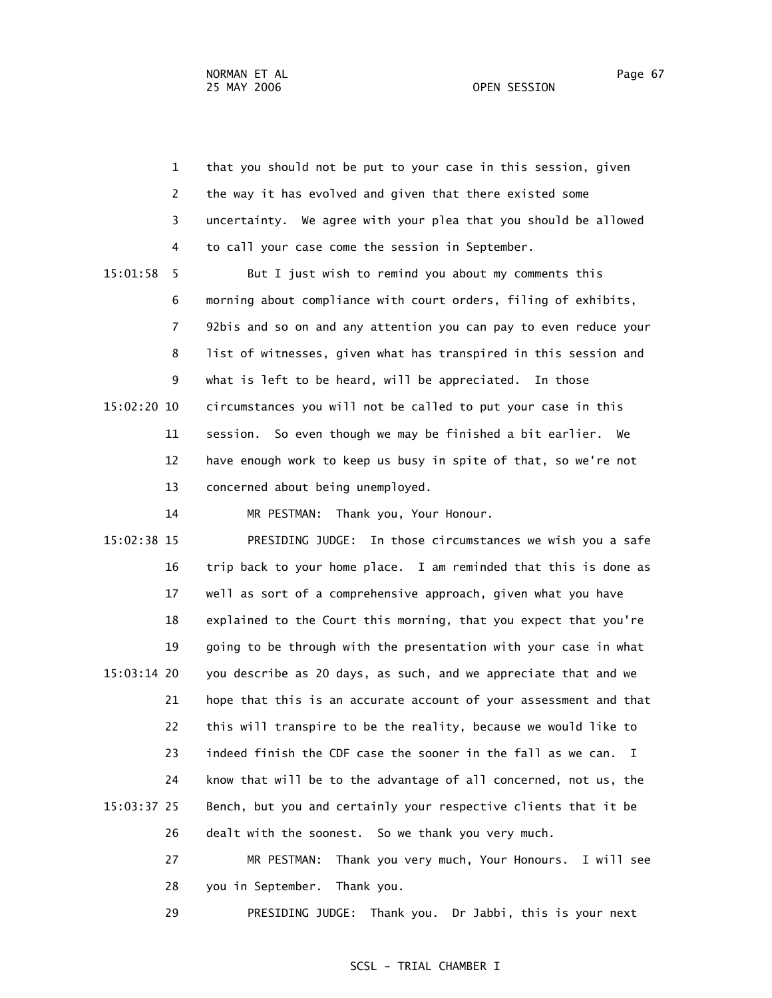1 that you should not be put to your case in this session, given 2 the way it has evolved and given that there existed some 3 uncertainty. We agree with your plea that you should be allowed 4 to call your case come the session in September. 15:01:58 5 But I just wish to remind you about my comments this 6 morning about compliance with court orders, filing of exhibits, 7 92bis and so on and any attention you can pay to even reduce your 8 list of witnesses, given what has transpired in this session and 9 what is left to be heard, will be appreciated. In those 15:02:20 10 circumstances you will not be called to put your case in this 11 session. So even though we may be finished a bit earlier. We 12 have enough work to keep us busy in spite of that, so we're not 13 concerned about being unemployed. 14 MR PESTMAN: Thank you, Your Honour. 15:02:38 15 PRESIDING JUDGE: In those circumstances we wish you a safe

 16 trip back to your home place. I am reminded that this is done as 17 well as sort of a comprehensive approach, given what you have 18 explained to the Court this morning, that you expect that you're 19 going to be through with the presentation with your case in what 15:03:14 20 you describe as 20 days, as such, and we appreciate that and we 21 hope that this is an accurate account of your assessment and that 22 this will transpire to be the reality, because we would like to 23 indeed finish the CDF case the sooner in the fall as we can. I 24 know that will be to the advantage of all concerned, not us, the 15:03:37 25 Bench, but you and certainly your respective clients that it be 26 dealt with the soonest. So we thank you very much.

> 27 MR PESTMAN: Thank you very much, Your Honours. I will see 28 you in September. Thank you.

29 PRESIDING JUDGE: Thank you. Dr Jabbi, this is your next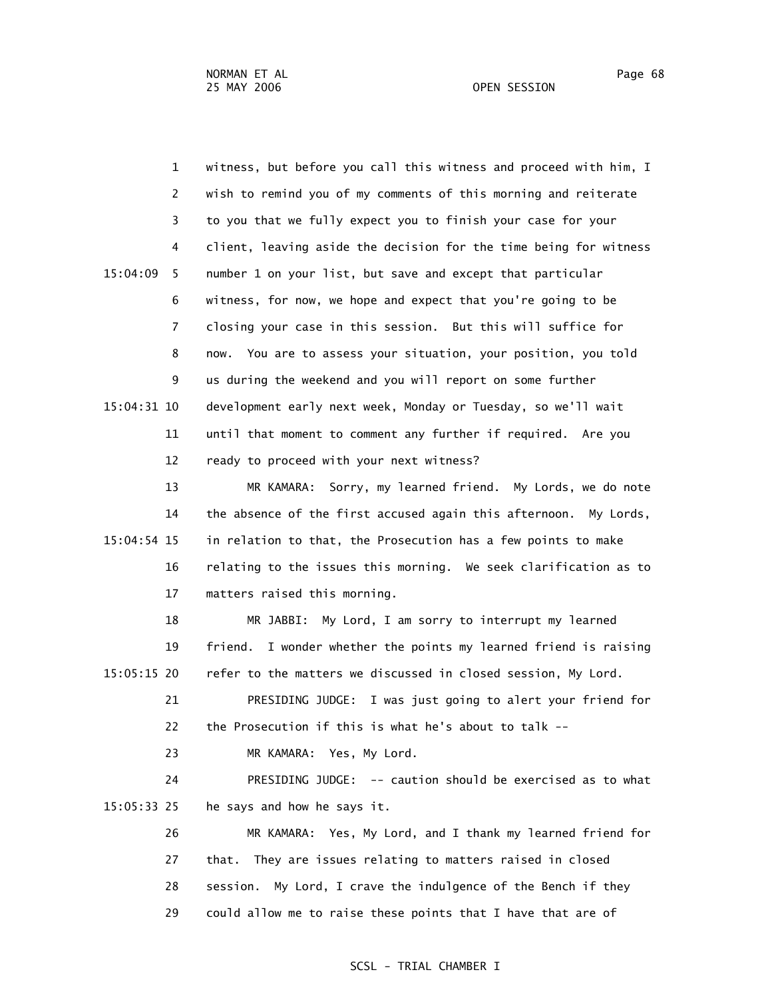1 witness, but before you call this witness and proceed with him, I 2 wish to remind you of my comments of this morning and reiterate 3 to you that we fully expect you to finish your case for your 4 client, leaving aside the decision for the time being for witness 15:04:09 5 number 1 on your list, but save and except that particular 6 witness, for now, we hope and expect that you're going to be 7 closing your case in this session. But this will suffice for 8 now. You are to assess your situation, your position, you told 9 us during the weekend and you will report on some further 15:04:31 10 development early next week, Monday or Tuesday, so we'll wait 11 until that moment to comment any further if required. Are you 12 ready to proceed with your next witness?

 13 MR KAMARA: Sorry, my learned friend. My Lords, we do note 14 the absence of the first accused again this afternoon. My Lords, 15:04:54 15 in relation to that, the Prosecution has a few points to make 16 relating to the issues this morning. We seek clarification as to 17 matters raised this morning.

 18 MR JABBI: My Lord, I am sorry to interrupt my learned 19 friend. I wonder whether the points my learned friend is raising 15:05:15 20 refer to the matters we discussed in closed session, My Lord.

 21 PRESIDING JUDGE: I was just going to alert your friend for 22 the Prosecution if this is what he's about to talk --

23 MR KAMARA: Yes, My Lord.

 24 PRESIDING JUDGE: -- caution should be exercised as to what 15:05:33 25 he says and how he says it.

 26 MR KAMARA: Yes, My Lord, and I thank my learned friend for 27 that. They are issues relating to matters raised in closed 28 session. My Lord, I crave the indulgence of the Bench if they 29 could allow me to raise these points that I have that are of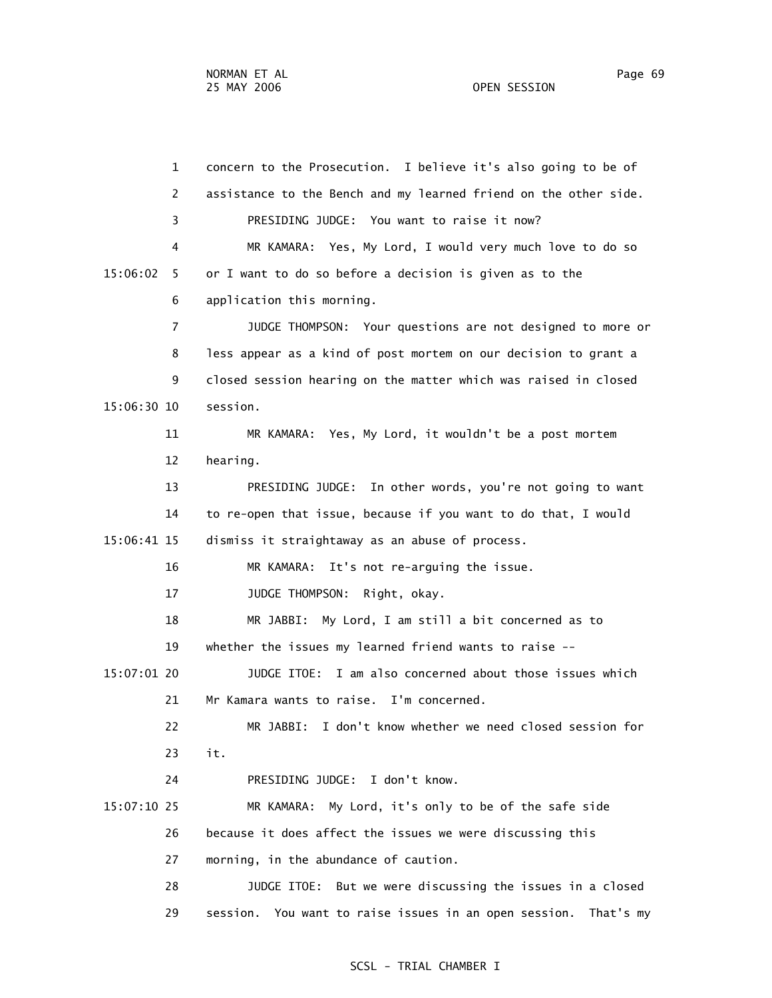1 concern to the Prosecution. I believe it's also going to be of 2 assistance to the Bench and my learned friend on the other side. 3 PRESIDING JUDGE: You want to raise it now? 4 MR KAMARA: Yes, My Lord, I would very much love to do so 15:06:02 5 or I want to do so before a decision is given as to the 6 application this morning. 7 JUDGE THOMPSON: Your questions are not designed to more or 8 less appear as a kind of post mortem on our decision to grant a 9 closed session hearing on the matter which was raised in closed 15:06:30 10 session. 11 MR KAMARA: Yes, My Lord, it wouldn't be a post mortem 12 hearing. 13 PRESIDING JUDGE: In other words, you're not going to want 14 to re-open that issue, because if you want to do that, I would 15:06:41 15 dismiss it straightaway as an abuse of process. 16 MR KAMARA: It's not re-arguing the issue. 17 JUDGE THOMPSON: Right, okay. 18 MR JABBI: My Lord, I am still a bit concerned as to 19 whether the issues my learned friend wants to raise -- 15:07:01 20 JUDGE ITOE: I am also concerned about those issues which 21 Mr Kamara wants to raise. I'm concerned. 22 MR JABBI: I don't know whether we need closed session for 23 it. 24 PRESIDING JUDGE: I don't know. 15:07:10 25 MR KAMARA: My Lord, it's only to be of the safe side 26 because it does affect the issues we were discussing this 27 morning, in the abundance of caution. 28 JUDGE ITOE: But we were discussing the issues in a closed 29 session. You want to raise issues in an open session. That's my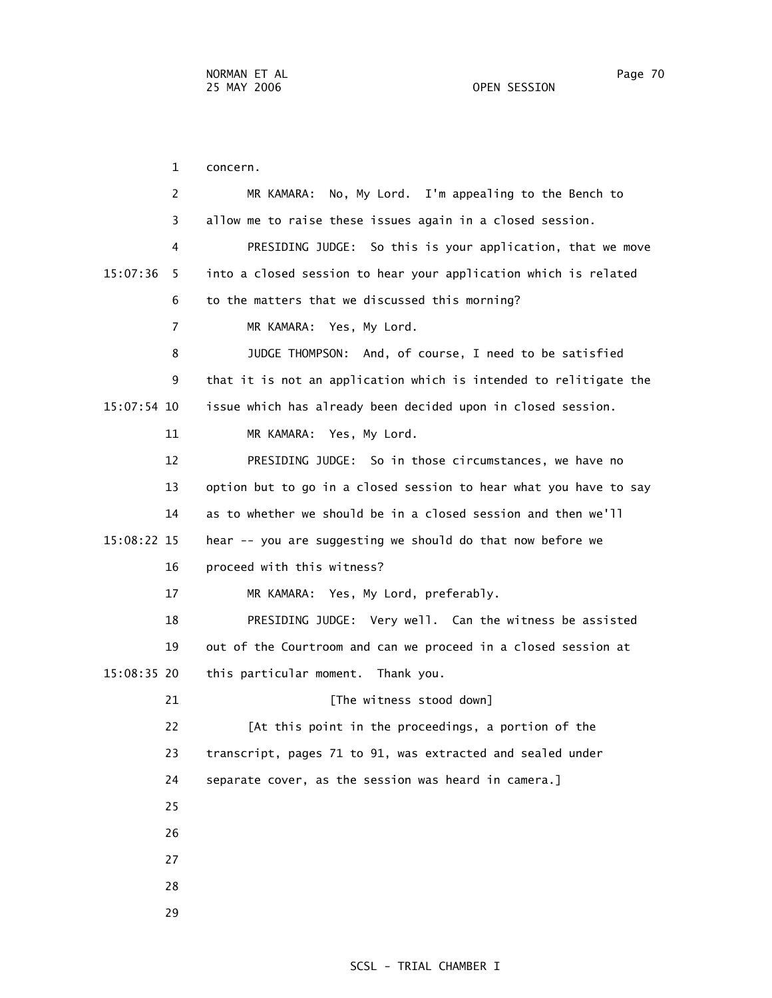1 concern. 2 MR KAMARA: No, My Lord. I'm appealing to the Bench to 3 allow me to raise these issues again in a closed session. 4 PRESIDING JUDGE: So this is your application, that we move 15:07:36 5 into a closed session to hear your application which is related 6 to the matters that we discussed this morning? 7 MR KAMARA: Yes, My Lord. 8 JUDGE THOMPSON: And, of course, I need to be satisfied 9 that it is not an application which is intended to relitigate the 15:07:54 10 issue which has already been decided upon in closed session. 11 MR KAMARA: Yes, My Lord. 12 PRESIDING JUDGE: So in those circumstances, we have no 13 option but to go in a closed session to hear what you have to say 14 as to whether we should be in a closed session and then we'll 15:08:22 15 hear -- you are suggesting we should do that now before we 16 proceed with this witness? 17 MR KAMARA: Yes, My Lord, preferably. 18 PRESIDING JUDGE: Very well. Can the witness be assisted 19 out of the Courtroom and can we proceed in a closed session at 15:08:35 20 this particular moment. Thank you. 21 **Example 21** [The witness stood down] 22 [At this point in the proceedings, a portion of the 23 transcript, pages 71 to 91, was extracted and sealed under 24 separate cover, as the session was heard in camera.] 25 26 27 28

29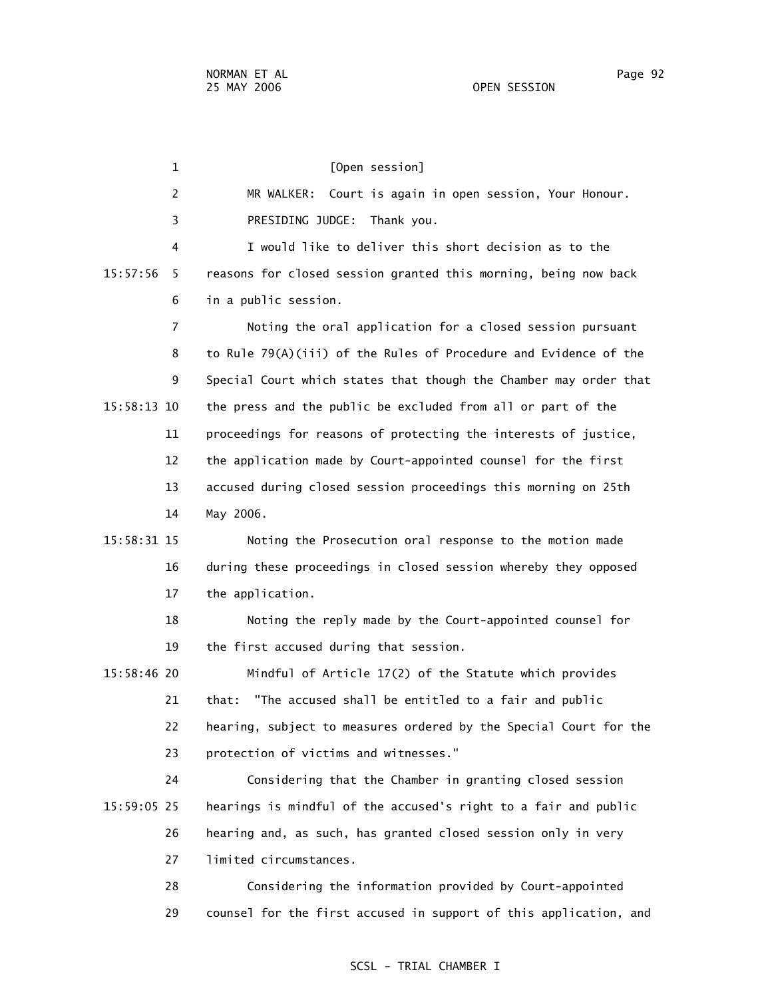1 [Open session] 2 MR WALKER: Court is again in open session, Your Honour. 3 PRESIDING JUDGE: Thank you. 4 I would like to deliver this short decision as to the 15:57:56 5 reasons for closed session granted this morning, being now back 6 in a public session. 7 Noting the oral application for a closed session pursuant 8 to Rule 79(A)(iii) of the Rules of Procedure and Evidence of the 9 Special Court which states that though the Chamber may order that 15:58:13 10 the press and the public be excluded from all or part of the 11 proceedings for reasons of protecting the interests of justice, 12 the application made by Court-appointed counsel for the first 13 accused during closed session proceedings this morning on 25th 14 May 2006. 15:58:31 15 Noting the Prosecution oral response to the motion made 16 during these proceedings in closed session whereby they opposed 17 the application. 18 Noting the reply made by the Court-appointed counsel for 19 the first accused during that session. 15:58:46 20 Mindful of Article 17(2) of the Statute which provides 21 that: "The accused shall be entitled to a fair and public 22 hearing, subject to measures ordered by the Special Court for the 23 protection of victims and witnesses." 24 Considering that the Chamber in granting closed session 15:59:05 25 hearings is mindful of the accused's right to a fair and public 26 hearing and, as such, has granted closed session only in very 27 limited circumstances. 28 Considering the information provided by Court-appointed 29 counsel for the first accused in support of this application, and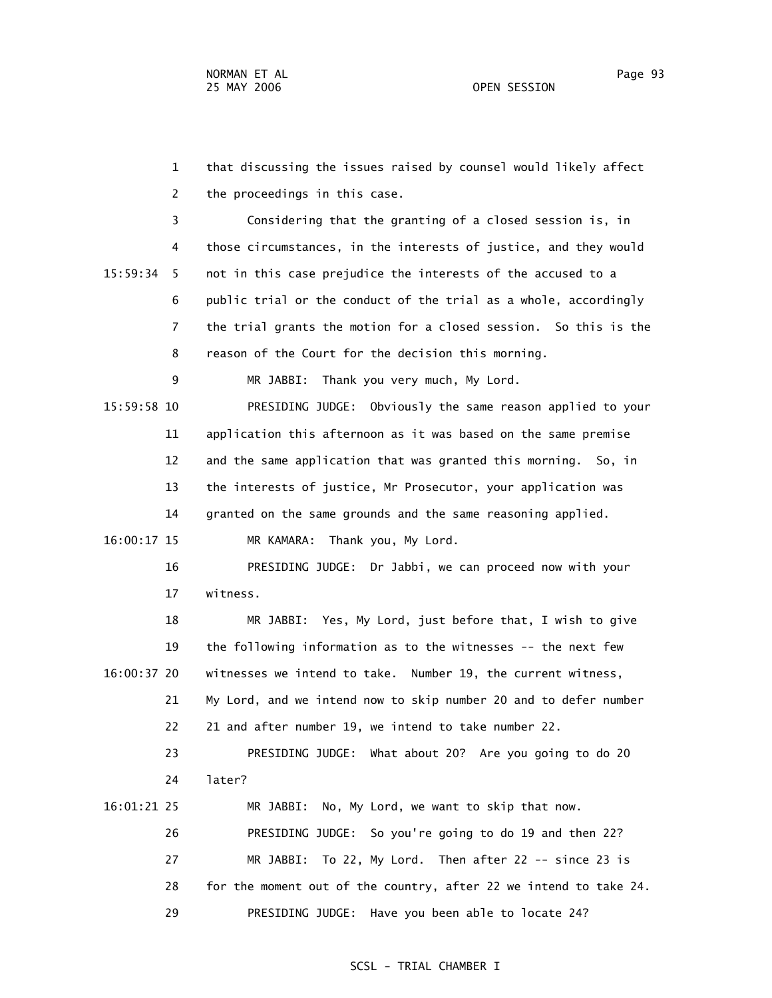1 that discussing the issues raised by counsel would likely affect 2 the proceedings in this case. 3 Considering that the granting of a closed session is, in 4 those circumstances, in the interests of justice, and they would 15:59:34 5 not in this case prejudice the interests of the accused to a 6 public trial or the conduct of the trial as a whole, accordingly 7 the trial grants the motion for a closed session. So this is the 8 reason of the Court for the decision this morning. 9 MR JABBI: Thank you very much, My Lord. 15:59:58 10 PRESIDING JUDGE: Obviously the same reason applied to your 11 application this afternoon as it was based on the same premise 12 and the same application that was granted this morning. So, in 13 the interests of justice, Mr Prosecutor, your application was 14 granted on the same grounds and the same reasoning applied. 16:00:17 15 MR KAMARA: Thank you, My Lord. 16 PRESIDING JUDGE: Dr Jabbi, we can proceed now with your 17 witness. 18 MR JABBI: Yes, My Lord, just before that, I wish to give 19 the following information as to the witnesses -- the next few 16:00:37 20 witnesses we intend to take. Number 19, the current witness, 21 My Lord, and we intend now to skip number 20 and to defer number 22 21 and after number 19, we intend to take number 22. 23 PRESIDING JUDGE: What about 20? Are you going to do 20 24 later? 16:01:21 25 MR JABBI: No, My Lord, we want to skip that now. 26 PRESIDING JUDGE: So you're going to do 19 and then 22? 27 MR JABBI: To 22, My Lord. Then after 22 -- since 23 is 28 for the moment out of the country, after 22 we intend to take 24. 29 PRESIDING JUDGE: Have you been able to locate 24?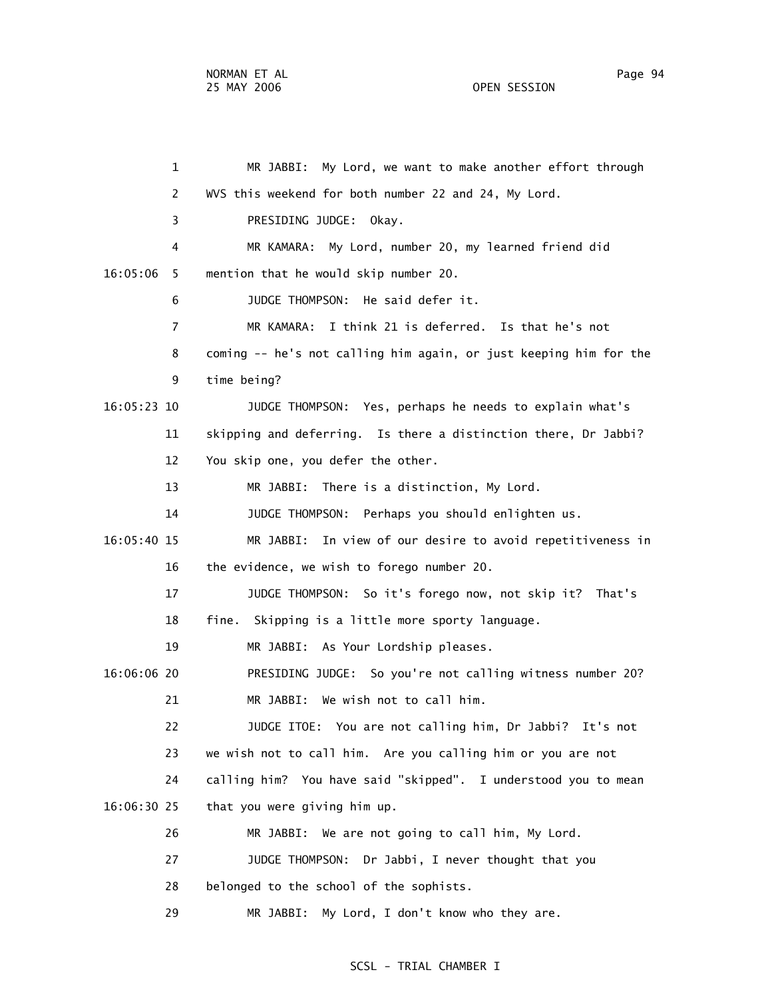1 MR JABBI: My Lord, we want to make another effort through 2 WVS this weekend for both number 22 and 24, My Lord. 3 PRESIDING JUDGE: Okay. 4 MR KAMARA: My Lord, number 20, my learned friend did 16:05:06 5 mention that he would skip number 20. 6 JUDGE THOMPSON: He said defer it. 7 MR KAMARA: I think 21 is deferred. Is that he's not 8 coming -- he's not calling him again, or just keeping him for the 9 time being? 16:05:23 10 JUDGE THOMPSON: Yes, perhaps he needs to explain what's 11 skipping and deferring. Is there a distinction there, Dr Jabbi? 12 You skip one, you defer the other. 13 MR JABBI: There is a distinction, My Lord. 14 JUDGE THOMPSON: Perhaps you should enlighten us. 16:05:40 15 MR JABBI: In view of our desire to avoid repetitiveness in 16 the evidence, we wish to forego number 20. 17 JUDGE THOMPSON: So it's forego now, not skip it? That's 18 fine. Skipping is a little more sporty language. 19 MR JABBI: As Your Lordship pleases. 16:06:06 20 PRESIDING JUDGE: So you're not calling witness number 20? 21 MR JABBI: We wish not to call him. 22 JUDGE ITOE: You are not calling him, Dr Jabbi? It's not 23 we wish not to call him. Are you calling him or you are not 24 calling him? You have said "skipped". I understood you to mean 16:06:30 25 that you were giving him up. 26 MR JABBI: We are not going to call him, My Lord. 27 JUDGE THOMPSON: Dr Jabbi, I never thought that you 28 belonged to the school of the sophists.

SCSL - TRIAL CHAMBER I

29 MR JABBI: My Lord, I don't know who they are.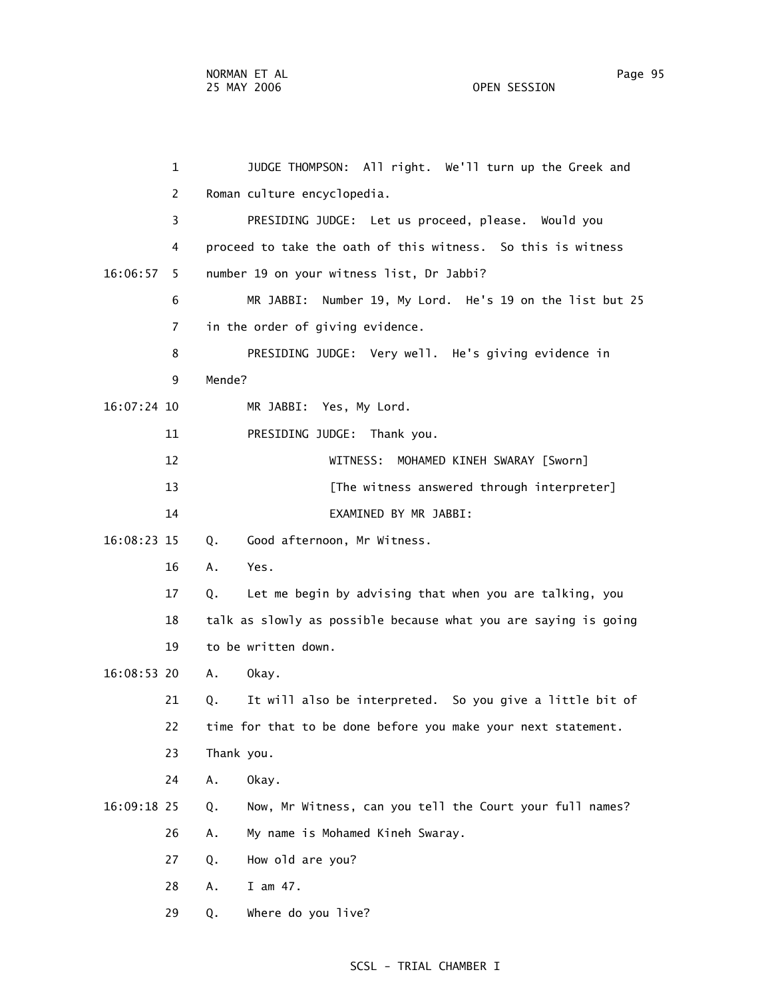1 JUDGE THOMPSON: All right. We'll turn up the Greek and 2 Roman culture encyclopedia. 3 PRESIDING JUDGE: Let us proceed, please. Would you 4 proceed to take the oath of this witness. So this is witness 16:06:57 5 number 19 on your witness list, Dr Jabbi? 6 MR JABBI: Number 19, My Lord. He's 19 on the list but 25 7 in the order of giving evidence. 8 PRESIDING JUDGE: Very well. He's giving evidence in 9 Mende? 16:07:24 10 MR JABBI: Yes, My Lord. 11 PRESIDING JUDGE: Thank you. 12 WITNESS: MOHAMED KINEH SWARAY [Sworn] 13 **Example 13** [The witness answered through interpreter] 14 EXAMINED BY MR JABBI: 16:08:23 15 Q. Good afternoon, Mr Witness. 16 A. Yes. 17 Q. Let me begin by advising that when you are talking, you 18 talk as slowly as possible because what you are saying is going 19 to be written down. 16:08:53 20 A. Okay. 21 Q. It will also be interpreted. So you give a little bit of 22 time for that to be done before you make your next statement. 23 Thank you. 24 A. Okay. 16:09:18 25 Q. Now, Mr Witness, can you tell the Court your full names? 26 A. My name is Mohamed Kineh Swaray. 27 Q. How old are you? 28 A. I am 47.

29 Q. Where do you live?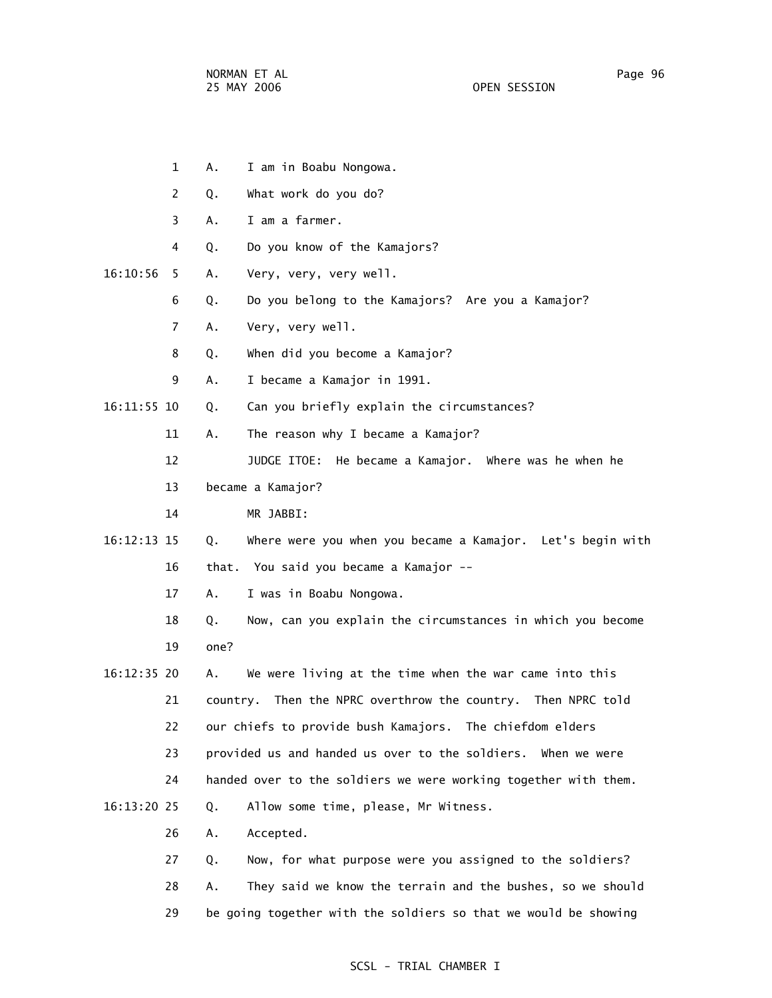- 1 A. I am in Boabu Nongowa. 2 Q. What work do you do? 3 A. I am a farmer. 4 Q. Do you know of the Kamajors? 16:10:56 5 A. Very, very, very well. 6 Q. Do you belong to the Kamajors? Are you a Kamajor? 7 A. Very, very well. 8 Q. When did you become a Kamajor? 9 A. I became a Kamajor in 1991. 16:11:55 10 Q. Can you briefly explain the circumstances? 11 A. The reason why I became a Kamajor? 12 JUDGE ITOE: He became a Kamajor. Where was he when he 13 became a Kamajor? 14 MR JABBI: 16:12:13 15 Q. Where were you when you became a Kamajor. Let's begin with 16 that. You said you became a Kamajor -- 17 A. I was in Boabu Nongowa. 18 Q. Now, can you explain the circumstances in which you become 19 one? 16:12:35 20 A. We were living at the time when the war came into this 21 country. Then the NPRC overthrow the country. Then NPRC told 22 our chiefs to provide bush Kamajors. The chiefdom elders 23 provided us and handed us over to the soldiers. When we were 24 handed over to the soldiers we were working together with them. 16:13:20 25 Q. Allow some time, please, Mr Witness. 26 A. Accepted. 27 Q. Now, for what purpose were you assigned to the soldiers?
	- 28 A. They said we know the terrain and the bushes, so we should 29 be going together with the soldiers so that we would be showing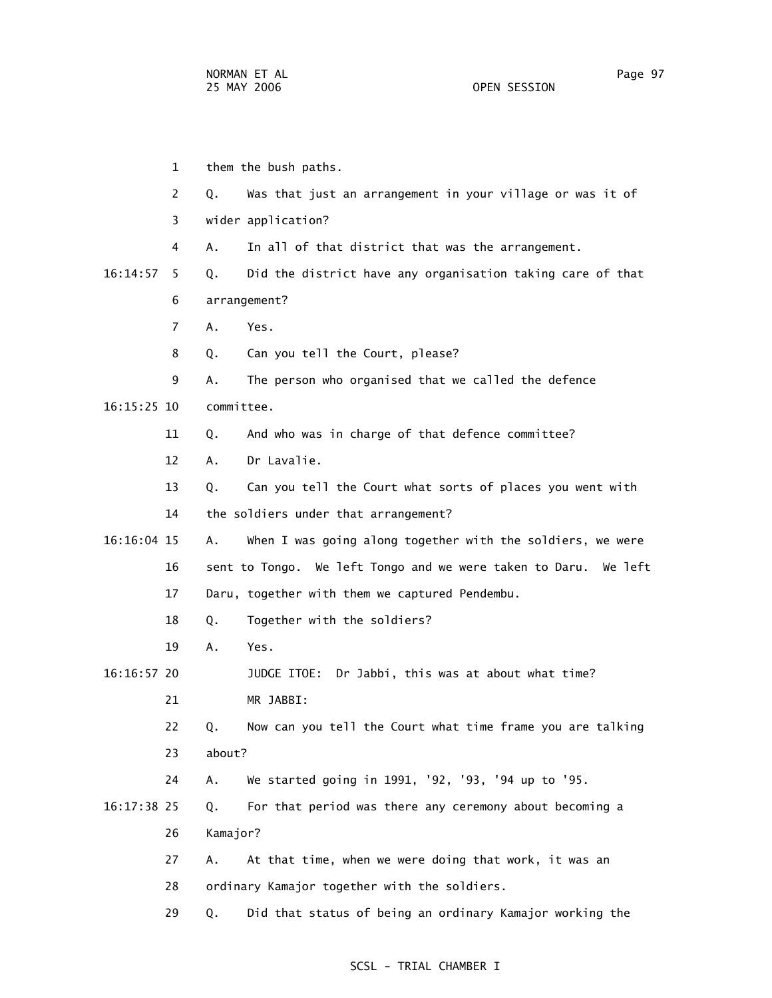1 them the bush paths. 2 Q. Was that just an arrangement in your village or was it of 3 wider application? 4 A. In all of that district that was the arrangement. 16:14:57 5 Q. Did the district have any organisation taking care of that 6 arrangement? 7 A. Yes. 8 Q. Can you tell the Court, please? 9 A. The person who organised that we called the defence 16:15:25 10 committee. 11 Q. And who was in charge of that defence committee? 12 A. Dr Lavalie. 13 Q. Can you tell the Court what sorts of places you went with 14 the soldiers under that arrangement? 16:16:04 15 A. When I was going along together with the soldiers, we were 16 sent to Tongo. We left Tongo and we were taken to Daru. We left 17 Daru, together with them we captured Pendembu. 18 Q. Together with the soldiers? 19 A. Yes. 16:16:57 20 JUDGE ITOE: Dr Jabbi, this was at about what time? 21 MR JABBI: 22 Q. Now can you tell the Court what time frame you are talking 23 about? 24 A. We started going in 1991, '92, '93, '94 up to '95. 16:17:38 25 Q. For that period was there any ceremony about becoming a 26 Kamajor? 27 A. At that time, when we were doing that work, it was an 28 ordinary Kamajor together with the soldiers. 29 Q. Did that status of being an ordinary Kamajor working the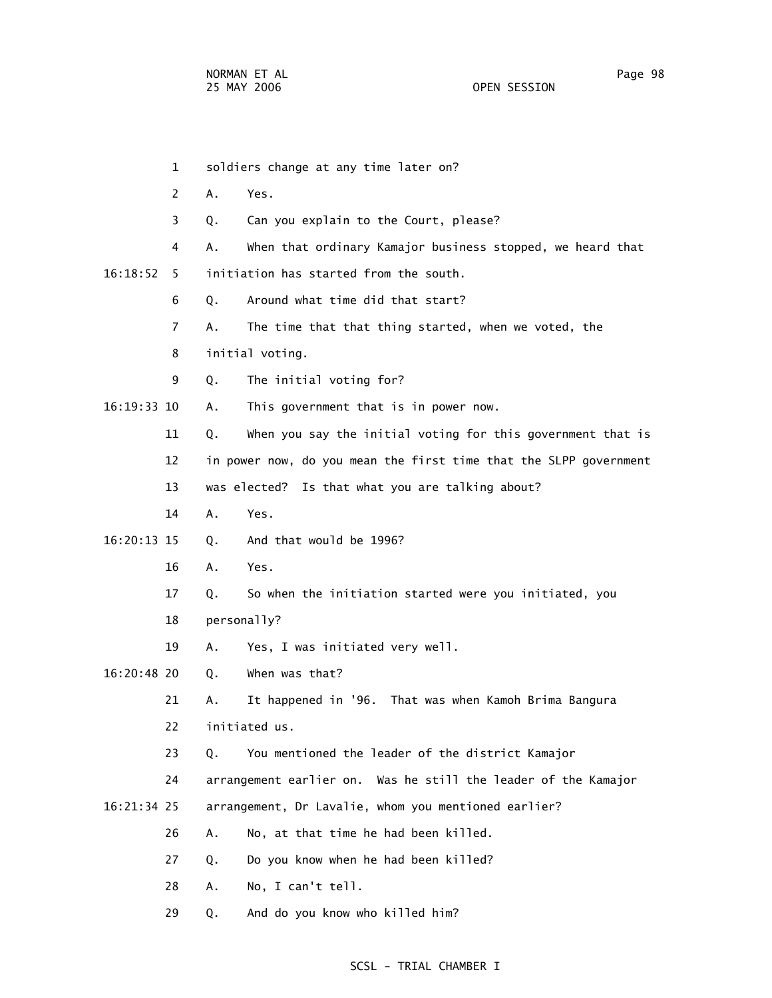|               | $\mathbf{1}$   |    | soldiers change at any time later on?                             |
|---------------|----------------|----|-------------------------------------------------------------------|
|               | 2              | Α. | Yes.                                                              |
|               | 3              | Q. | Can you explain to the Court, please?                             |
|               | 4              | А. | When that ordinary Kamajor business stopped, we heard that        |
| 16:18:52      | 5              |    | initiation has started from the south.                            |
|               | 6              | Q. | Around what time did that start?                                  |
|               | $\overline{7}$ | А. | The time that that thing started, when we voted, the              |
|               | 8              |    | initial voting.                                                   |
|               | 9              | Q. | The initial voting for?                                           |
| 16:19:33 10   |                | Α. | This government that is in power now.                             |
|               | 11             | Q. | When you say the initial voting for this government that is       |
|               | 12             |    | in power now, do you mean the first time that the SLPP government |
|               | 13             |    | was elected? Is that what you are talking about?                  |
|               | 14             | A. | Yes.                                                              |
| $16:20:13$ 15 |                | Q. | And that would be 1996?                                           |
|               | 16             | А. | Yes.                                                              |
|               | 17             | Q. | So when the initiation started were you initiated, you            |
|               | 18             |    | personally?                                                       |
|               | 19             | Α. | Yes, I was initiated very well.                                   |
| 16:20:48 20   |                | Q. | When was that?                                                    |
|               | 21             | А. | It happened in '96. That was when Kamoh Brima Bangura             |
|               | 22             |    | initiated us.                                                     |
|               | 23             | Q. | You mentioned the leader of the district Kamajor                  |
|               | 24             |    | arrangement earlier on. Was he still the leader of the Kamajor    |
| 16:21:34 25   |                |    | arrangement, Dr Lavalie, whom you mentioned earlier?              |
|               | 26             | Α. | No, at that time he had been killed.                              |
|               | 27             | Q. | Do you know when he had been killed?                              |
|               | 28             | Α. | No, I can't tell.                                                 |
|               | 29             | Q. | And do you know who killed him?                                   |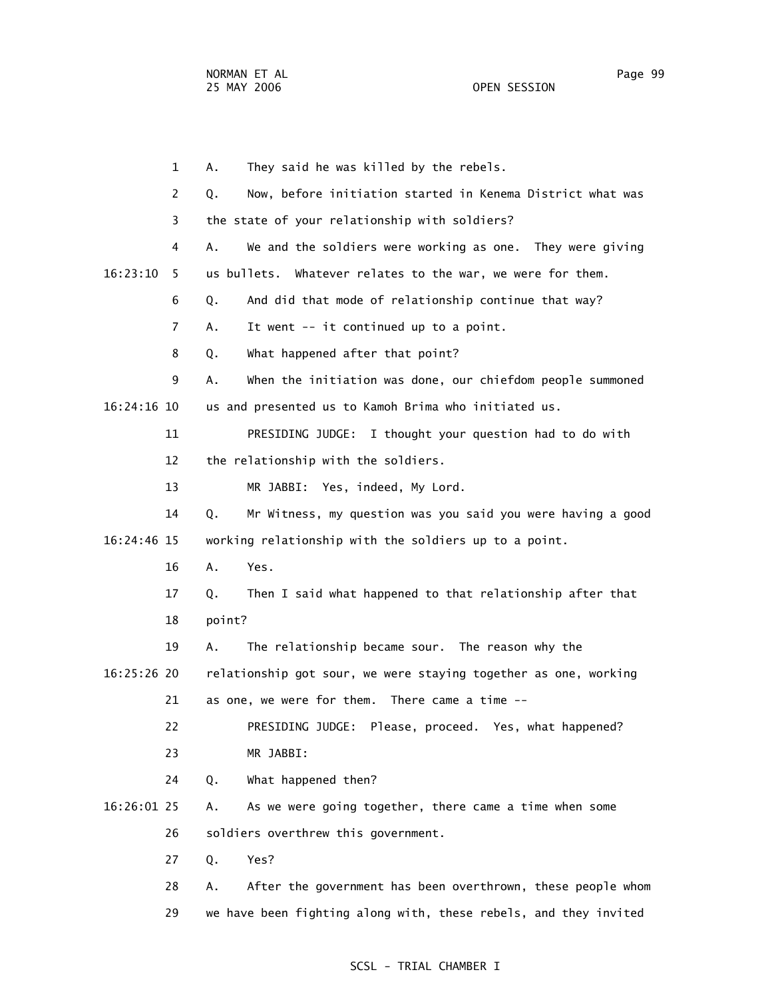1 A. They said he was killed by the rebels. 2 Q. Now, before initiation started in Kenema District what was 3 the state of your relationship with soldiers? 4 A. We and the soldiers were working as one. They were giving 16:23:10 5 us bullets. Whatever relates to the war, we were for them. 6 Q. And did that mode of relationship continue that way? 7 A. It went -- it continued up to a point. 8 Q. What happened after that point? 9 A. When the initiation was done, our chiefdom people summoned 16:24:16 10 us and presented us to Kamoh Brima who initiated us. 11 PRESIDING JUDGE: I thought your question had to do with 12 the relationship with the soldiers. 13 MR JABBI: Yes, indeed, My Lord. 14 Q. Mr Witness, my question was you said you were having a good 16:24:46 15 working relationship with the soldiers up to a point. 16 A. Yes. 17 Q. Then I said what happened to that relationship after that 18 point? 19 A. The relationship became sour. The reason why the 16:25:26 20 relationship got sour, we were staying together as one, working 21 as one, we were for them. There came a time -- 22 PRESIDING JUDGE: Please, proceed. Yes, what happened? 23 MR JABBI: 24 Q. What happened then? 16:26:01 25 A. As we were going together, there came a time when some 26 soldiers overthrew this government. 27 Q. Yes? 28 A. After the government has been overthrown, these people whom 29 we have been fighting along with, these rebels, and they invited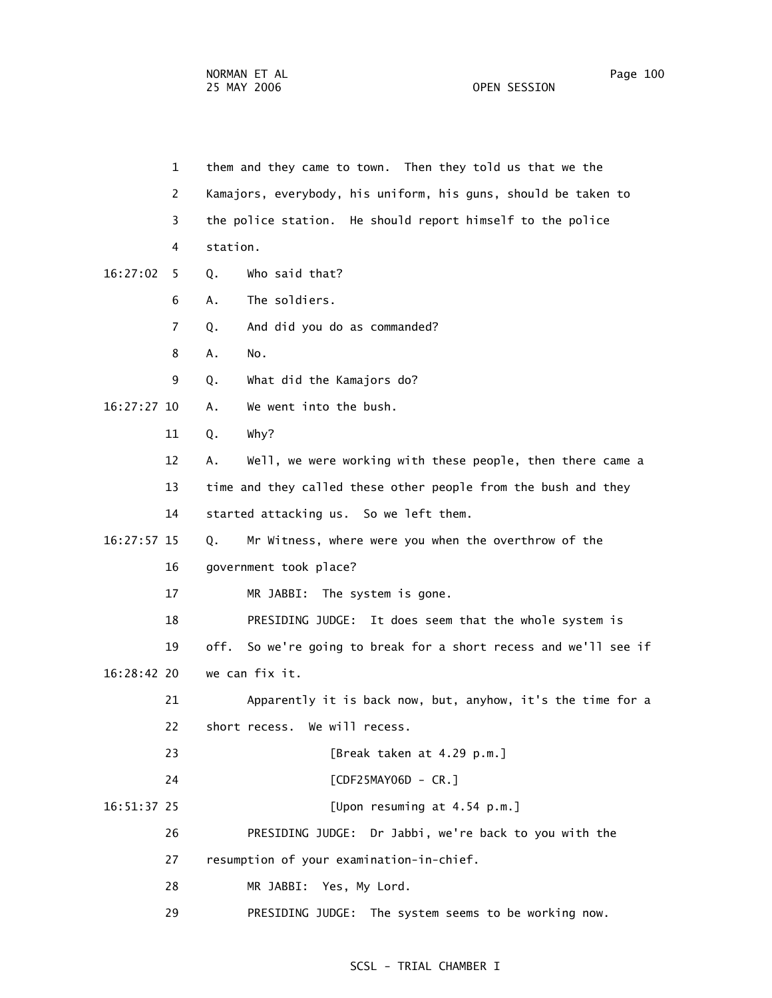1 them and they came to town. Then they told us that we the 2 Kamajors, everybody, his uniform, his guns, should be taken to 3 the police station. He should report himself to the police 4 station. 16:27:02 5 Q. Who said that? 6 A. The soldiers. 7 Q. And did you do as commanded? 8 A. No. 9 Q. What did the Kamajors do? 16:27:27 10 A. We went into the bush. 11 Q. Why? 12 A. Well, we were working with these people, then there came a 13 time and they called these other people from the bush and they 14 started attacking us. So we left them. 16:27:57 15 Q. Mr Witness, where were you when the overthrow of the 16 government took place? 17 MR JABBI: The system is gone. 18 PRESIDING JUDGE: It does seem that the whole system is 19 off. So we're going to break for a short recess and we'll see if 16:28:42 20 we can fix it. 21 Apparently it is back now, but, anyhow, it's the time for a 22 short recess. We will recess. 23 [Break taken at 4.29 p.m.] 24 [CDF25MAY06D - CR.] 16:51:37 25 [Upon resuming at 4.54 p.m.] 26 PRESIDING JUDGE: Dr Jabbi, we're back to you with the 27 resumption of your examination-in-chief. 28 MR JABBI: Yes, My Lord.

29 PRESIDING JUDGE: The system seems to be working now.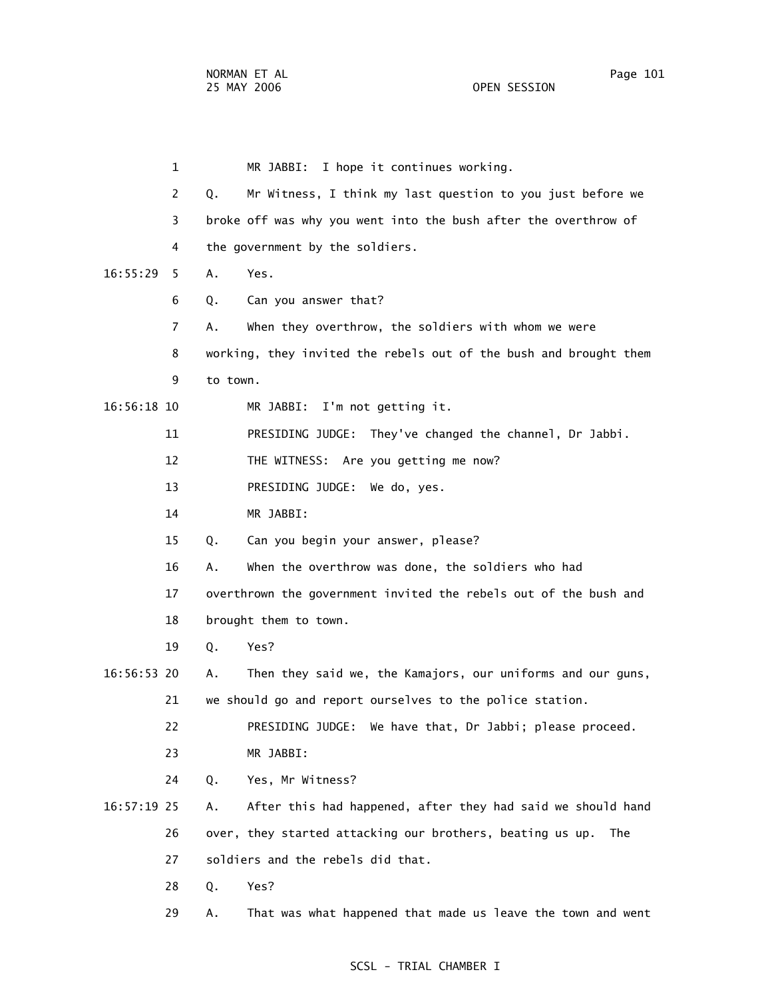1 MR JABBI: I hope it continues working. 2 Q. Mr Witness, I think my last question to you just before we 3 broke off was why you went into the bush after the overthrow of 4 the government by the soldiers. 16:55:29 5 A. Yes. 6 Q. Can you answer that? 7 A. When they overthrow, the soldiers with whom we were 8 working, they invited the rebels out of the bush and brought them 9 to town. 16:56:18 10 MR JABBI: I'm not getting it. 11 PRESIDING JUDGE: They've changed the channel, Dr Jabbi. 12 THE WITNESS: Are you getting me now? 13 PRESIDING JUDGE: We do, yes. 14 MR JABBI: 15 Q. Can you begin your answer, please? 16 A. When the overthrow was done, the soldiers who had 17 overthrown the government invited the rebels out of the bush and 18 brought them to town. 19 Q. Yes? 16:56:53 20 A. Then they said we, the Kamajors, our uniforms and our guns, 21 we should go and report ourselves to the police station. 22 PRESIDING JUDGE: We have that, Dr Jabbi; please proceed. 23 MR JABBI: 24 Q. Yes, Mr Witness? 16:57:19 25 A. After this had happened, after they had said we should hand 26 over, they started attacking our brothers, beating us up. The 27 soldiers and the rebels did that. 28 Q. Yes? 29 A. That was what happened that made us leave the town and went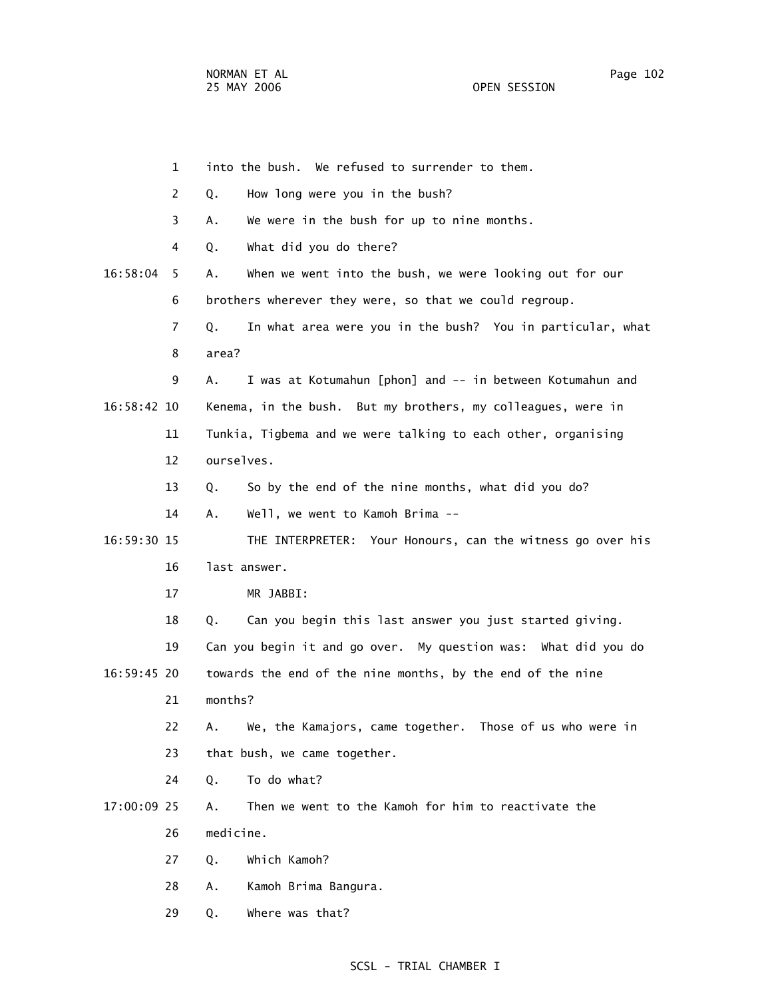|             | $\mathbf{1}$ | into the bush. We refused to surrender to them.                  |
|-------------|--------------|------------------------------------------------------------------|
|             | 2            | How long were you in the bush?<br>Q.                             |
|             | 3            | We were in the bush for up to nine months.<br>А.                 |
|             | 4            | What did you do there?<br>Q.                                     |
| 16:58:04    | 5            | When we went into the bush, we were looking out for our<br>Α.    |
|             | 6            | brothers wherever they were, so that we could regroup.           |
|             | 7            | In what area were you in the bush? You in particular, what<br>Q. |
|             | 8            | area?                                                            |
|             | 9            | I was at Kotumahun [phon] and -- in between Kotumahun and<br>Α.  |
| 16:58:42 10 |              | Kenema, in the bush. But my brothers, my colleagues, were in     |
|             | 11           | Tunkia, Tigbema and we were talking to each other, organising    |
|             | 12           | ourselves.                                                       |
|             | 13           | So by the end of the nine months, what did you do?<br>Q.         |
|             | 14           | Well, we went to Kamoh Brima --<br>Α.                            |
| 16:59:30 15 |              | THE INTERPRETER: Your Honours, can the witness go over his       |
|             | 16           | last answer.                                                     |
|             | 17           | MR JABBI:                                                        |
|             | 18           | Can you begin this last answer you just started giving.<br>Q.    |
|             | 19           | Can you begin it and go over. My question was: What did you do   |
| 16:59:45 20 |              | towards the end of the nine months, by the end of the nine       |
|             | 21           | months?                                                          |
|             | 22           | We, the Kamajors, came together. Those of us who were in<br>А.   |
|             | 23           | that bush, we came together.                                     |
|             | 24           | To do what?<br>Q.                                                |
| 17:00:09 25 |              | Then we went to the Kamoh for him to reactivate the<br>Α.        |
|             | 26           | medicine.                                                        |
|             | 27           | Which Kamoh?<br>Q.                                               |
|             | 28           | Kamoh Brima Bangura.<br>Α.                                       |
|             | 29           | Where was that?<br>Q.                                            |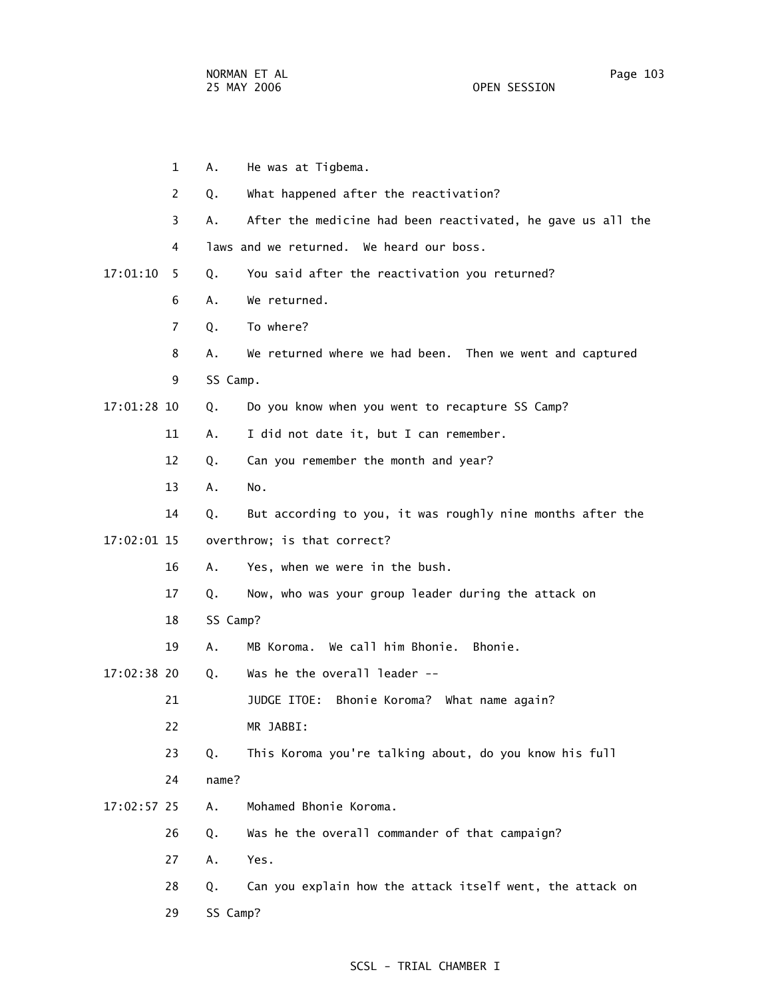|             | $\mathbf{1}$ | Α.       | He was at Tigbema.                                          |
|-------------|--------------|----------|-------------------------------------------------------------|
|             | 2            | Q.       | What happened after the reactivation?                       |
|             | 3            | А.       | After the medicine had been reactivated, he gave us all the |
|             | 4            |          | laws and we returned. We heard our boss.                    |
| 17:01:10    | - 5          | Q.       | You said after the reactivation you returned?               |
|             | 6            | А.       | We returned.                                                |
|             | 7            | Q.       | To where?                                                   |
|             | 8            | Α.       | We returned where we had been. Then we went and captured    |
|             | 9            | SS Camp. |                                                             |
| 17:01:28 10 |              | Q.       | Do you know when you went to recapture SS Camp?             |
|             | 11           | Α.       | I did not date it, but I can remember.                      |
|             | 12           | Q.       | Can you remember the month and year?                        |
|             | 13           | A.       | No.                                                         |
|             | 14           | Q.       | But according to you, it was roughly nine months after the  |
| 17:02:01 15 |              |          | overthrow; is that correct?                                 |
|             | 16           | Α.       | Yes, when we were in the bush.                              |
|             | 17           | Q.       | Now, who was your group leader during the attack on         |
|             | 18           | SS Camp? |                                                             |
|             | 19           | А.       | MB Koroma. We call him Bhonie. Bhonie.                      |
| 17:02:38 20 |              | Q.       | Was he the overall leader --                                |
|             | 21           |          | JUDGE ITOE:<br>Bhonie Koroma? What name again?              |
|             | 22           |          | MR JABBI:                                                   |
|             | 23           | Q.       | This Koroma you're talking about, do you know his full      |
|             | 24           | name?    |                                                             |
| 17:02:57 25 |              | Α.       | Mohamed Bhonie Koroma.                                      |
|             | 26           | Q.       | Was he the overall commander of that campaign?              |
|             | 27           | Α.       | Yes.                                                        |
|             | 28           | Q.       | Can you explain how the attack itself went, the attack on   |
|             | 29           | SS Camp? |                                                             |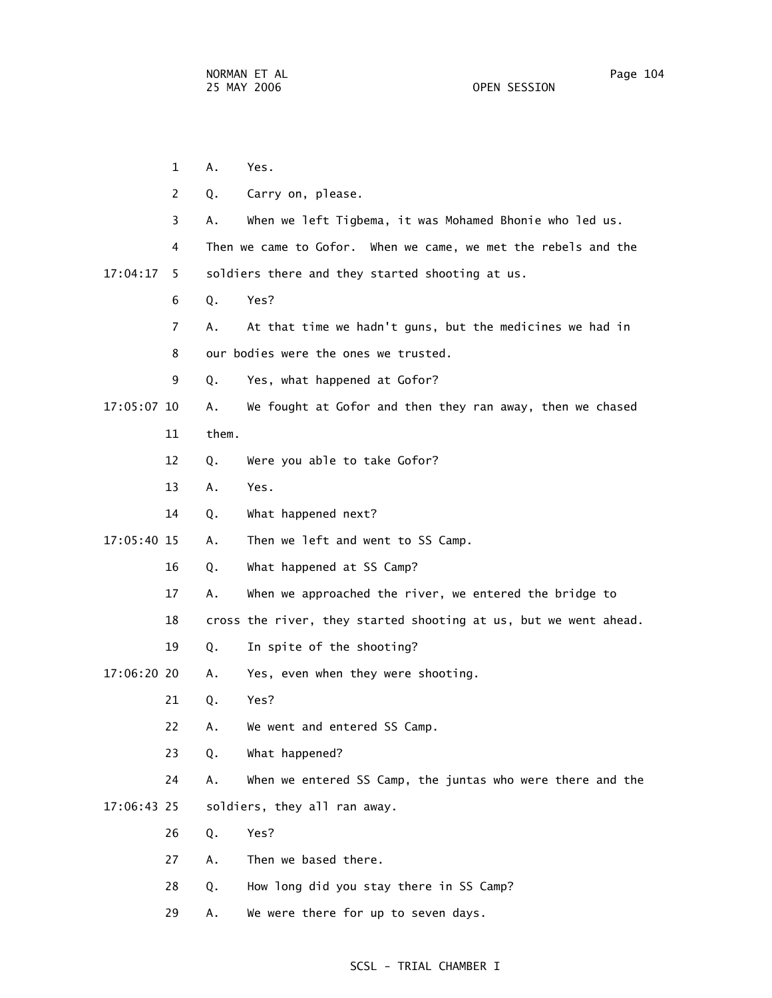1 A. Yes. 2 Q. Carry on, please. 3 A. When we left Tigbema, it was Mohamed Bhonie who led us. 4 Then we came to Gofor. When we came, we met the rebels and the 17:04:17 5 soldiers there and they started shooting at us. 6 Q. Yes? 7 A. At that time we hadn't guns, but the medicines we had in 8 our bodies were the ones we trusted. 9 Q. Yes, what happened at Gofor? 17:05:07 10 A. We fought at Gofor and then they ran away, then we chased 11 them. 12 Q. Were you able to take Gofor? 13 A. Yes. 14 Q. What happened next? 17:05:40 15 A. Then we left and went to SS Camp. 16 Q. What happened at SS Camp? 17 A. When we approached the river, we entered the bridge to 18 cross the river, they started shooting at us, but we went ahead. 19 Q. In spite of the shooting? 17:06:20 20 A. Yes, even when they were shooting. 21 Q. Yes? 22 A. We went and entered SS Camp. 23 Q. What happened? 24 A. When we entered SS Camp, the juntas who were there and the 17:06:43 25 soldiers, they all ran away. 26 Q. Yes? 27 A. Then we based there. 28 Q. How long did you stay there in SS Camp? 29 A. We were there for up to seven days.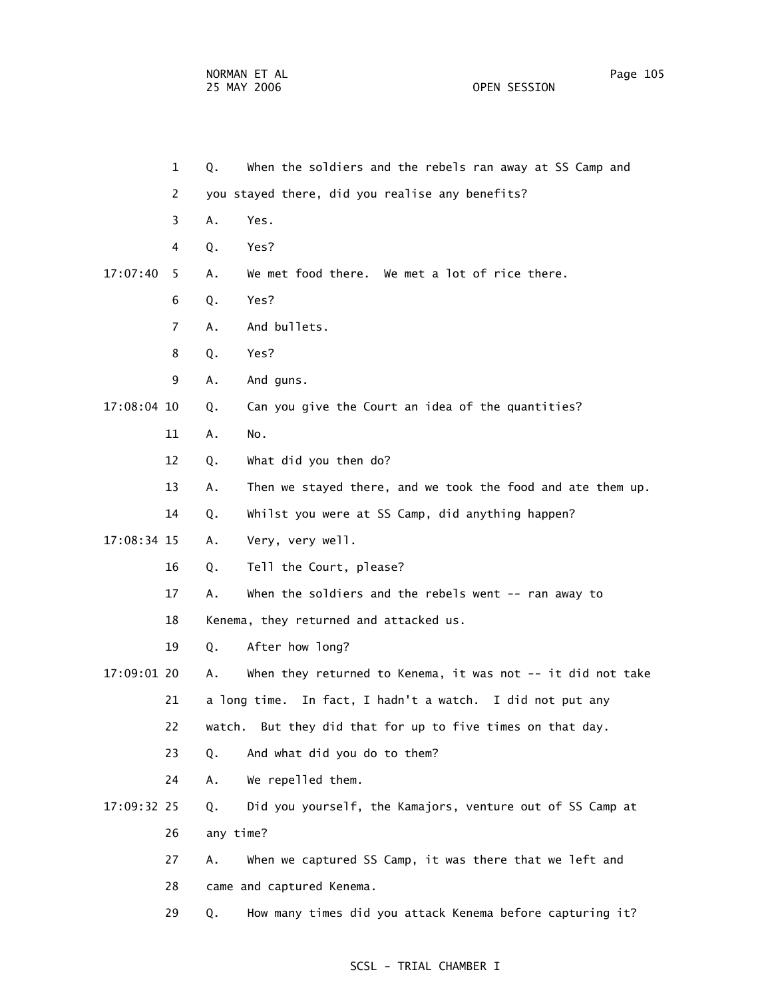NORMAN ET AL **Page 105** 25 MAY 2006 OPEN SESSION

 1 Q. When the soldiers and the rebels ran away at SS Camp and 2 you stayed there, did you realise any benefits? 3 A. Yes. 4 Q. Yes? 17:07:40 5 A. We met food there. We met a lot of rice there. 6 Q. Yes? 7 A. And bullets. 8 Q. Yes? 9 A. And guns. 17:08:04 10 Q. Can you give the Court an idea of the quantities? 11 A. No. 12 Q. What did you then do? 13 A. Then we stayed there, and we took the food and ate them up. 14 Q. Whilst you were at SS Camp, did anything happen? 17:08:34 15 A. Very, very well. 16 Q. Tell the Court, please? 17 A. When the soldiers and the rebels went -- ran away to 18 Kenema, they returned and attacked us. 19 Q. After how long? 17:09:01 20 A. When they returned to Kenema, it was not -- it did not take 21 a long time. In fact, I hadn't a watch. I did not put any

- 22 watch. But they did that for up to five times on that day.
- 23 Q. And what did you do to them?
- 24 A. We repelled them.
- 17:09:32 25 Q. Did you yourself, the Kamajors, venture out of SS Camp at 26 any time?
	- 27 A. When we captured SS Camp, it was there that we left and 28 came and captured Kenema.
	- 29 Q. How many times did you attack Kenema before capturing it?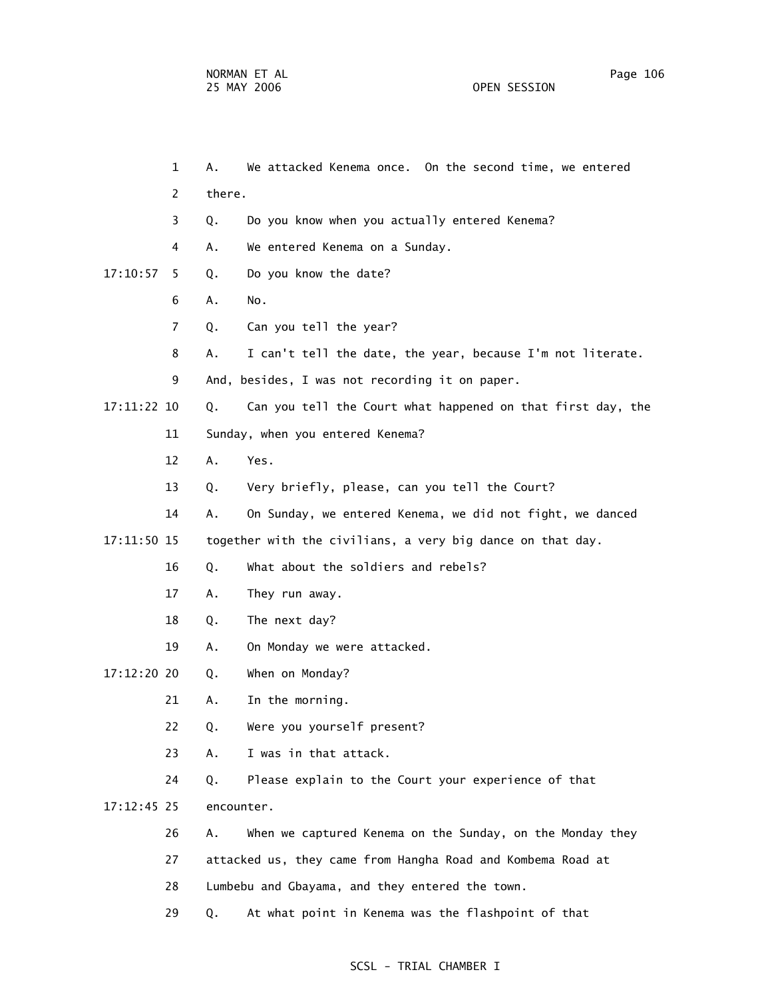1 A. We attacked Kenema once. On the second time, we entered 3 Q. Do you know when you actually entered Kenema? 4 A. We entered Kenema on a Sunday. 17:10:57 5 Q. Do you know the date?

6 A. No.

2 there.

- 7 Q. Can you tell the year?
- 8 A. I can't tell the date, the year, because I'm not literate.
- 9 And, besides, I was not recording it on paper.

17:11:22 10 Q. Can you tell the Court what happened on that first day, the

- 11 Sunday, when you entered Kenema?
- 12 A. Yes.
- 13 Q. Very briefly, please, can you tell the Court?
- 14 A. On Sunday, we entered Kenema, we did not fight, we danced
- 17:11:50 15 together with the civilians, a very big dance on that day.
	- 16 Q. What about the soldiers and rebels?
	- 17 A. They run away.
	- 18 Q. The next day?
	- 19 A. On Monday we were attacked.
- 17:12:20 20 Q. When on Monday?
	- 21 A. In the morning.
	- 22 Q. Were you yourself present?
	- 23 A. I was in that attack.
	- 24 Q. Please explain to the Court your experience of that

17:12:45 25 encounter.

- 26 A. When we captured Kenema on the Sunday, on the Monday they
- 27 attacked us, they came from Hangha Road and Kombema Road at
- 28 Lumbebu and Gbayama, and they entered the town.
- 29 Q. At what point in Kenema was the flashpoint of that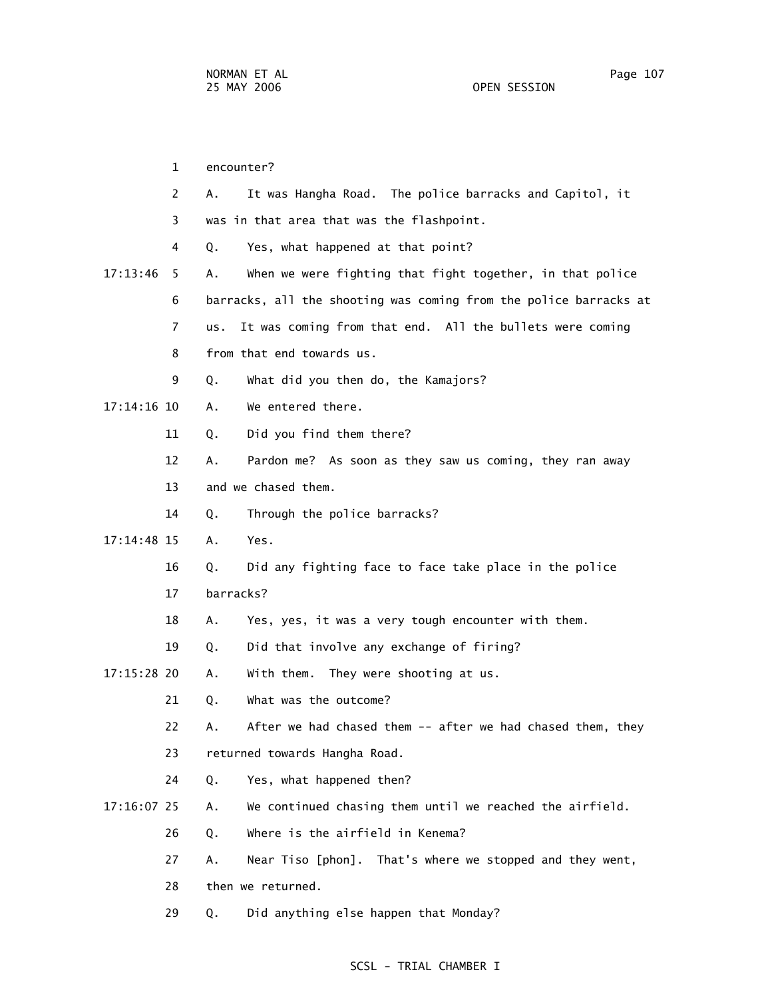1 encounter? 2 A. It was Hangha Road. The police barracks and Capitol, it 3 was in that area that was the flashpoint. 4 Q. Yes, what happened at that point? 17:13:46 5 A. When we were fighting that fight together, in that police 6 barracks, all the shooting was coming from the police barracks at 7 us. It was coming from that end. All the bullets were coming 8 from that end towards us. 9 Q. What did you then do, the Kamajors? 17:14:16 10 A. We entered there. 11 Q. Did you find them there? 12 A. Pardon me? As soon as they saw us coming, they ran away 13 and we chased them. 14 Q. Through the police barracks? 17:14:48 15 A. Yes. 16 Q. Did any fighting face to face take place in the police 17 barracks? 18 A. Yes, yes, it was a very tough encounter with them. 19 Q. Did that involve any exchange of firing? 17:15:28 20 A. With them. They were shooting at us. 21 Q. What was the outcome? 22 A. After we had chased them -- after we had chased them, they 23 returned towards Hangha Road. 24 Q. Yes, what happened then? 17:16:07 25 A. We continued chasing them until we reached the airfield. 26 Q. Where is the airfield in Kenema? 27 A. Near Tiso [phon]. That's where we stopped and they went, 28 then we returned. 29 Q. Did anything else happen that Monday?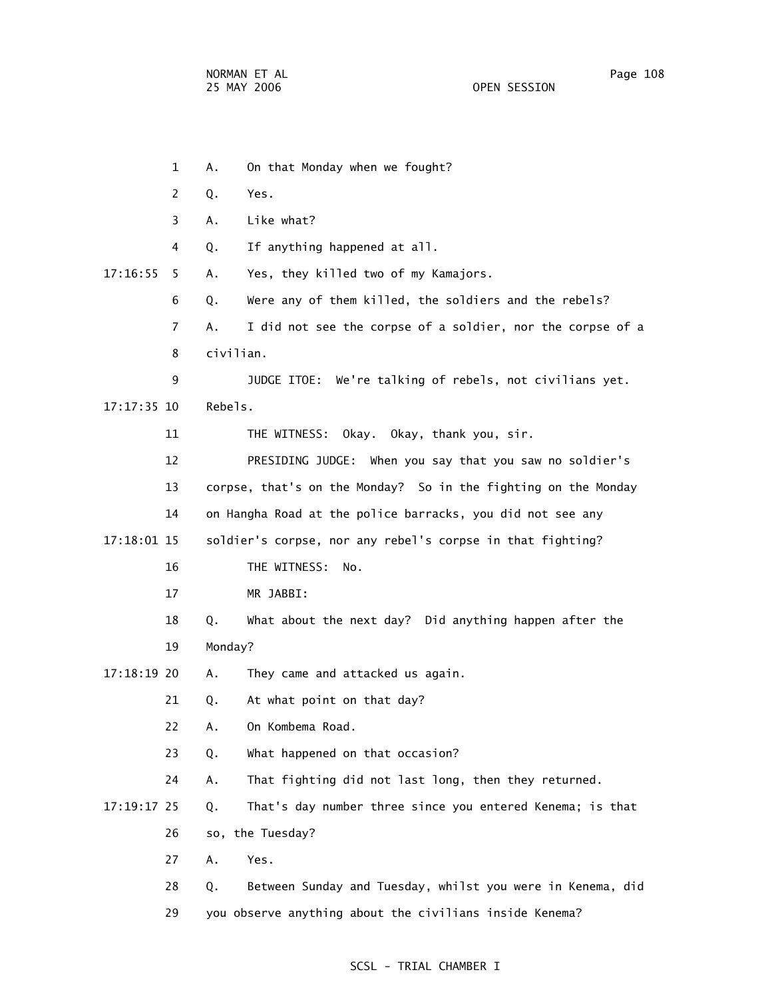1 A. On that Monday when we fought? 2 Q. Yes. 3 A. Like what? 4 Q. If anything happened at all. 17:16:55 5 A. Yes, they killed two of my Kamajors. 6 Q. Were any of them killed, the soldiers and the rebels? 7 A. I did not see the corpse of a soldier, nor the corpse of a 8 civilian. 9 JUDGE ITOE: We're talking of rebels, not civilians yet. 17:17:35 10 Rebels. 11 THE WITNESS: Okay. Okay, thank you, sir. 12 PRESIDING JUDGE: When you say that you saw no soldier's 13 corpse, that's on the Monday? So in the fighting on the Monday 14 on Hangha Road at the police barracks, you did not see any 17:18:01 15 soldier's corpse, nor any rebel's corpse in that fighting? 16 THE WITNESS: No. 17 MR JABBI: 18 Q. What about the next day? Did anything happen after the 19 Monday? 17:18:19 20 A. They came and attacked us again. 21 Q. At what point on that day? 22 A. On Kombema Road. 23 Q. What happened on that occasion? 24 A. That fighting did not last long, then they returned. 17:19:17 25 Q. That's day number three since you entered Kenema; is that 26 so, the Tuesday? 27 A. Yes. 28 Q. Between Sunday and Tuesday, whilst you were in Kenema, did 29 you observe anything about the civilians inside Kenema?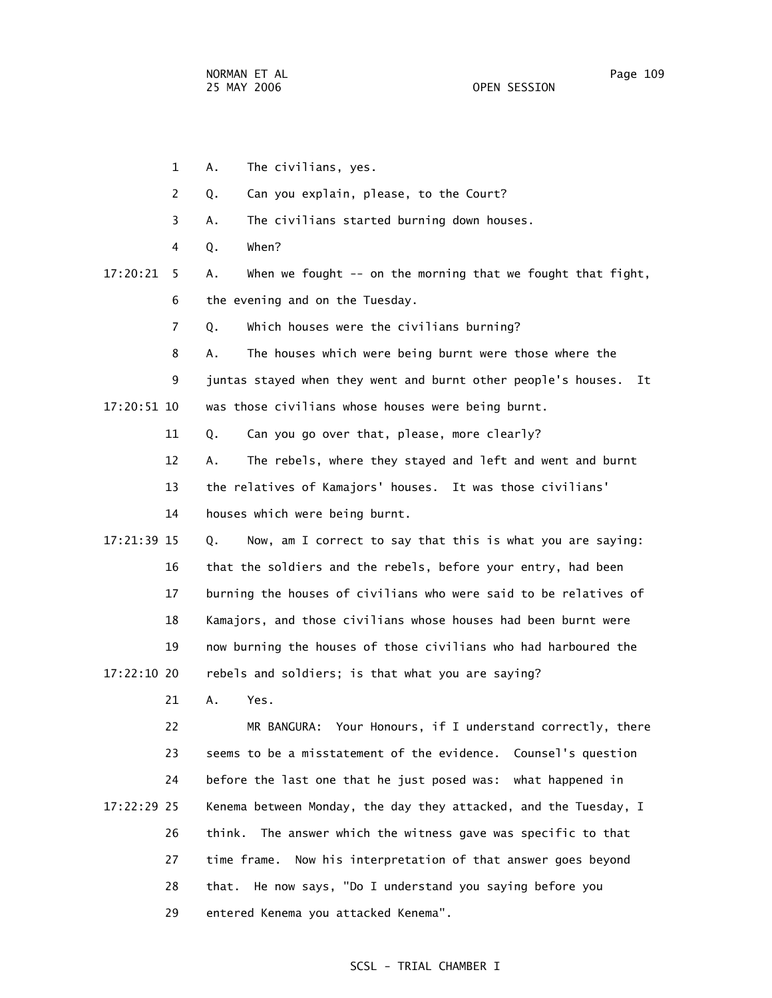1 A. The civilians, yes. 2 Q. Can you explain, please, to the Court? 3 A. The civilians started burning down houses. 4 Q. When? 17:20:21 5 A. When we fought -- on the morning that we fought that fight, 6 the evening and on the Tuesday. 7 Q. Which houses were the civilians burning? 8 A. The houses which were being burnt were those where the 9 juntas stayed when they went and burnt other people's houses. It 17:20:51 10 was those civilians whose houses were being burnt. 11 Q. Can you go over that, please, more clearly? 12 A. The rebels, where they stayed and left and went and burnt 13 the relatives of Kamajors' houses. It was those civilians' 14 houses which were being burnt. 17:21:39 15 Q. Now, am I correct to say that this is what you are saying: 16 that the soldiers and the rebels, before your entry, had been 17 burning the houses of civilians who were said to be relatives of 18 Kamajors, and those civilians whose houses had been burnt were

 19 now burning the houses of those civilians who had harboured the 17:22:10 20 rebels and soldiers; is that what you are saying?

21 A. Yes.

 22 MR BANGURA: Your Honours, if I understand correctly, there 23 seems to be a misstatement of the evidence. Counsel's question 24 before the last one that he just posed was: what happened in 17:22:29 25 Kenema between Monday, the day they attacked, and the Tuesday, I 26 think. The answer which the witness gave was specific to that 27 time frame. Now his interpretation of that answer goes beyond 28 that. He now says, "Do I understand you saying before you 29 entered Kenema you attacked Kenema".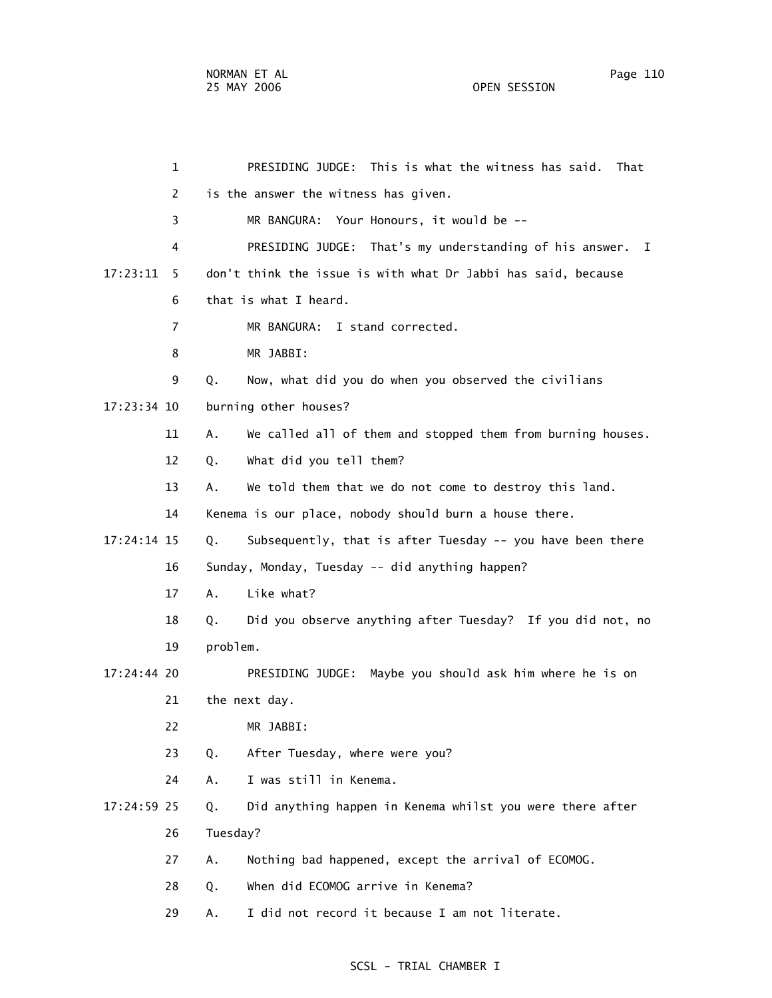1 PRESIDING JUDGE: This is what the witness has said. That 2 is the answer the witness has given. 3 MR BANGURA: Your Honours, it would be -- 4 PRESIDING JUDGE: That's my understanding of his answer. I 17:23:11 5 don't think the issue is with what Dr Jabbi has said, because 6 that is what I heard. 7 MR BANGURA: I stand corrected. 8 MR JABBI: 9 Q. Now, what did you do when you observed the civilians 17:23:34 10 burning other houses? 11 A. We called all of them and stopped them from burning houses. 12 Q. What did you tell them? 13 A. We told them that we do not come to destroy this land. 14 Kenema is our place, nobody should burn a house there. 17:24:14 15 Q. Subsequently, that is after Tuesday -- you have been there 16 Sunday, Monday, Tuesday -- did anything happen? 17 A. Like what? 18 Q. Did you observe anything after Tuesday? If you did not, no 19 problem. 17:24:44 20 PRESIDING JUDGE: Maybe you should ask him where he is on 21 the next day. 22 MR JABBI: 23 Q. After Tuesday, where were you? 24 A. I was still in Kenema. 17:24:59 25 Q. Did anything happen in Kenema whilst you were there after 26 Tuesday? 27 A. Nothing bad happened, except the arrival of ECOMOG. 28 Q. When did ECOMOG arrive in Kenema? 29 A. I did not record it because I am not literate.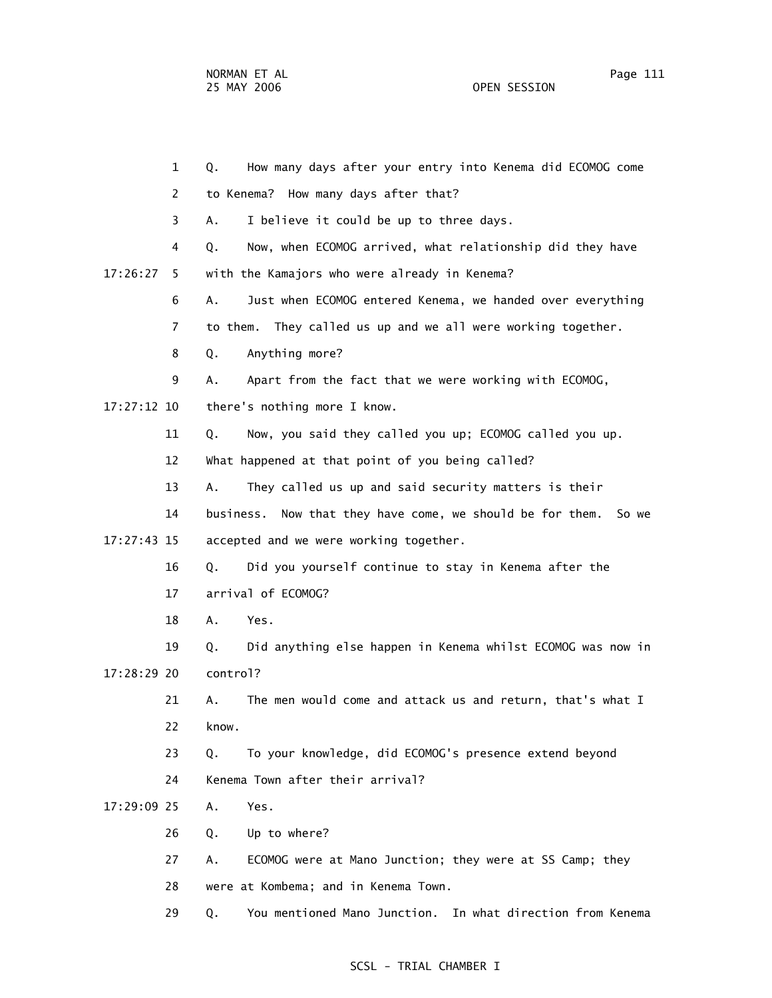1 Q. How many days after your entry into Kenema did ECOMOG come 2 to Kenema? How many days after that? 3 A. I believe it could be up to three days. 4 Q. Now, when ECOMOG arrived, what relationship did they have 17:26:27 5 with the Kamajors who were already in Kenema? 6 A. Just when ECOMOG entered Kenema, we handed over everything 7 to them. They called us up and we all were working together. 8 Q. Anything more? 9 A. Apart from the fact that we were working with ECOMOG, 17:27:12 10 there's nothing more I know. 11 Q. Now, you said they called you up; ECOMOG called you up. 12 What happened at that point of you being called? 13 A. They called us up and said security matters is their 14 business. Now that they have come, we should be for them. So we 17:27:43 15 accepted and we were working together. 16 Q. Did you yourself continue to stay in Kenema after the 17 arrival of ECOMOG? 18 A. Yes. 19 Q. Did anything else happen in Kenema whilst ECOMOG was now in 17:28:29 20 control? 21 A. The men would come and attack us and return, that's what I 22 know. 23 Q. To your knowledge, did ECOMOG's presence extend beyond 24 Kenema Town after their arrival? 17:29:09 25 A. Yes. 26 Q. Up to where? 27 A. ECOMOG were at Mano Junction; they were at SS Camp; they 28 were at Kombema; and in Kenema Town. 29 Q. You mentioned Mano Junction. In what direction from Kenema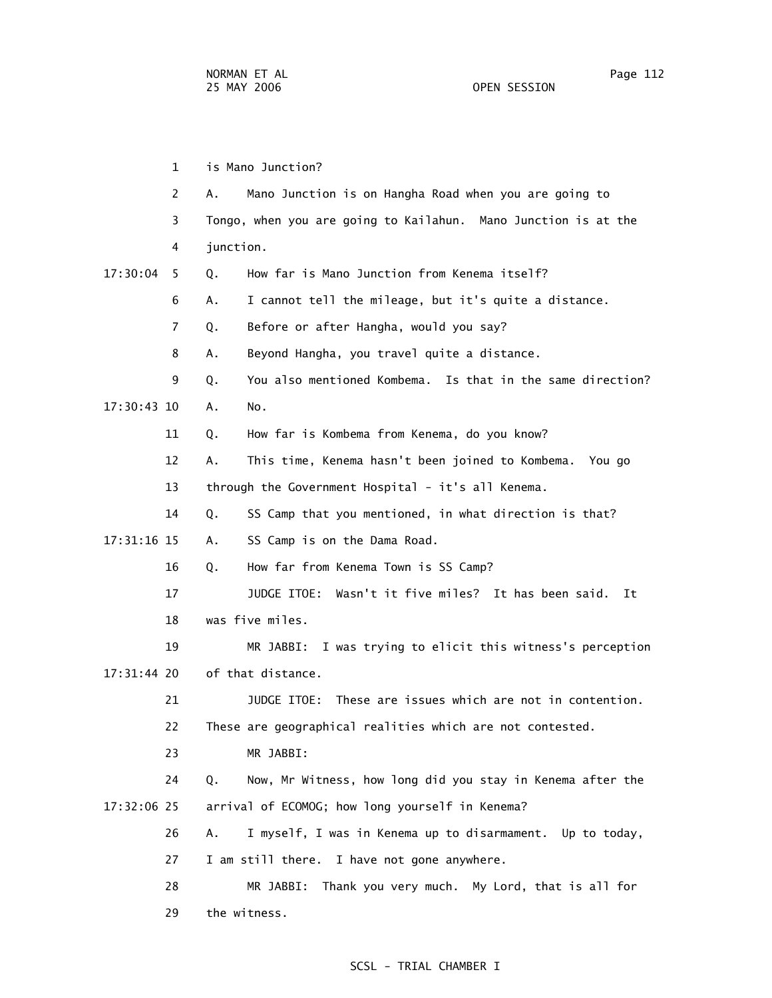1 is Mano Junction? 2 A. Mano Junction is on Hangha Road when you are going to 3 Tongo, when you are going to Kailahun. Mano Junction is at the 4 junction. 17:30:04 5 Q. How far is Mano Junction from Kenema itself? 6 A. I cannot tell the mileage, but it's quite a distance. 7 Q. Before or after Hangha, would you say? 8 A. Beyond Hangha, you travel quite a distance. 9 Q. You also mentioned Kombema. Is that in the same direction? 17:30:43 10 A. No. 11 Q. How far is Kombema from Kenema, do you know? 12 A. This time, Kenema hasn't been joined to Kombema. You go 13 through the Government Hospital - it's all Kenema. 14 Q. SS Camp that you mentioned, in what direction is that? 17:31:16 15 A. SS Camp is on the Dama Road. 16 Q. How far from Kenema Town is SS Camp? 17 JUDGE ITOE: Wasn't it five miles? It has been said. It 18 was five miles. 19 MR JABBI: I was trying to elicit this witness's perception 17:31:44 20 of that distance. 21 JUDGE ITOE: These are issues which are not in contention. 22 These are geographical realities which are not contested. 23 MR JABBI: 24 Q. Now, Mr Witness, how long did you stay in Kenema after the 17:32:06 25 arrival of ECOMOG; how long yourself in Kenema? 26 A. I myself, I was in Kenema up to disarmament. Up to today, 27 I am still there. I have not gone anywhere. 28 MR JABBI: Thank you very much. My Lord, that is all for 29 the witness.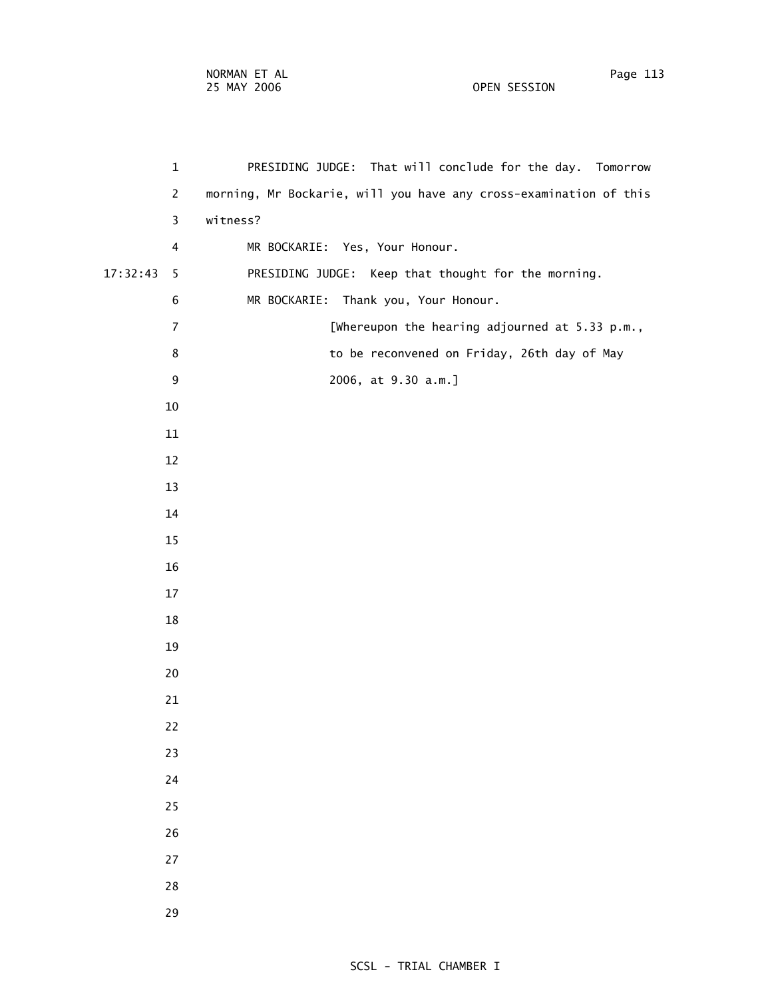| $\mathbf{1}$   | PRESIDING JUDGE: That will conclude for the day. Tomorrow         |
|----------------|-------------------------------------------------------------------|
| $\overline{2}$ | morning, Mr Bockarie, will you have any cross-examination of this |
| 3              | witness?                                                          |
| 4              | MR BOCKARIE: Yes, Your Honour.                                    |
| 17:32:43<br>5  | PRESIDING JUDGE: Keep that thought for the morning.               |
| 6              | MR BOCKARIE:<br>Thank you, Your Honour.                           |
| $\overline{7}$ | [Whereupon the hearing adjourned at 5.33 p.m.,                    |
| 8              | to be reconvened on Friday, 26th day of May                       |
| 9              | 2006, at 9.30 a.m.]                                               |
| 10             |                                                                   |
| 11             |                                                                   |
| 12             |                                                                   |
| 13             |                                                                   |
| 14             |                                                                   |
| 15             |                                                                   |
| 16             |                                                                   |
| 17             |                                                                   |
| 18             |                                                                   |
| 19             |                                                                   |
| 20             |                                                                   |
| 21             |                                                                   |
| 22             |                                                                   |
| 23             |                                                                   |
| 24             |                                                                   |
| 25             |                                                                   |
| 26             |                                                                   |
| 27             |                                                                   |
| 28             |                                                                   |
| 29             |                                                                   |